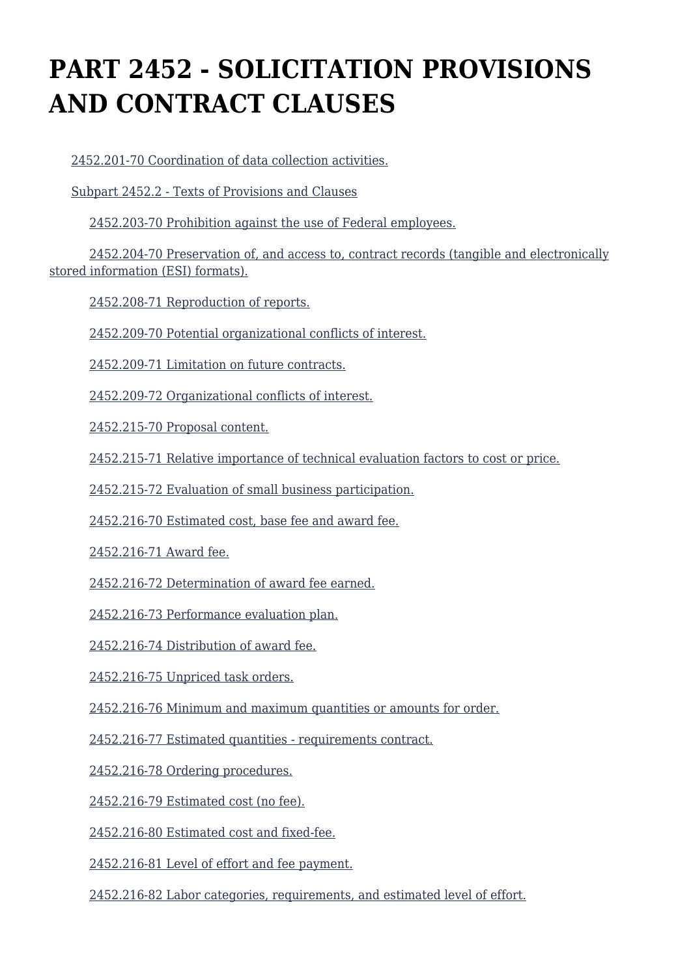# **PART 2452 - SOLICITATION PROVISIONS AND CONTRACT CLAUSES**

[2452.201-70 Coordination of data collection activities.](https://origin-www.acquisition.gov/%5Brp:link:hudar-part-2452%5D#Section_2452_201_70_T48_6095537011)

[Subpart 2452.2 - Texts of Provisions and Clauses](https://origin-www.acquisition.gov/%5Brp:link:hudar-part-2452%5D#Subpart_2452_2_T48_60955371)

[2452.203-70 Prohibition against the use of Federal employees.](https://origin-www.acquisition.gov/%5Brp:link:hudar-part-2452%5D#Section_2452_203_70_T48_6095537111)

 [2452.204-70 Preservation of, and access to, contract records \(tangible and electronically](https://origin-www.acquisition.gov/%5Brp:link:hudar-part-2452%5D#Section_2452_204_70_T48_6095537112) [stored information \(ESI\) formats\).](https://origin-www.acquisition.gov/%5Brp:link:hudar-part-2452%5D#Section_2452_204_70_T48_6095537112)

[2452.208-71 Reproduction of reports.](https://origin-www.acquisition.gov/%5Brp:link:hudar-part-2452%5D#Section_2452_208_71_T48_6095537113)

[2452.209-70 Potential organizational conflicts of interest.](https://origin-www.acquisition.gov/%5Brp:link:hudar-part-2452%5D#Section_2452_209_70_T48_6095537114)

[2452.209-71 Limitation on future contracts.](https://origin-www.acquisition.gov/%5Brp:link:hudar-part-2452%5D#Section_2452_209_71_T48_6095537115)

[2452.209-72 Organizational conflicts of interest.](https://origin-www.acquisition.gov/%5Brp:link:hudar-part-2452%5D#Section_2452_209_72_T48_6095537116)

[2452.215-70 Proposal content.](https://origin-www.acquisition.gov/%5Brp:link:hudar-part-2452%5D#Section_2452_215_70_T48_6095537117)

[2452.215-71 Relative importance of technical evaluation factors to cost or price.](https://origin-www.acquisition.gov/%5Brp:link:hudar-part-2452%5D#Section_2452_215_71_T48_6095537118)

[2452.215-72 Evaluation of small business participation.](https://origin-www.acquisition.gov/%5Brp:link:hudar-part-2452%5D#Section_2452_215_72_T48_6095537119)

[2452.216-70 Estimated cost, base fee and award fee.](https://origin-www.acquisition.gov/%5Brp:link:hudar-part-2452%5D#Section_2452_216_70_T48_60955371110)

[2452.216-71 Award fee.](https://origin-www.acquisition.gov/%5Brp:link:hudar-part-2452%5D#Section_2452_216_71_T48_60955371111)

[2452.216-72 Determination of award fee earned.](https://origin-www.acquisition.gov/%5Brp:link:hudar-part-2452%5D#Section_2452_216_72_T48_60955371112)

[2452.216-73 Performance evaluation plan.](https://origin-www.acquisition.gov/%5Brp:link:hudar-part-2452%5D#Section_2452_216_73_T48_60955371113)

[2452.216-74 Distribution of award fee.](https://origin-www.acquisition.gov/%5Brp:link:hudar-part-2452%5D#Section_2452_216_74_T48_60955371114)

[2452.216-75 Unpriced task orders.](https://origin-www.acquisition.gov/%5Brp:link:hudar-part-2452%5D#Section_2452_216_75_T48_60955371115)

[2452.216-76 Minimum and maximum quantities or amounts for order.](https://origin-www.acquisition.gov/%5Brp:link:hudar-part-2452%5D#Section_2452_216_76_T48_60955371116)

[2452.216-77 Estimated quantities - requirements contract.](https://origin-www.acquisition.gov/%5Brp:link:hudar-part-2452%5D#Section_2452_216_77_T48_60955371117)

[2452.216-78 Ordering procedures.](https://origin-www.acquisition.gov/%5Brp:link:hudar-part-2452%5D#Section_2452_216_78_T48_60955371118)

[2452.216-79 Estimated cost \(no fee\).](https://origin-www.acquisition.gov/%5Brp:link:hudar-part-2452%5D#Section_2452_216_79_T48_60955371119)

[2452.216-80 Estimated cost and fixed-fee.](https://origin-www.acquisition.gov/%5Brp:link:hudar-part-2452%5D#Section_2452_216_80_T48_60955371120)

[2452.216-81 Level of effort and fee payment.](https://origin-www.acquisition.gov/%5Brp:link:hudar-part-2452%5D#Section_2452_216_81_T48_60955371121)

[2452.216-82 Labor categories, requirements, and estimated level of effort.](https://origin-www.acquisition.gov/%5Brp:link:hudar-part-2452%5D#Section_2452_216_82_T48_60955371122)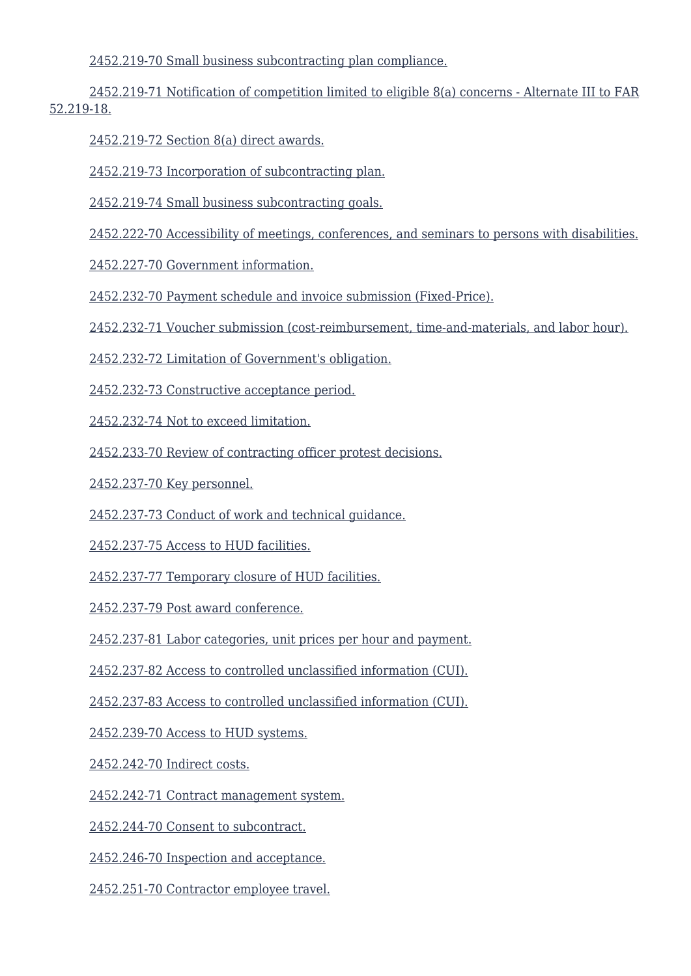[2452.219-70 Small business subcontracting plan compliance.](https://origin-www.acquisition.gov/%5Brp:link:hudar-part-2452%5D#Section_2452_219_70_T48_60955371123)

 [2452.219-71 Notification of competition limited to eligible 8\(a\) concerns - Alternate III to FAR](https://origin-www.acquisition.gov/%5Brp:link:hudar-part-2452%5D#Section_2452_219_71_T48_60955371124) [52.219-18.](https://origin-www.acquisition.gov/%5Brp:link:hudar-part-2452%5D#Section_2452_219_71_T48_60955371124)

[2452.219-72 Section 8\(a\) direct awards.](https://origin-www.acquisition.gov/%5Brp:link:hudar-part-2452%5D#Section_2452_219_72_T48_60955371125)

[2452.219-73 Incorporation of subcontracting plan.](https://origin-www.acquisition.gov/%5Brp:link:hudar-part-2452%5D#Section_2452_219_73_T48_60955371126)

[2452.219-74 Small business subcontracting goals.](https://origin-www.acquisition.gov/%5Brp:link:hudar-part-2452%5D#Section_2452_219_74_T48_60955371127)

[2452.222-70 Accessibility of meetings, conferences, and seminars to persons with disabilities.](https://origin-www.acquisition.gov/%5Brp:link:hudar-part-2452%5D#Section_2452_222_70_T48_60955371128)

[2452.227-70 Government information.](https://origin-www.acquisition.gov/%5Brp:link:hudar-part-2452%5D#Section_2452_227_70_T48_60955371129)

[2452.232-70 Payment schedule and invoice submission \(Fixed-Price\).](https://origin-www.acquisition.gov/%5Brp:link:hudar-part-2452%5D#Section_2452_232_70_T48_60955371130)

[2452.232-71 Voucher submission \(cost-reimbursement, time-and-materials, and labor hour\).](https://origin-www.acquisition.gov/%5Brp:link:hudar-part-2452%5D#Section_2452_232_71_T48_60955371131)

[2452.232-72 Limitation of Government's obligation.](https://origin-www.acquisition.gov/%5Brp:link:hudar-part-2452%5D#Section_2452_232_72_T48_60955371132)

[2452.232-73 Constructive acceptance period.](https://origin-www.acquisition.gov/%5Brp:link:hudar-part-2452%5D#Section_2452_232_73_T48_60955371133)

[2452.232-74 Not to exceed limitation.](https://origin-www.acquisition.gov/%5Brp:link:hudar-part-2452%5D#Section_2452_232_74_T48_60955371134)

[2452.233-70 Review of contracting officer protest decisions.](https://origin-www.acquisition.gov/%5Brp:link:hudar-part-2452%5D#Section_2452_233_70_T48_60955371135)

[2452.237-70 Key personnel.](https://origin-www.acquisition.gov/%5Brp:link:hudar-part-2452%5D#Section_2452_237_70_T48_60955371136)

[2452.237-73 Conduct of work and technical guidance.](https://origin-www.acquisition.gov/%5Brp:link:hudar-part-2452%5D#Section_2452_237_73_T48_60955371137)

[2452.237-75 Access to HUD facilities.](https://origin-www.acquisition.gov/%5Brp:link:hudar-part-2452%5D#Section_2452_237_75_T48_60955371138)

[2452.237-77 Temporary closure of HUD facilities.](https://origin-www.acquisition.gov/%5Brp:link:hudar-part-2452%5D#Section_2452_237_77_T48_60955371139)

[2452.237-79 Post award conference.](https://origin-www.acquisition.gov/%5Brp:link:hudar-part-2452%5D#Section_2452_237_79_T48_60955371140)

[2452.237-81 Labor categories, unit prices per hour and payment.](https://origin-www.acquisition.gov/%5Brp:link:hudar-part-2452%5D#Section_2452_237_81_T48_60955371141)

[2452.237-82 Access to controlled unclassified information \(CUI\).](https://origin-www.acquisition.gov/%5Brp:link:hudar-part-2452%5D#Section_2452_237_82_T48_60955371142)

[2452.237-83 Access to controlled unclassified information \(CUI\).](https://origin-www.acquisition.gov/%5Brp:link:hudar-part-2452%5D#Section_2452_237_83_T48_60955371143)

[2452.239-70 Access to HUD systems.](https://origin-www.acquisition.gov/%5Brp:link:hudar-part-2452%5D#Section_2452_239_70_T48_60955371144)

[2452.242-70 Indirect costs.](https://origin-www.acquisition.gov/%5Brp:link:hudar-part-2452%5D#Section_2452_242_70_T48_60955371145)

[2452.242-71 Contract management system.](https://origin-www.acquisition.gov/%5Brp:link:hudar-part-2452%5D#Section_2452_242_71_T48_60955371146)

[2452.244-70 Consent to subcontract.](https://origin-www.acquisition.gov/%5Brp:link:hudar-part-2452%5D#Section_2452_244_70_T48_60955371147)

[2452.246-70 Inspection and acceptance.](https://origin-www.acquisition.gov/%5Brp:link:hudar-part-2452%5D#Section_2452_246_70_T48_60955371148)

[2452.251-70 Contractor employee travel.](https://origin-www.acquisition.gov/%5Brp:link:hudar-part-2452%5D#Section_2452_251_70_T48_60955371149)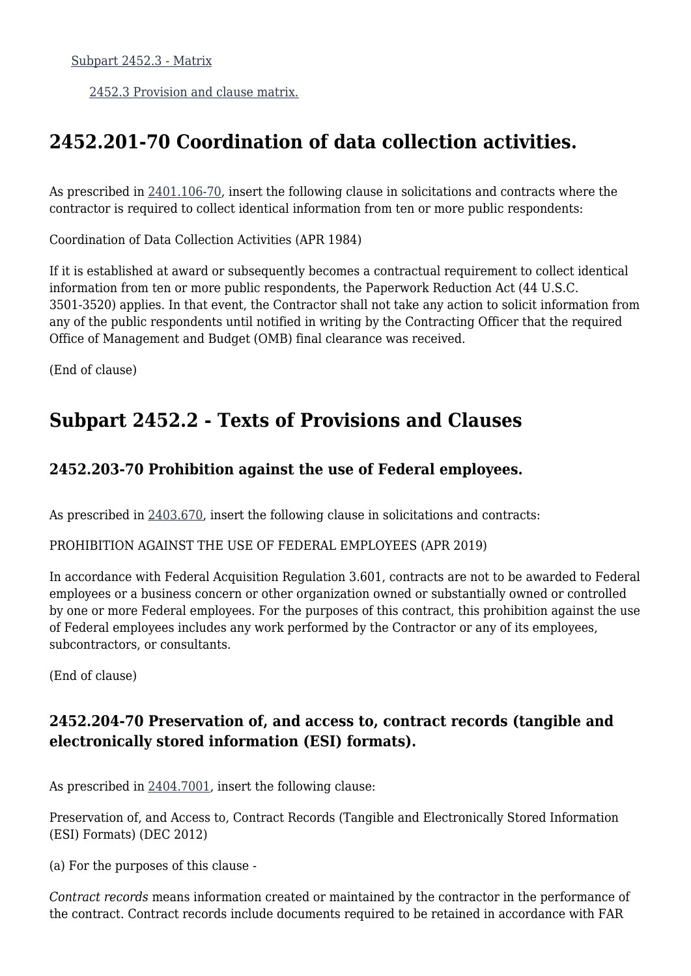[Subpart 2452.3 - Matrix](https://origin-www.acquisition.gov/%5Brp:link:hudar-part-2452%5D#Subpart_2452_3_T48_60955372)

[2452.3 Provision and clause matrix.](https://origin-www.acquisition.gov/%5Brp:link:hudar-part-2452%5D#Section_2452_3_T48_6095537211)

# **2452.201-70 Coordination of data collection activities.**

As prescribed in [2401.106-70,](https://origin-www.acquisition.gov/%5Brp:link:hudar-part-2401%5D#Section_2401_106_70_T48_609482118) insert the following clause in solicitations and contracts where the contractor is required to collect identical information from ten or more public respondents:

Coordination of Data Collection Activities (APR 1984)

If it is established at award or subsequently becomes a contractual requirement to collect identical information from ten or more public respondents, the Paperwork Reduction Act (44 U.S.C. 3501-3520) applies. In that event, the Contractor shall not take any action to solicit information from any of the public respondents until notified in writing by the Contracting Officer that the required Office of Management and Budget (OMB) final clearance was received.

(End of clause)

# **Subpart 2452.2 - Texts of Provisions and Clauses**

### **2452.203-70 Prohibition against the use of Federal employees.**

As prescribed in [2403.670,](https://origin-www.acquisition.gov/%5Brp:link:hudar-part-2403%5D#Section_2403_670_T48_609484612) insert the following clause in solicitations and contracts:

PROHIBITION AGAINST THE USE OF FEDERAL EMPLOYEES (APR 2019)

In accordance with Federal Acquisition Regulation 3.601, contracts are not to be awarded to Federal employees or a business concern or other organization owned or substantially owned or controlled by one or more Federal employees. For the purposes of this contract, this prohibition against the use of Federal employees includes any work performed by the Contractor or any of its employees, subcontractors, or consultants.

(End of clause)

### **2452.204-70 Preservation of, and access to, contract records (tangible and electronically stored information (ESI) formats).**

As prescribed in [2404.7001](https://origin-www.acquisition.gov/%5Brp:link:hudar-part-2404%5D#Section_2404_7001_T48_609485111), insert the following clause:

Preservation of, and Access to, Contract Records (Tangible and Electronically Stored Information (ESI) Formats) (DEC 2012)

(a) For the purposes of this clause -

*Contract records* means information created or maintained by the contractor in the performance of the contract. Contract records include documents required to be retained in accordance with FAR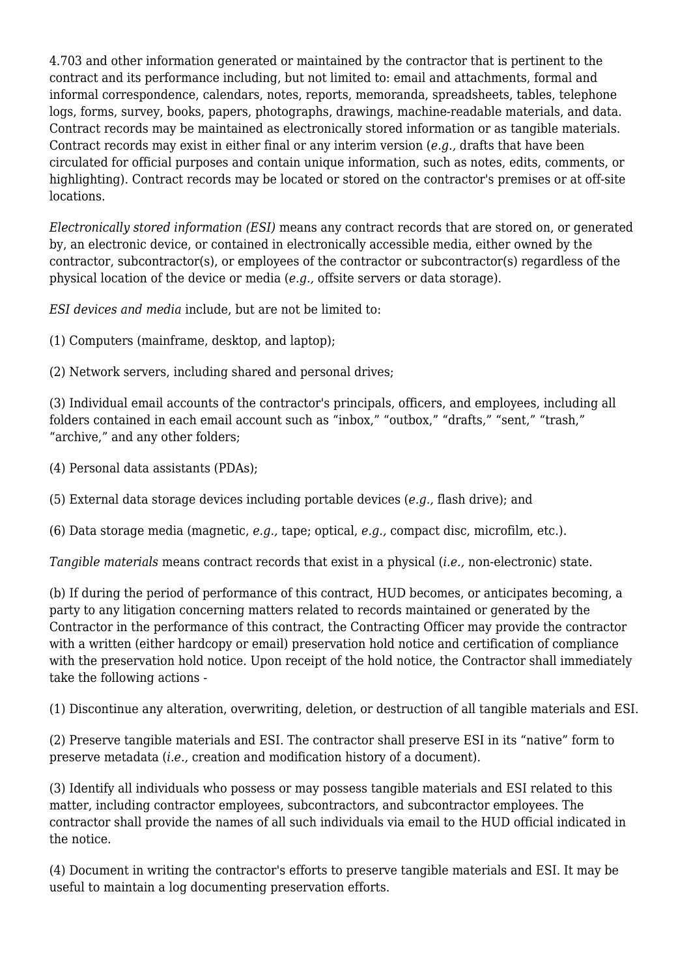4.703 and other information generated or maintained by the contractor that is pertinent to the contract and its performance including, but not limited to: email and attachments, formal and informal correspondence, calendars, notes, reports, memoranda, spreadsheets, tables, telephone logs, forms, survey, books, papers, photographs, drawings, machine-readable materials, and data. Contract records may be maintained as electronically stored information or as tangible materials. Contract records may exist in either final or any interim version (*e.g.,* drafts that have been circulated for official purposes and contain unique information, such as notes, edits, comments, or highlighting). Contract records may be located or stored on the contractor's premises or at off-site locations.

*Electronically stored information (ESI)* means any contract records that are stored on, or generated by, an electronic device, or contained in electronically accessible media, either owned by the contractor, subcontractor(s), or employees of the contractor or subcontractor(s) regardless of the physical location of the device or media (*e.g.,* offsite servers or data storage).

*ESI devices and media* include, but are not be limited to:

(1) Computers (mainframe, desktop, and laptop);

(2) Network servers, including shared and personal drives;

(3) Individual email accounts of the contractor's principals, officers, and employees, including all folders contained in each email account such as "inbox," "outbox," "drafts," "sent," "trash," "archive," and any other folders;

(4) Personal data assistants (PDAs);

(5) External data storage devices including portable devices (*e.g.,* flash drive); and

(6) Data storage media (magnetic, *e.g.,* tape; optical, *e.g.,* compact disc, microfilm, etc.).

*Tangible materials* means contract records that exist in a physical (*i.e.,* non-electronic) state.

(b) If during the period of performance of this contract, HUD becomes, or anticipates becoming, a party to any litigation concerning matters related to records maintained or generated by the Contractor in the performance of this contract, the Contracting Officer may provide the contractor with a written (either hardcopy or email) preservation hold notice and certification of compliance with the preservation hold notice. Upon receipt of the hold notice, the Contractor shall immediately take the following actions -

(1) Discontinue any alteration, overwriting, deletion, or destruction of all tangible materials and ESI.

(2) Preserve tangible materials and ESI. The contractor shall preserve ESI in its "native" form to preserve metadata (*i.e.,* creation and modification history of a document).

(3) Identify all individuals who possess or may possess tangible materials and ESI related to this matter, including contractor employees, subcontractors, and subcontractor employees. The contractor shall provide the names of all such individuals via email to the HUD official indicated in the notice.

(4) Document in writing the contractor's efforts to preserve tangible materials and ESI. It may be useful to maintain a log documenting preservation efforts.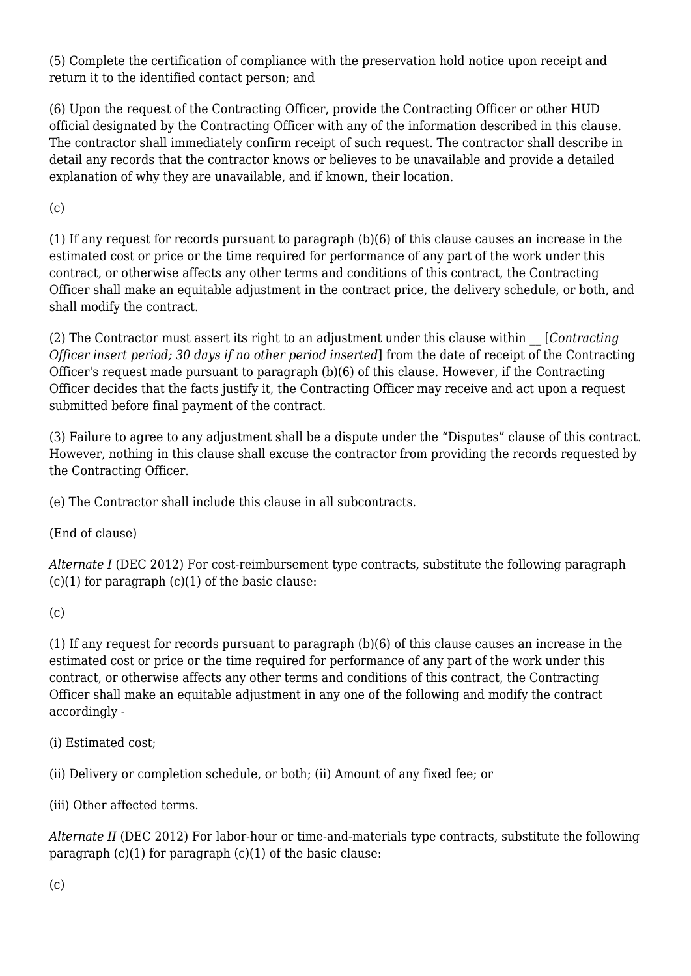(5) Complete the certification of compliance with the preservation hold notice upon receipt and return it to the identified contact person; and

(6) Upon the request of the Contracting Officer, provide the Contracting Officer or other HUD official designated by the Contracting Officer with any of the information described in this clause. The contractor shall immediately confirm receipt of such request. The contractor shall describe in detail any records that the contractor knows or believes to be unavailable and provide a detailed explanation of why they are unavailable, and if known, their location.

 $(c)$ 

(1) If any request for records pursuant to paragraph (b)(6) of this clause causes an increase in the estimated cost or price or the time required for performance of any part of the work under this contract, or otherwise affects any other terms and conditions of this contract, the Contracting Officer shall make an equitable adjustment in the contract price, the delivery schedule, or both, and shall modify the contract.

(2) The Contractor must assert its right to an adjustment under this clause within \_\_ [*Contracting Officer insert period; 30 days if no other period inserted*] from the date of receipt of the Contracting Officer's request made pursuant to paragraph (b)(6) of this clause. However, if the Contracting Officer decides that the facts justify it, the Contracting Officer may receive and act upon a request submitted before final payment of the contract.

(3) Failure to agree to any adjustment shall be a dispute under the "Disputes" clause of this contract. However, nothing in this clause shall excuse the contractor from providing the records requested by the Contracting Officer.

(e) The Contractor shall include this clause in all subcontracts.

(End of clause)

*Alternate I* (DEC 2012) For cost-reimbursement type contracts, substitute the following paragraph  $(c)(1)$  for paragraph  $(c)(1)$  of the basic clause:

(c)

(1) If any request for records pursuant to paragraph (b)(6) of this clause causes an increase in the estimated cost or price or the time required for performance of any part of the work under this contract, or otherwise affects any other terms and conditions of this contract, the Contracting Officer shall make an equitable adjustment in any one of the following and modify the contract accordingly -

(i) Estimated cost;

(ii) Delivery or completion schedule, or both; (ii) Amount of any fixed fee; or

(iii) Other affected terms.

*Alternate II* (DEC 2012) For labor-hour or time-and-materials type contracts, substitute the following paragraph  $(c)(1)$  for paragraph  $(c)(1)$  of the basic clause:

(c)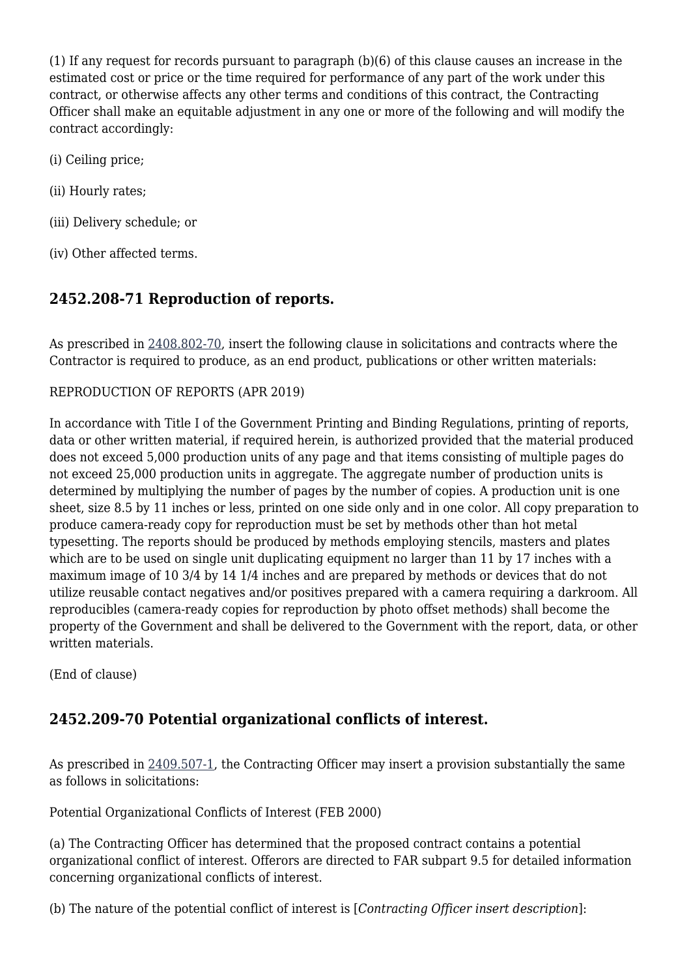(1) If any request for records pursuant to paragraph (b)(6) of this clause causes an increase in the estimated cost or price or the time required for performance of any part of the work under this contract, or otherwise affects any other terms and conditions of this contract, the Contracting Officer shall make an equitable adjustment in any one or more of the following and will modify the contract accordingly:

- (i) Ceiling price;
- (ii) Hourly rates;
- (iii) Delivery schedule; or
- (iv) Other affected terms.

### **2452.208-71 Reproduction of reports.**

As prescribed in [2408.802-70,](https://origin-www.acquisition.gov/%5Brp:link:hudar-part-2408%5D#Section_2408_802_70_T48_609499211) insert the following clause in solicitations and contracts where the Contractor is required to produce, as an end product, publications or other written materials:

#### REPRODUCTION OF REPORTS (APR 2019)

In accordance with Title I of the Government Printing and Binding Regulations, printing of reports, data or other written material, if required herein, is authorized provided that the material produced does not exceed 5,000 production units of any page and that items consisting of multiple pages do not exceed 25,000 production units in aggregate. The aggregate number of production units is determined by multiplying the number of pages by the number of copies. A production unit is one sheet, size 8.5 by 11 inches or less, printed on one side only and in one color. All copy preparation to produce camera-ready copy for reproduction must be set by methods other than hot metal typesetting. The reports should be produced by methods employing stencils, masters and plates which are to be used on single unit duplicating equipment no larger than 11 by 17 inches with a maximum image of 10 3/4 by 14 1/4 inches and are prepared by methods or devices that do not utilize reusable contact negatives and/or positives prepared with a camera requiring a darkroom. All reproducibles (camera-ready copies for reproduction by photo offset methods) shall become the property of the Government and shall be delivered to the Government with the report, data, or other written materials.

(End of clause)

### **2452.209-70 Potential organizational conflicts of interest.**

As prescribed in [2409.507-1,](https://origin-www.acquisition.gov/%5Brp:link:hudar-part-2409%5D#Section_2409_507_1_T48_6094910313) the Contracting Officer may insert a provision substantially the same as follows in solicitations:

Potential Organizational Conflicts of Interest (FEB 2000)

(a) The Contracting Officer has determined that the proposed contract contains a potential organizational conflict of interest. Offerors are directed to FAR subpart 9.5 for detailed information concerning organizational conflicts of interest.

(b) The nature of the potential conflict of interest is [*Contracting Officer insert description*]: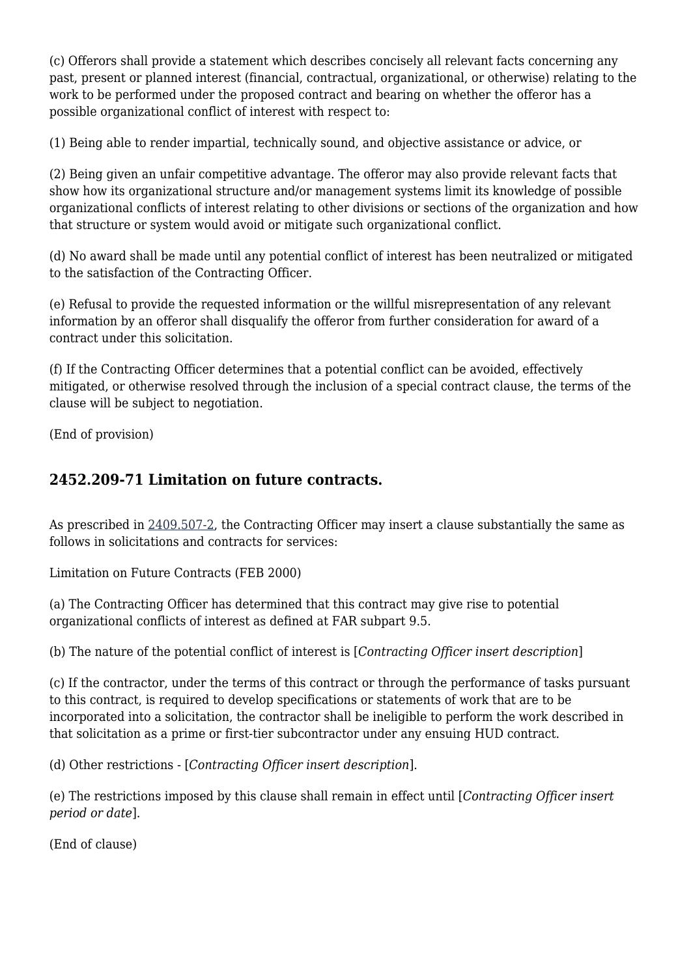(c) Offerors shall provide a statement which describes concisely all relevant facts concerning any past, present or planned interest (financial, contractual, organizational, or otherwise) relating to the work to be performed under the proposed contract and bearing on whether the offeror has a possible organizational conflict of interest with respect to:

(1) Being able to render impartial, technically sound, and objective assistance or advice, or

(2) Being given an unfair competitive advantage. The offeror may also provide relevant facts that show how its organizational structure and/or management systems limit its knowledge of possible organizational conflicts of interest relating to other divisions or sections of the organization and how that structure or system would avoid or mitigate such organizational conflict.

(d) No award shall be made until any potential conflict of interest has been neutralized or mitigated to the satisfaction of the Contracting Officer.

(e) Refusal to provide the requested information or the willful misrepresentation of any relevant information by an offeror shall disqualify the offeror from further consideration for award of a contract under this solicitation.

(f) If the Contracting Officer determines that a potential conflict can be avoided, effectively mitigated, or otherwise resolved through the inclusion of a special contract clause, the terms of the clause will be subject to negotiation.

(End of provision)

### **2452.209-71 Limitation on future contracts.**

As prescribed in [2409.507-2,](https://origin-www.acquisition.gov/%5Brp:link:hudar-part-2409%5D#Section_2409_507_2_T48_6094910314) the Contracting Officer may insert a clause substantially the same as follows in solicitations and contracts for services:

Limitation on Future Contracts (FEB 2000)

(a) The Contracting Officer has determined that this contract may give rise to potential organizational conflicts of interest as defined at FAR subpart 9.5.

(b) The nature of the potential conflict of interest is [*Contracting Officer insert description*]

(c) If the contractor, under the terms of this contract or through the performance of tasks pursuant to this contract, is required to develop specifications or statements of work that are to be incorporated into a solicitation, the contractor shall be ineligible to perform the work described in that solicitation as a prime or first-tier subcontractor under any ensuing HUD contract.

(d) Other restrictions - [*Contracting Officer insert description*].

(e) The restrictions imposed by this clause shall remain in effect until [*Contracting Officer insert period or date*].

(End of clause)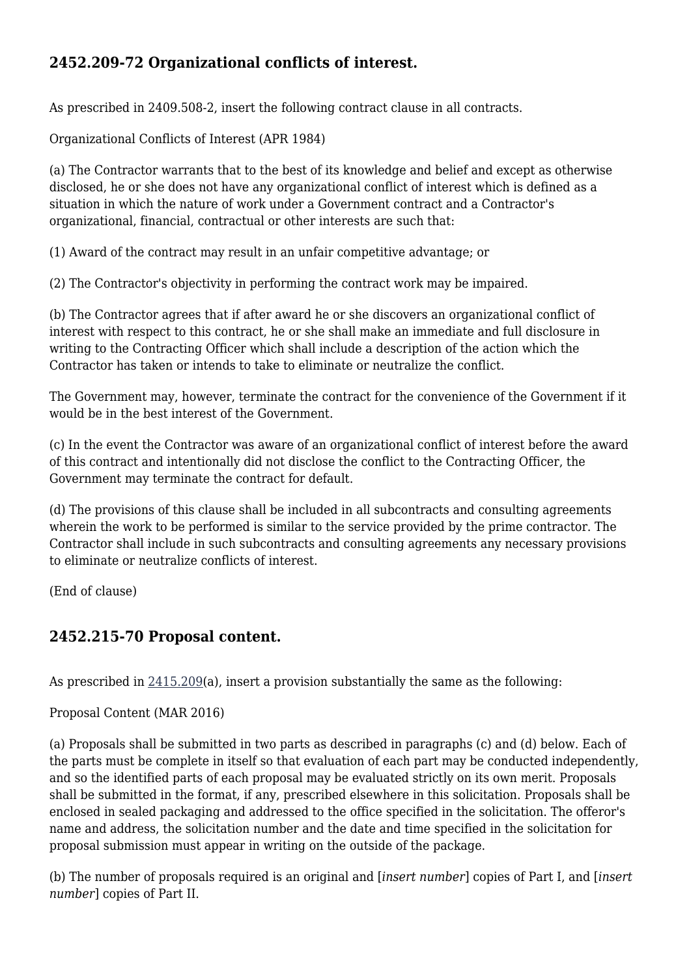### **2452.209-72 Organizational conflicts of interest.**

As prescribed in 2409.508-2, insert the following contract clause in all contracts.

Organizational Conflicts of Interest (APR 1984)

(a) The Contractor warrants that to the best of its knowledge and belief and except as otherwise disclosed, he or she does not have any organizational conflict of interest which is defined as a situation in which the nature of work under a Government contract and a Contractor's organizational, financial, contractual or other interests are such that:

(1) Award of the contract may result in an unfair competitive advantage; or

(2) The Contractor's objectivity in performing the contract work may be impaired.

(b) The Contractor agrees that if after award he or she discovers an organizational conflict of interest with respect to this contract, he or she shall make an immediate and full disclosure in writing to the Contracting Officer which shall include a description of the action which the Contractor has taken or intends to take to eliminate or neutralize the conflict.

The Government may, however, terminate the contract for the convenience of the Government if it would be in the best interest of the Government.

(c) In the event the Contractor was aware of an organizational conflict of interest before the award of this contract and intentionally did not disclose the conflict to the Contracting Officer, the Government may terminate the contract for default.

(d) The provisions of this clause shall be included in all subcontracts and consulting agreements wherein the work to be performed is similar to the service provided by the prime contractor. The Contractor shall include in such subcontracts and consulting agreements any necessary provisions to eliminate or neutralize conflicts of interest.

(End of clause)

### **2452.215-70 Proposal content.**

As prescribed in [2415.209\(](https://origin-www.acquisition.gov/%5Brp:link:hudar-part-2415%5D#Section_2415_209_T48_6095014113)a), insert a provision substantially the same as the following:

Proposal Content (MAR 2016)

(a) Proposals shall be submitted in two parts as described in paragraphs (c) and (d) below. Each of the parts must be complete in itself so that evaluation of each part may be conducted independently, and so the identified parts of each proposal may be evaluated strictly on its own merit. Proposals shall be submitted in the format, if any, prescribed elsewhere in this solicitation. Proposals shall be enclosed in sealed packaging and addressed to the office specified in the solicitation. The offeror's name and address, the solicitation number and the date and time specified in the solicitation for proposal submission must appear in writing on the outside of the package.

(b) The number of proposals required is an original and [*insert number*] copies of Part I, and [*insert number*] copies of Part II.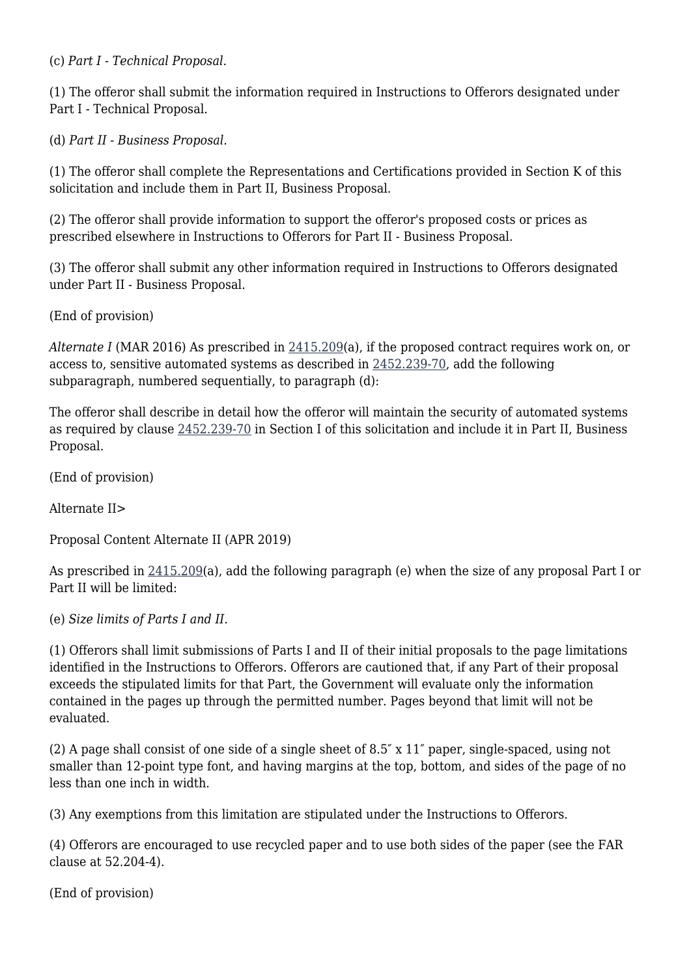(c) *Part I - Technical Proposal.*

(1) The offeror shall submit the information required in Instructions to Offerors designated under Part I - Technical Proposal.

(d) *Part II - Business Proposal.*

(1) The offeror shall complete the Representations and Certifications provided in Section K of this solicitation and include them in Part II, Business Proposal.

(2) The offeror shall provide information to support the offeror's proposed costs or prices as prescribed elsewhere in Instructions to Offerors for Part II - Business Proposal.

(3) The offeror shall submit any other information required in Instructions to Offerors designated under Part II - Business Proposal.

(End of provision)

*Alternate I* (MAR 2016) As prescribed in [2415.209\(](https://origin-www.acquisition.gov/%5Brp:link:hudar-part-2415%5D#Section_2415_209_T48_6095014113)a), if the proposed contract requires work on, or access to, sensitive automated systems as described in [2452.239-70](https://origin-www.acquisition.gov/%5Brp:link:hudar-part-2452%5D#Section_2452_239_70_T48_60955371144), add the following subparagraph, numbered sequentially, to paragraph (d):

The offeror shall describe in detail how the offeror will maintain the security of automated systems as required by clause [2452.239-70](https://origin-www.acquisition.gov/%5Brp:link:hudar-part-2452%5D#Section_2452_239_70_T48_60955371144) in Section I of this solicitation and include it in Part II, Business Proposal.

(End of provision)

Alternate II>

Proposal Content Alternate II (APR 2019)

As prescribed in [2415.209\(](https://origin-www.acquisition.gov/%5Brp:link:hudar-part-2415%5D#Section_2415_209_T48_6095014113)a), add the following paragraph (e) when the size of any proposal Part I or Part II will be limited:

(e) *Size limits of Parts I and II.*

(1) Offerors shall limit submissions of Parts I and II of their initial proposals to the page limitations identified in the Instructions to Offerors. Offerors are cautioned that, if any Part of their proposal exceeds the stipulated limits for that Part, the Government will evaluate only the information contained in the pages up through the permitted number. Pages beyond that limit will not be evaluated.

(2) A page shall consist of one side of a single sheet of 8.5″ x 11″ paper, single-spaced, using not smaller than 12-point type font, and having margins at the top, bottom, and sides of the page of no less than one inch in width.

(3) Any exemptions from this limitation are stipulated under the Instructions to Offerors.

(4) Offerors are encouraged to use recycled paper and to use both sides of the paper (see the FAR clause at 52.204-4).

(End of provision)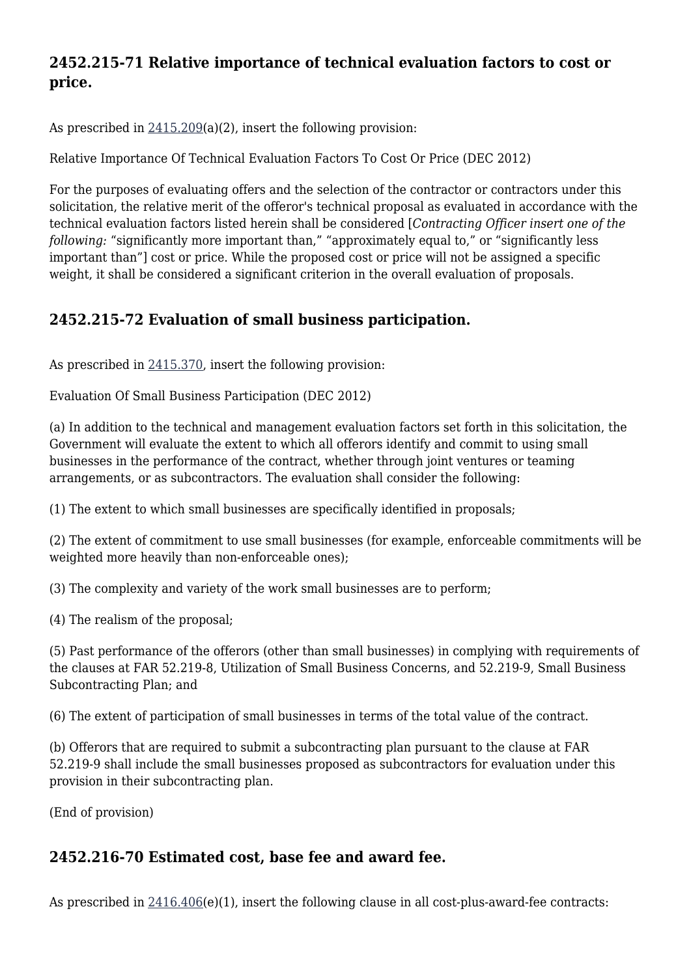### **2452.215-71 Relative importance of technical evaluation factors to cost or price.**

As prescribed in [2415.209\(](https://origin-www.acquisition.gov/%5Brp:link:hudar-part-2415%5D#Section_2415_209_T48_6095014113)a)(2), insert the following provision:

Relative Importance Of Technical Evaluation Factors To Cost Or Price (DEC 2012)

For the purposes of evaluating offers and the selection of the contractor or contractors under this solicitation, the relative merit of the offeror's technical proposal as evaluated in accordance with the technical evaluation factors listed herein shall be considered [*Contracting Officer insert one of the following:* "significantly more important than," "approximately equal to," or "significantly less important than"] cost or price. While the proposed cost or price will not be assigned a specific weight, it shall be considered a significant criterion in the overall evaluation of proposals.

### **2452.215-72 Evaluation of small business participation.**

As prescribed in [2415.370,](https://origin-www.acquisition.gov/%5Brp:link:hudar-part-2415%5D#Section_2415_370_T48_6095014215) insert the following provision:

Evaluation Of Small Business Participation (DEC 2012)

(a) In addition to the technical and management evaluation factors set forth in this solicitation, the Government will evaluate the extent to which all offerors identify and commit to using small businesses in the performance of the contract, whether through joint ventures or teaming arrangements, or as subcontractors. The evaluation shall consider the following:

(1) The extent to which small businesses are specifically identified in proposals;

(2) The extent of commitment to use small businesses (for example, enforceable commitments will be weighted more heavily than non-enforceable ones);

(3) The complexity and variety of the work small businesses are to perform;

(4) The realism of the proposal;

(5) Past performance of the offerors (other than small businesses) in complying with requirements of the clauses at FAR 52.219-8, Utilization of Small Business Concerns, and 52.219-9, Small Business Subcontracting Plan; and

(6) The extent of participation of small businesses in terms of the total value of the contract.

(b) Offerors that are required to submit a subcontracting plan pursuant to the clause at FAR 52.219-9 shall include the small businesses proposed as subcontractors for evaluation under this provision in their subcontracting plan.

(End of provision)

### **2452.216-70 Estimated cost, base fee and award fee.**

As prescribed in  $2416.406(e)(1)$  $2416.406(e)(1)$ , insert the following clause in all cost-plus-award-fee contracts: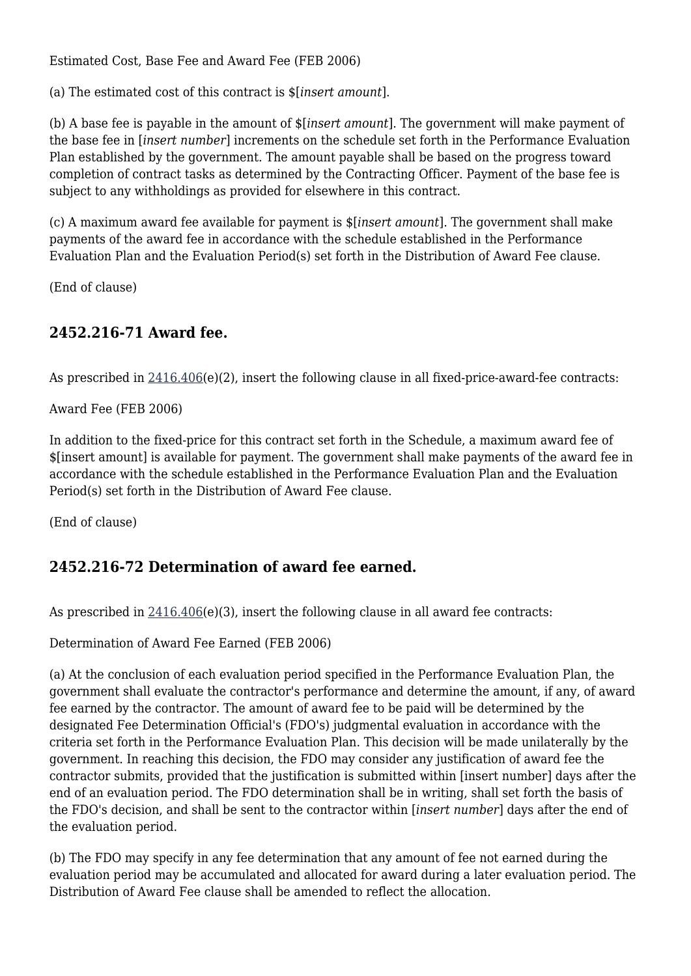Estimated Cost, Base Fee and Award Fee (FEB 2006)

(a) The estimated cost of this contract is \$[*insert amount*].

(b) A base fee is payable in the amount of \$[*insert amount*]. The government will make payment of the base fee in [*insert number*] increments on the schedule set forth in the Performance Evaluation Plan established by the government. The amount payable shall be based on the progress toward completion of contract tasks as determined by the Contracting Officer. Payment of the base fee is subject to any withholdings as provided for elsewhere in this contract.

(c) A maximum award fee available for payment is \$[*insert amount*]. The government shall make payments of the award fee in accordance with the schedule established in the Performance Evaluation Plan and the Evaluation Period(s) set forth in the Distribution of Award Fee clause.

(End of clause)

### **2452.216-71 Award fee.**

As prescribed in  $2416.406(e)(2)$  $2416.406(e)(2)$ , insert the following clause in all fixed-price-award-fee contracts:

Award Fee (FEB 2006)

In addition to the fixed-price for this contract set forth in the Schedule, a maximum award fee of \$[insert amount] is available for payment. The government shall make payments of the award fee in accordance with the schedule established in the Performance Evaluation Plan and the Evaluation Period(s) set forth in the Distribution of Award Fee clause.

(End of clause)

### **2452.216-72 Determination of award fee earned.**

As prescribed in  $2416.406(e)(3)$  $2416.406(e)(3)$ , insert the following clause in all award fee contracts:

Determination of Award Fee Earned (FEB 2006)

(a) At the conclusion of each evaluation period specified in the Performance Evaluation Plan, the government shall evaluate the contractor's performance and determine the amount, if any, of award fee earned by the contractor. The amount of award fee to be paid will be determined by the designated Fee Determination Official's (FDO's) judgmental evaluation in accordance with the criteria set forth in the Performance Evaluation Plan. This decision will be made unilaterally by the government. In reaching this decision, the FDO may consider any justification of award fee the contractor submits, provided that the justification is submitted within [insert number] days after the end of an evaluation period. The FDO determination shall be in writing, shall set forth the basis of the FDO's decision, and shall be sent to the contractor within [*insert number*] days after the end of the evaluation period.

(b) The FDO may specify in any fee determination that any amount of fee not earned during the evaluation period may be accumulated and allocated for award during a later evaluation period. The Distribution of Award Fee clause shall be amended to reflect the allocation.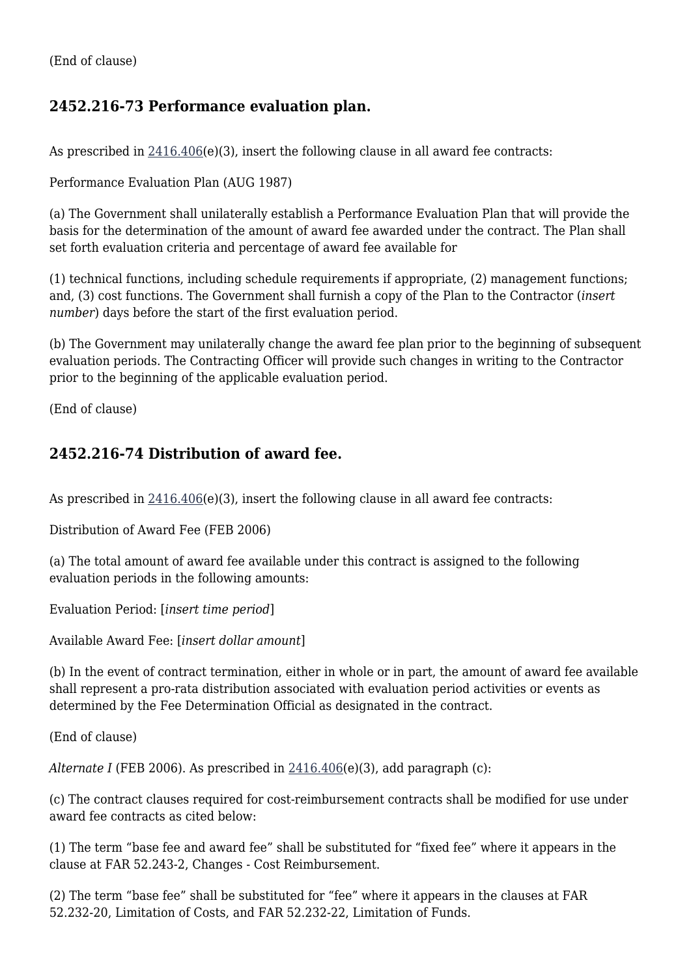### **2452.216-73 Performance evaluation plan.**

As prescribed in  $2416.406(e)(3)$  $2416.406(e)(3)$ , insert the following clause in all award fee contracts:

Performance Evaluation Plan (AUG 1987)

(a) The Government shall unilaterally establish a Performance Evaluation Plan that will provide the basis for the determination of the amount of award fee awarded under the contract. The Plan shall set forth evaluation criteria and percentage of award fee available for

(1) technical functions, including schedule requirements if appropriate, (2) management functions; and, (3) cost functions. The Government shall furnish a copy of the Plan to the Contractor (*insert number*) days before the start of the first evaluation period.

(b) The Government may unilaterally change the award fee plan prior to the beginning of subsequent evaluation periods. The Contracting Officer will provide such changes in writing to the Contractor prior to the beginning of the applicable evaluation period.

(End of clause)

### **2452.216-74 Distribution of award fee.**

As prescribed in [2416.406\(](https://origin-www.acquisition.gov/%5Brp:link:hudar-part-2416%5D#Section_2416_406_T48_6095015211)e)(3), insert the following clause in all award fee contracts:

Distribution of Award Fee (FEB 2006)

(a) The total amount of award fee available under this contract is assigned to the following evaluation periods in the following amounts:

Evaluation Period: [*insert time period*]

Available Award Fee: [*insert dollar amount*]

(b) In the event of contract termination, either in whole or in part, the amount of award fee available shall represent a pro-rata distribution associated with evaluation period activities or events as determined by the Fee Determination Official as designated in the contract.

(End of clause)

*Alternate I* (FEB 2006). As prescribed in [2416.406\(](https://origin-www.acquisition.gov/%5Brp:link:hudar-part-2416%5D#Section_2416_406_T48_6095015211)e)(3), add paragraph (c):

(c) The contract clauses required for cost-reimbursement contracts shall be modified for use under award fee contracts as cited below:

(1) The term "base fee and award fee" shall be substituted for "fixed fee" where it appears in the clause at FAR 52.243-2, Changes - Cost Reimbursement.

(2) The term "base fee" shall be substituted for "fee" where it appears in the clauses at FAR 52.232-20, Limitation of Costs, and FAR 52.232-22, Limitation of Funds.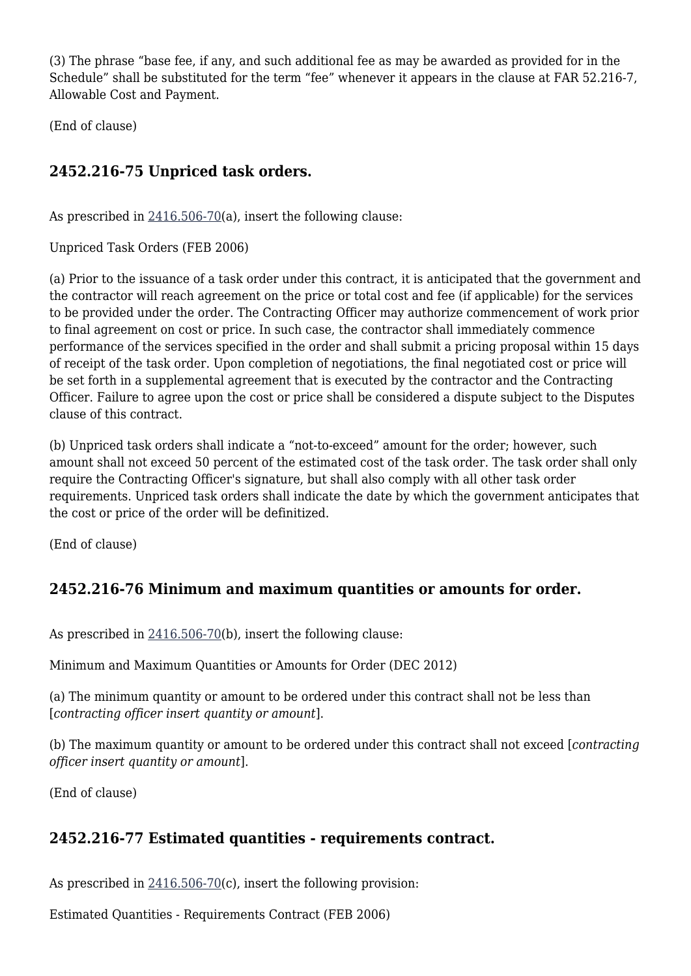(3) The phrase "base fee, if any, and such additional fee as may be awarded as provided for in the Schedule" shall be substituted for the term "fee" whenever it appears in the clause at FAR 52.216-7, Allowable Cost and Payment.

(End of clause)

### **2452.216-75 Unpriced task orders.**

As prescribed in [2416.506-70\(](https://origin-www.acquisition.gov/%5Brp:link:hudar-part-2416%5D#Section_2416_506_70_T48_6095015313)a), insert the following clause:

Unpriced Task Orders (FEB 2006)

(a) Prior to the issuance of a task order under this contract, it is anticipated that the government and the contractor will reach agreement on the price or total cost and fee (if applicable) for the services to be provided under the order. The Contracting Officer may authorize commencement of work prior to final agreement on cost or price. In such case, the contractor shall immediately commence performance of the services specified in the order and shall submit a pricing proposal within 15 days of receipt of the task order. Upon completion of negotiations, the final negotiated cost or price will be set forth in a supplemental agreement that is executed by the contractor and the Contracting Officer. Failure to agree upon the cost or price shall be considered a dispute subject to the Disputes clause of this contract.

(b) Unpriced task orders shall indicate a "not-to-exceed" amount for the order; however, such amount shall not exceed 50 percent of the estimated cost of the task order. The task order shall only require the Contracting Officer's signature, but shall also comply with all other task order requirements. Unpriced task orders shall indicate the date by which the government anticipates that the cost or price of the order will be definitized.

(End of clause)

### **2452.216-76 Minimum and maximum quantities or amounts for order.**

As prescribed in [2416.506-70\(](https://origin-www.acquisition.gov/%5Brp:link:hudar-part-2416%5D#Section_2416_506_70_T48_6095015313)b), insert the following clause:

Minimum and Maximum Quantities or Amounts for Order (DEC 2012)

(a) The minimum quantity or amount to be ordered under this contract shall not be less than [*contracting officer insert quantity or amount*].

(b) The maximum quantity or amount to be ordered under this contract shall not exceed [*contracting officer insert quantity or amount*].

(End of clause)

### **2452.216-77 Estimated quantities - requirements contract.**

As prescribed in [2416.506-70\(](https://origin-www.acquisition.gov/%5Brp:link:hudar-part-2416%5D#Section_2416_506_70_T48_6095015313)c), insert the following provision:

Estimated Quantities - Requirements Contract (FEB 2006)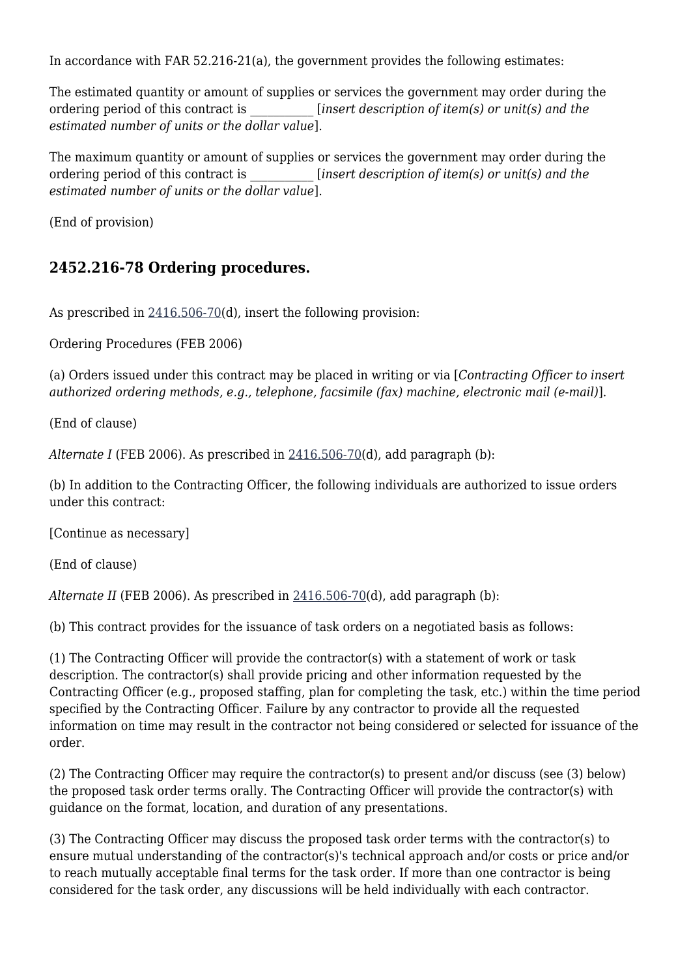In accordance with FAR 52.216-21(a), the government provides the following estimates:

The estimated quantity or amount of supplies or services the government may order during the ordering period of this contract is \_\_\_\_\_\_\_\_\_\_\_ [*insert description of item(s) or unit(s) and the estimated number of units or the dollar value*].

The maximum quantity or amount of supplies or services the government may order during the ordering period of this contract is \_\_\_\_\_\_\_\_\_\_\_ [*insert description of item(s) or unit(s) and the estimated number of units or the dollar value*].

(End of provision)

### **2452.216-78 Ordering procedures.**

As prescribed in [2416.506-70\(](https://origin-www.acquisition.gov/%5Brp:link:hudar-part-2416%5D#Section_2416_506_70_T48_6095015313)d), insert the following provision:

Ordering Procedures (FEB 2006)

(a) Orders issued under this contract may be placed in writing or via [*Contracting Officer to insert authorized ordering methods, e.g., telephone, facsimile (fax) machine, electronic mail (e-mail)*].

(End of clause)

*Alternate I* (FEB 2006). As prescribed in [2416.506-70\(](https://origin-www.acquisition.gov/%5Brp:link:hudar-part-2416%5D#Section_2416_506_70_T48_6095015313)d), add paragraph (b):

(b) In addition to the Contracting Officer, the following individuals are authorized to issue orders under this contract:

[Continue as necessary]

(End of clause)

*Alternate II* (FEB 2006). As prescribed in [2416.506-70\(](https://origin-www.acquisition.gov/%5Brp:link:hudar-part-2416%5D#Section_2416_506_70_T48_6095015313)d), add paragraph (b):

(b) This contract provides for the issuance of task orders on a negotiated basis as follows:

(1) The Contracting Officer will provide the contractor(s) with a statement of work or task description. The contractor(s) shall provide pricing and other information requested by the Contracting Officer (e.g., proposed staffing, plan for completing the task, etc.) within the time period specified by the Contracting Officer. Failure by any contractor to provide all the requested information on time may result in the contractor not being considered or selected for issuance of the order.

(2) The Contracting Officer may require the contractor(s) to present and/or discuss (see (3) below) the proposed task order terms orally. The Contracting Officer will provide the contractor(s) with guidance on the format, location, and duration of any presentations.

(3) The Contracting Officer may discuss the proposed task order terms with the contractor(s) to ensure mutual understanding of the contractor(s)'s technical approach and/or costs or price and/or to reach mutually acceptable final terms for the task order. If more than one contractor is being considered for the task order, any discussions will be held individually with each contractor.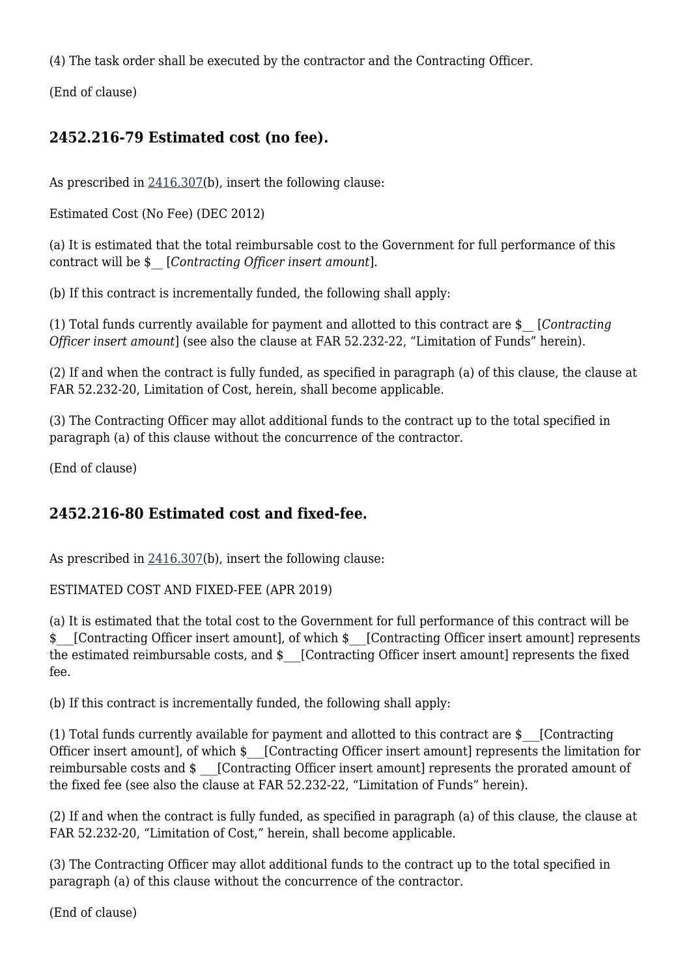(4) The task order shall be executed by the contractor and the Contracting Officer.

(End of clause)

### **2452.216-79 Estimated cost (no fee).**

As prescribed in [2416.307\(](https://origin-www.acquisition.gov/%5Brp:link:hudar-part-2416%5D#Section_2416_307_T48_6095015111)b), insert the following clause:

Estimated Cost (No Fee) (DEC 2012)

(a) It is estimated that the total reimbursable cost to the Government for full performance of this contract will be \$\_\_ [*Contracting Officer insert amount*].

(b) If this contract is incrementally funded, the following shall apply:

(1) Total funds currently available for payment and allotted to this contract are \$\_\_ [*Contracting Officer insert amount*] (see also the clause at FAR 52.232-22, "Limitation of Funds" herein).

(2) If and when the contract is fully funded, as specified in paragraph (a) of this clause, the clause at FAR 52.232-20, Limitation of Cost, herein, shall become applicable.

(3) The Contracting Officer may allot additional funds to the contract up to the total specified in paragraph (a) of this clause without the concurrence of the contractor.

(End of clause)

### **2452.216-80 Estimated cost and fixed-fee.**

As prescribed in  $2416.307(b)$  $2416.307(b)$ , insert the following clause:

#### ESTIMATED COST AND FIXED-FEE (APR 2019)

(a) It is estimated that the total cost to the Government for full performance of this contract will be \$ [Contracting Officer insert amount], of which \$ [Contracting Officer insert amount] represents the estimated reimbursable costs, and  $\frac{1}{2}$  [Contracting Officer insert amount] represents the fixed fee.

(b) If this contract is incrementally funded, the following shall apply:

(1) Total funds currently available for payment and allotted to this contract are \$\_\_\_[Contracting Officer insert amount], of which  $\frac{1}{2}$  [Contracting Officer insert amount] represents the limitation for reimbursable costs and  $\frac{1}{2}$  [Contracting Officer insert amount] represents the prorated amount of the fixed fee (see also the clause at FAR 52.232-22, "Limitation of Funds" herein).

(2) If and when the contract is fully funded, as specified in paragraph (a) of this clause, the clause at FAR 52.232-20, "Limitation of Cost," herein, shall become applicable.

(3) The Contracting Officer may allot additional funds to the contract up to the total specified in paragraph (a) of this clause without the concurrence of the contractor.

(End of clause)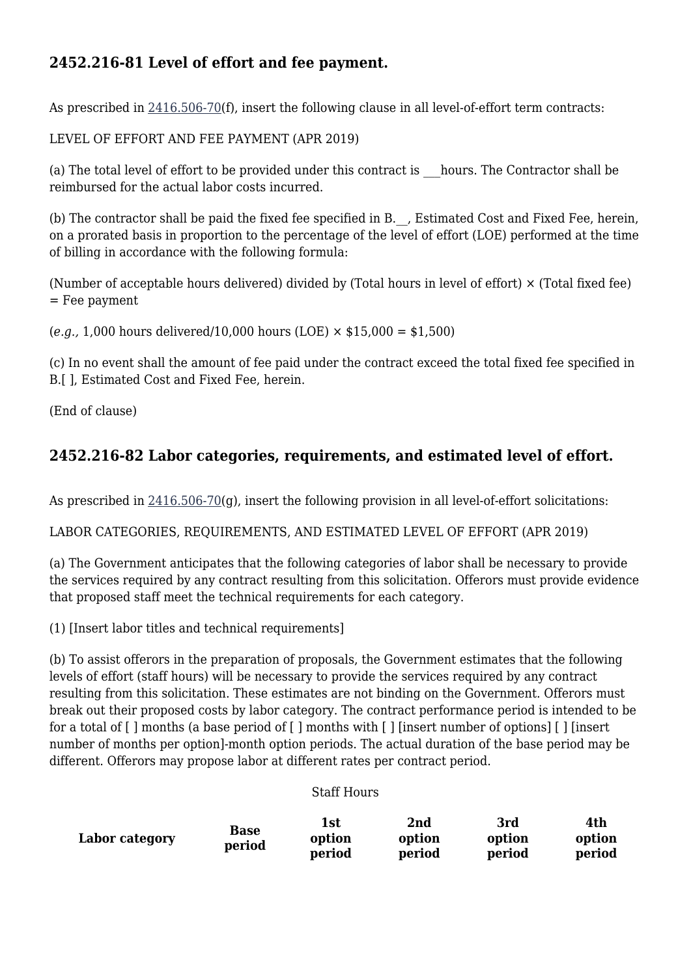### **2452.216-81 Level of effort and fee payment.**

As prescribed in [2416.506-70\(](https://origin-www.acquisition.gov/%5Brp:link:hudar-part-2416%5D#Section_2416_506_70_T48_6095015313)f), insert the following clause in all level-of-effort term contracts:

LEVEL OF EFFORT AND FEE PAYMENT (APR 2019)

(a) The total level of effort to be provided under this contract is \_\_\_hours. The Contractor shall be reimbursed for the actual labor costs incurred.

(b) The contractor shall be paid the fixed fee specified in B.\_\_, Estimated Cost and Fixed Fee, herein, on a prorated basis in proportion to the percentage of the level of effort (LOE) performed at the time of billing in accordance with the following formula:

(Number of acceptable hours delivered) divided by (Total hours in level of effort) × (Total fixed fee) = Fee payment

(*e.g.,* 1,000 hours delivered/10,000 hours (LOE) × \$15,000 = \$1,500)

(c) In no event shall the amount of fee paid under the contract exceed the total fixed fee specified in B.[ ], Estimated Cost and Fixed Fee, herein.

(End of clause)

### **2452.216-82 Labor categories, requirements, and estimated level of effort.**

As prescribed in [2416.506-70\(](https://origin-www.acquisition.gov/%5Brp:link:hudar-part-2416%5D#Section_2416_506_70_T48_6095015313)q), insert the following provision in all level-of-effort solicitations:

LABOR CATEGORIES, REQUIREMENTS, AND ESTIMATED LEVEL OF EFFORT (APR 2019)

(a) The Government anticipates that the following categories of labor shall be necessary to provide the services required by any contract resulting from this solicitation. Offerors must provide evidence that proposed staff meet the technical requirements for each category.

(1) [Insert labor titles and technical requirements]

(b) To assist offerors in the preparation of proposals, the Government estimates that the following levels of effort (staff hours) will be necessary to provide the services required by any contract resulting from this solicitation. These estimates are not binding on the Government. Offerors must break out their proposed costs by labor category. The contract performance period is intended to be for a total of [ ] months (a base period of [ ] months with [ ] [insert number of options] [ ] [insert number of months per option]-month option periods. The actual duration of the base period may be different. Offerors may propose labor at different rates per contract period.

#### Staff Hours

|                | Base   | $1$ st | 2nd    | 3rd    | 4th    |
|----------------|--------|--------|--------|--------|--------|
| Labor category | period | option | option | option | option |
|                |        | period | period | period | period |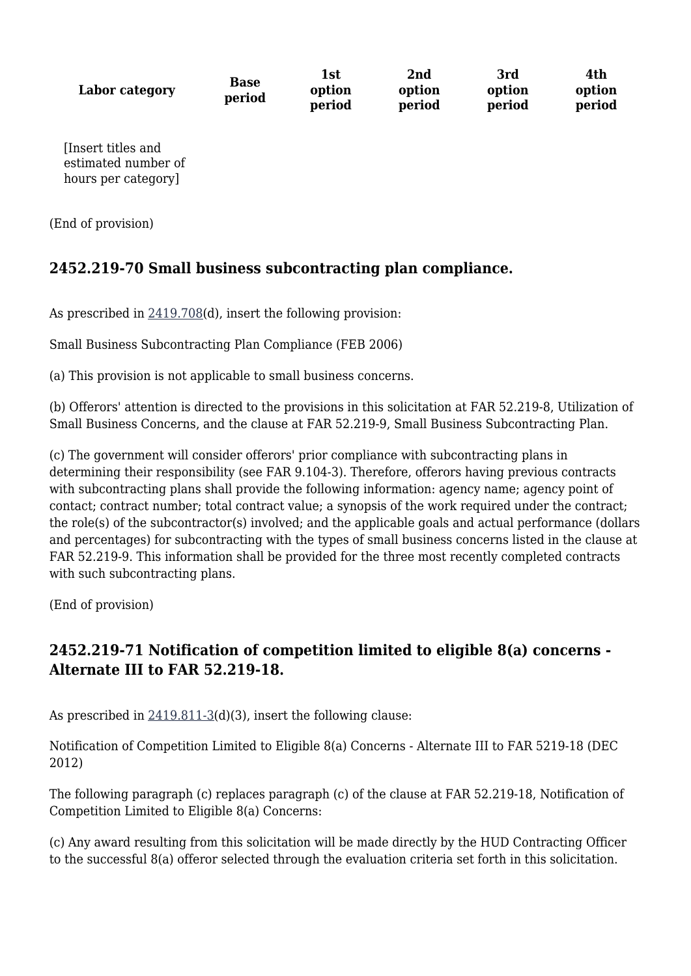**Labor category Base period 1st option period 2nd option period 3rd option period 4th option period** [Insert titles and estimated number of hours per category]

(End of provision)

### **2452.219-70 Small business subcontracting plan compliance.**

As prescribed in [2419.708\(](https://origin-www.acquisition.gov/%5Brp:link:hudar-part-2419%5D#Section_2419_708_T48_6095117311)d), insert the following provision:

Small Business Subcontracting Plan Compliance (FEB 2006)

(a) This provision is not applicable to small business concerns.

(b) Offerors' attention is directed to the provisions in this solicitation at FAR 52.219-8, Utilization of Small Business Concerns, and the clause at FAR 52.219-9, Small Business Subcontracting Plan.

(c) The government will consider offerors' prior compliance with subcontracting plans in determining their responsibility (see FAR 9.104-3). Therefore, offerors having previous contracts with subcontracting plans shall provide the following information: agency name; agency point of contact; contract number; total contract value; a synopsis of the work required under the contract; the role(s) of the subcontractor(s) involved; and the applicable goals and actual performance (dollars and percentages) for subcontracting with the types of small business concerns listed in the clause at FAR 52.219-9. This information shall be provided for the three most recently completed contracts with such subcontracting plans.

(End of provision)

### **2452.219-71 Notification of competition limited to eligible 8(a) concerns - Alternate III to FAR 52.219-18.**

As prescribed in  $2419.811-3(d)(3)$  $2419.811-3(d)(3)$ , insert the following clause:

Notification of Competition Limited to Eligible 8(a) Concerns - Alternate III to FAR 5219-18 (DEC 2012)

The following paragraph (c) replaces paragraph (c) of the clause at FAR 52.219-18, Notification of Competition Limited to Eligible 8(a) Concerns:

(c) Any award resulting from this solicitation will be made directly by the HUD Contracting Officer to the successful 8(a) offeror selected through the evaluation criteria set forth in this solicitation.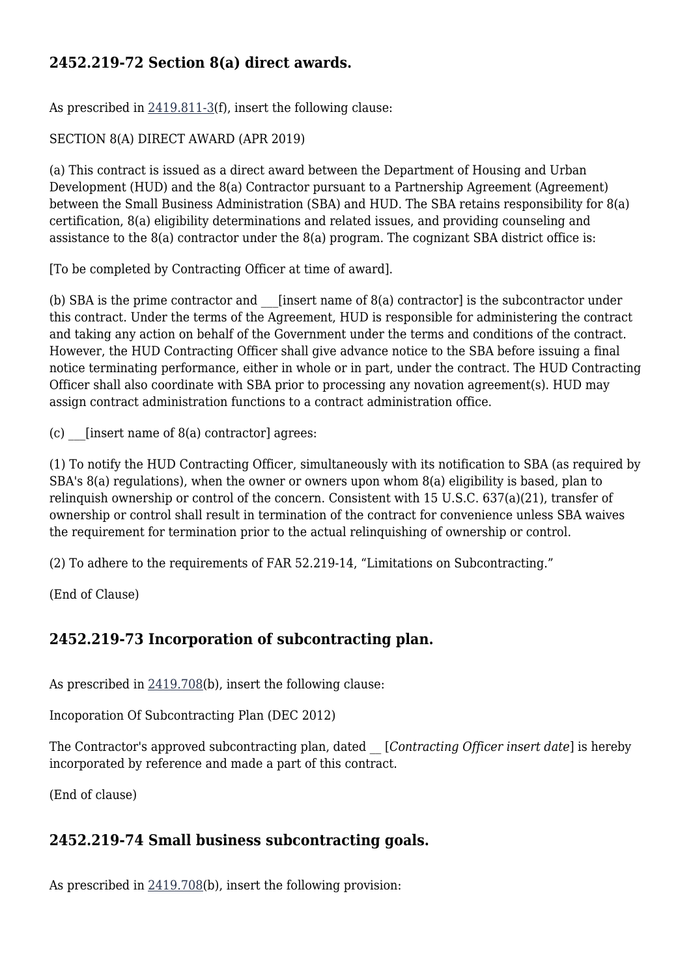### **2452.219-72 Section 8(a) direct awards.**

As prescribed in  $2419.811-3(f)$  $2419.811-3(f)$ , insert the following clause:

#### SECTION 8(A) DIRECT AWARD (APR 2019)

(a) This contract is issued as a direct award between the Department of Housing and Urban Development (HUD) and the 8(a) Contractor pursuant to a Partnership Agreement (Agreement) between the Small Business Administration (SBA) and HUD. The SBA retains responsibility for 8(a) certification, 8(a) eligibility determinations and related issues, and providing counseling and assistance to the 8(a) contractor under the 8(a) program. The cognizant SBA district office is:

[To be completed by Contracting Officer at time of award].

(b) SBA is the prime contractor and  $\blacksquare$  [insert name of 8(a) contractor] is the subcontractor under this contract. Under the terms of the Agreement, HUD is responsible for administering the contract and taking any action on behalf of the Government under the terms and conditions of the contract. However, the HUD Contracting Officer shall give advance notice to the SBA before issuing a final notice terminating performance, either in whole or in part, under the contract. The HUD Contracting Officer shall also coordinate with SBA prior to processing any novation agreement(s). HUD may assign contract administration functions to a contract administration office.

(c)  $[insert name of 8(a) contractor] agrees:$ 

(1) To notify the HUD Contracting Officer, simultaneously with its notification to SBA (as required by SBA's 8(a) regulations), when the owner or owners upon whom 8(a) eligibility is based, plan to relinquish ownership or control of the concern. Consistent with 15 U.S.C. 637(a)(21), transfer of ownership or control shall result in termination of the contract for convenience unless SBA waives the requirement for termination prior to the actual relinquishing of ownership or control.

(2) To adhere to the requirements of FAR 52.219-14, "Limitations on Subcontracting."

(End of Clause)

### **2452.219-73 Incorporation of subcontracting plan.**

As prescribed in  $2419.708(b)$  $2419.708(b)$ , insert the following clause:

Incoporation Of Subcontracting Plan (DEC 2012)

The Contractor's approved subcontracting plan, dated \_\_ [*Contracting Officer insert date*] is hereby incorporated by reference and made a part of this contract.

(End of clause)

### **2452.219-74 Small business subcontracting goals.**

As prescribed in  $2419.708(b)$  $2419.708(b)$ , insert the following provision: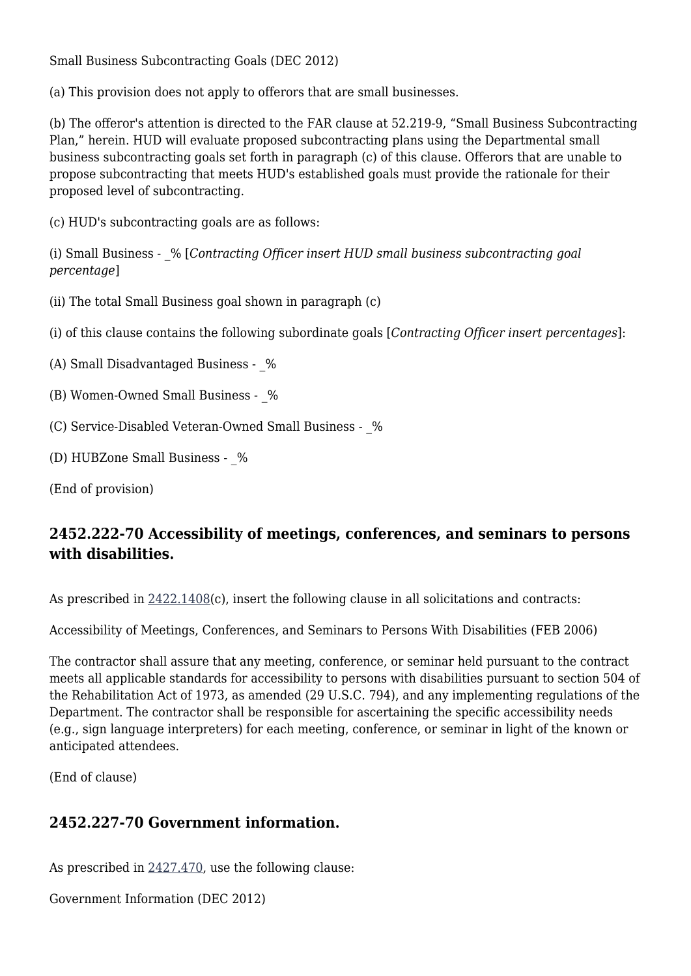Small Business Subcontracting Goals (DEC 2012)

(a) This provision does not apply to offerors that are small businesses.

(b) The offeror's attention is directed to the FAR clause at 52.219-9, "Small Business Subcontracting Plan," herein. HUD will evaluate proposed subcontracting plans using the Departmental small business subcontracting goals set forth in paragraph (c) of this clause. Offerors that are unable to propose subcontracting that meets HUD's established goals must provide the rationale for their proposed level of subcontracting.

(c) HUD's subcontracting goals are as follows:

(i) Small Business - \_% [*Contracting Officer insert HUD small business subcontracting goal percentage*]

(ii) The total Small Business goal shown in paragraph (c)

(i) of this clause contains the following subordinate goals [*Contracting Officer insert percentages*]:

(A) Small Disadvantaged Business -  $%$ 

(B) Women-Owned Small Business - %

(C) Service-Disabled Veteran-Owned Small Business -  $%$ 

(D) HUBZone Small Business - \_%

(End of provision)

### **2452.222-70 Accessibility of meetings, conferences, and seminars to persons with disabilities.**

As prescribed in  $2422.1408(c)$  $2422.1408(c)$ , insert the following clause in all solicitations and contracts:

Accessibility of Meetings, Conferences, and Seminars to Persons With Disabilities (FEB 2006)

The contractor shall assure that any meeting, conference, or seminar held pursuant to the contract meets all applicable standards for accessibility to persons with disabilities pursuant to section 504 of the Rehabilitation Act of 1973, as amended (29 U.S.C. 794), and any implementing regulations of the Department. The contractor shall be responsible for ascertaining the specific accessibility needs (e.g., sign language interpreters) for each meeting, conference, or seminar in light of the known or anticipated attendees.

(End of clause)

#### **2452.227-70 Government information.**

As prescribed in [2427.470,](https://origin-www.acquisition.gov/%5Brp:link:hudar-part-2427%5D#Section_2427_470_T48_6095123211) use the following clause:

Government Information (DEC 2012)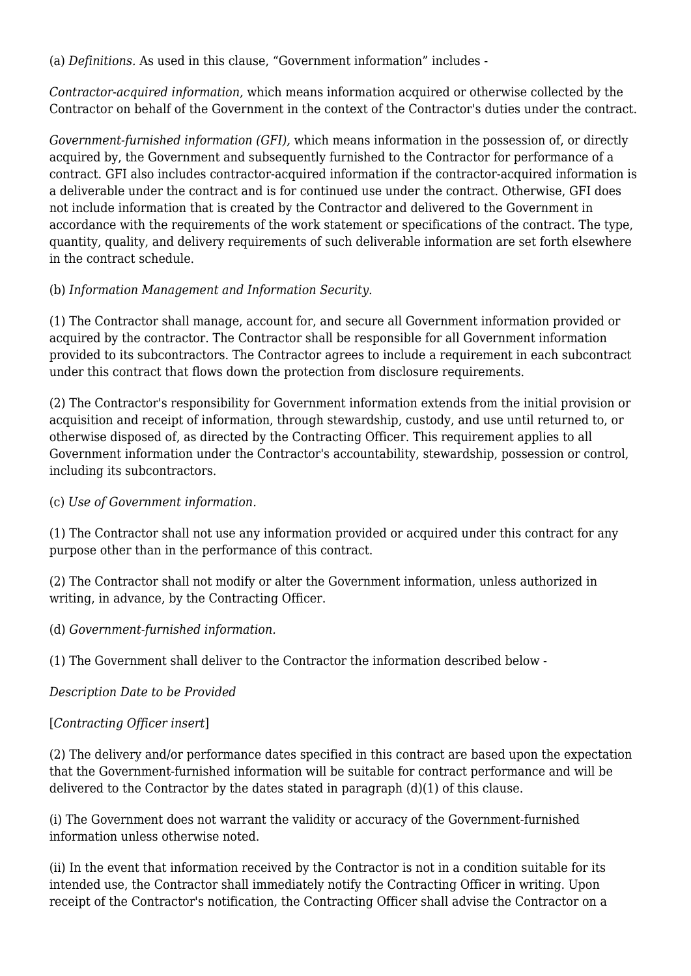(a) *Definitions.* As used in this clause, "Government information" includes -

*Contractor-acquired information,* which means information acquired or otherwise collected by the Contractor on behalf of the Government in the context of the Contractor's duties under the contract.

*Government-furnished information (GFI),* which means information in the possession of, or directly acquired by, the Government and subsequently furnished to the Contractor for performance of a contract. GFI also includes contractor-acquired information if the contractor-acquired information is a deliverable under the contract and is for continued use under the contract. Otherwise, GFI does not include information that is created by the Contractor and delivered to the Government in accordance with the requirements of the work statement or specifications of the contract. The type, quantity, quality, and delivery requirements of such deliverable information are set forth elsewhere in the contract schedule.

#### (b) *Information Management and Information Security.*

(1) The Contractor shall manage, account for, and secure all Government information provided or acquired by the contractor. The Contractor shall be responsible for all Government information provided to its subcontractors. The Contractor agrees to include a requirement in each subcontract under this contract that flows down the protection from disclosure requirements.

(2) The Contractor's responsibility for Government information extends from the initial provision or acquisition and receipt of information, through stewardship, custody, and use until returned to, or otherwise disposed of, as directed by the Contracting Officer. This requirement applies to all Government information under the Contractor's accountability, stewardship, possession or control, including its subcontractors.

(c) *Use of Government information.*

(1) The Contractor shall not use any information provided or acquired under this contract for any purpose other than in the performance of this contract.

(2) The Contractor shall not modify or alter the Government information, unless authorized in writing, in advance, by the Contracting Officer.

(d) *Government-furnished information.*

(1) The Government shall deliver to the Contractor the information described below -

#### *Description Date to be Provided*

#### [*Contracting Officer insert*]

(2) The delivery and/or performance dates specified in this contract are based upon the expectation that the Government-furnished information will be suitable for contract performance and will be delivered to the Contractor by the dates stated in paragraph (d)(1) of this clause.

(i) The Government does not warrant the validity or accuracy of the Government-furnished information unless otherwise noted.

(ii) In the event that information received by the Contractor is not in a condition suitable for its intended use, the Contractor shall immediately notify the Contracting Officer in writing. Upon receipt of the Contractor's notification, the Contracting Officer shall advise the Contractor on a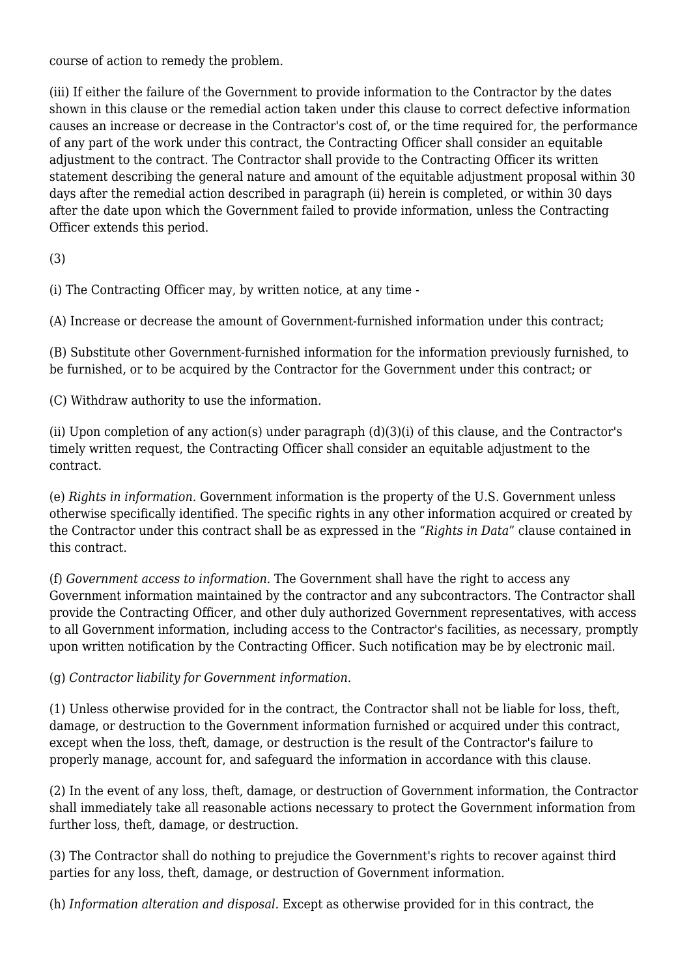course of action to remedy the problem.

(iii) If either the failure of the Government to provide information to the Contractor by the dates shown in this clause or the remedial action taken under this clause to correct defective information causes an increase or decrease in the Contractor's cost of, or the time required for, the performance of any part of the work under this contract, the Contracting Officer shall consider an equitable adjustment to the contract. The Contractor shall provide to the Contracting Officer its written statement describing the general nature and amount of the equitable adjustment proposal within 30 days after the remedial action described in paragraph (ii) herein is completed, or within 30 days after the date upon which the Government failed to provide information, unless the Contracting Officer extends this period.

(3)

(i) The Contracting Officer may, by written notice, at any time -

(A) Increase or decrease the amount of Government-furnished information under this contract;

(B) Substitute other Government-furnished information for the information previously furnished, to be furnished, or to be acquired by the Contractor for the Government under this contract; or

(C) Withdraw authority to use the information.

(ii) Upon completion of any action(s) under paragraph (d)(3)(i) of this clause, and the Contractor's timely written request, the Contracting Officer shall consider an equitable adjustment to the contract.

(e) *Rights in information.* Government information is the property of the U.S. Government unless otherwise specifically identified. The specific rights in any other information acquired or created by the Contractor under this contract shall be as expressed in the "*Rights in Data*" clause contained in this contract.

(f) *Government access to information.* The Government shall have the right to access any Government information maintained by the contractor and any subcontractors. The Contractor shall provide the Contracting Officer, and other duly authorized Government representatives, with access to all Government information, including access to the Contractor's facilities, as necessary, promptly upon written notification by the Contracting Officer. Such notification may be by electronic mail.

(g) *Contractor liability for Government information.*

(1) Unless otherwise provided for in the contract, the Contractor shall not be liable for loss, theft, damage, or destruction to the Government information furnished or acquired under this contract, except when the loss, theft, damage, or destruction is the result of the Contractor's failure to properly manage, account for, and safeguard the information in accordance with this clause.

(2) In the event of any loss, theft, damage, or destruction of Government information, the Contractor shall immediately take all reasonable actions necessary to protect the Government information from further loss, theft, damage, or destruction.

(3) The Contractor shall do nothing to prejudice the Government's rights to recover against third parties for any loss, theft, damage, or destruction of Government information.

(h) *Information alteration and disposal.* Except as otherwise provided for in this contract, the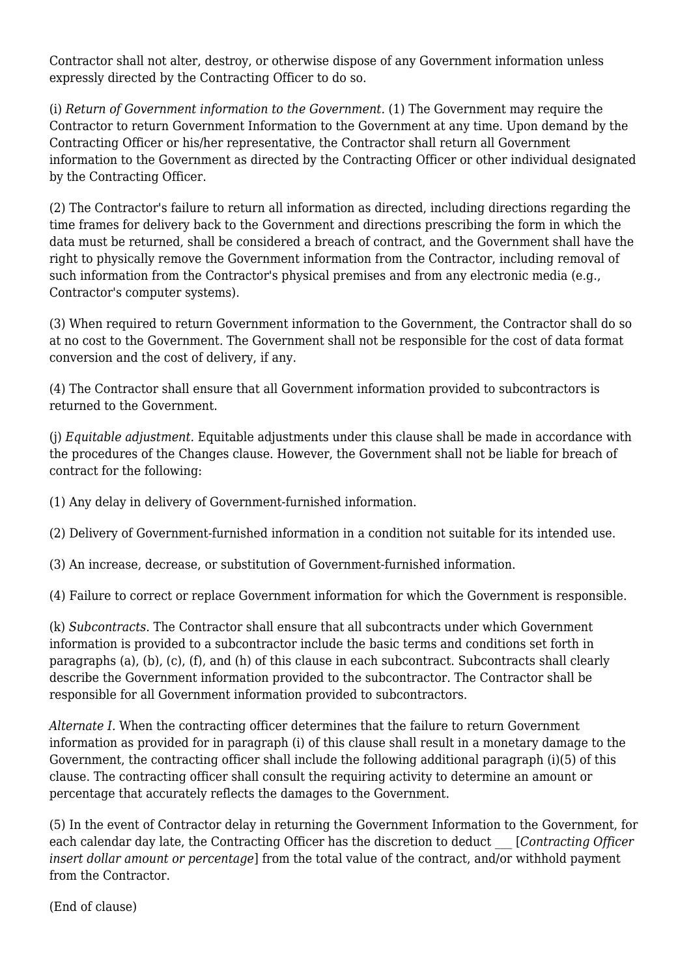Contractor shall not alter, destroy, or otherwise dispose of any Government information unless expressly directed by the Contracting Officer to do so.

(i) *Return of Government information to the Government.* (1) The Government may require the Contractor to return Government Information to the Government at any time. Upon demand by the Contracting Officer or his/her representative, the Contractor shall return all Government information to the Government as directed by the Contracting Officer or other individual designated by the Contracting Officer.

(2) The Contractor's failure to return all information as directed, including directions regarding the time frames for delivery back to the Government and directions prescribing the form in which the data must be returned, shall be considered a breach of contract, and the Government shall have the right to physically remove the Government information from the Contractor, including removal of such information from the Contractor's physical premises and from any electronic media (e.g., Contractor's computer systems).

(3) When required to return Government information to the Government, the Contractor shall do so at no cost to the Government. The Government shall not be responsible for the cost of data format conversion and the cost of delivery, if any.

(4) The Contractor shall ensure that all Government information provided to subcontractors is returned to the Government.

(j) *Equitable adjustment.* Equitable adjustments under this clause shall be made in accordance with the procedures of the Changes clause. However, the Government shall not be liable for breach of contract for the following:

(1) Any delay in delivery of Government-furnished information.

(2) Delivery of Government-furnished information in a condition not suitable for its intended use.

(3) An increase, decrease, or substitution of Government-furnished information.

(4) Failure to correct or replace Government information for which the Government is responsible.

(k) *Subcontracts.* The Contractor shall ensure that all subcontracts under which Government information is provided to a subcontractor include the basic terms and conditions set forth in paragraphs (a), (b), (c), (f), and (h) of this clause in each subcontract. Subcontracts shall clearly describe the Government information provided to the subcontractor. The Contractor shall be responsible for all Government information provided to subcontractors.

*Alternate I.* When the contracting officer determines that the failure to return Government information as provided for in paragraph (i) of this clause shall result in a monetary damage to the Government, the contracting officer shall include the following additional paragraph (i)(5) of this clause. The contracting officer shall consult the requiring activity to determine an amount or percentage that accurately reflects the damages to the Government.

(5) In the event of Contractor delay in returning the Government Information to the Government, for each calendar day late, the Contracting Officer has the discretion to deduct \_\_\_ [*Contracting Officer insert dollar amount or percentage*] from the total value of the contract, and/or withhold payment from the Contractor.

(End of clause)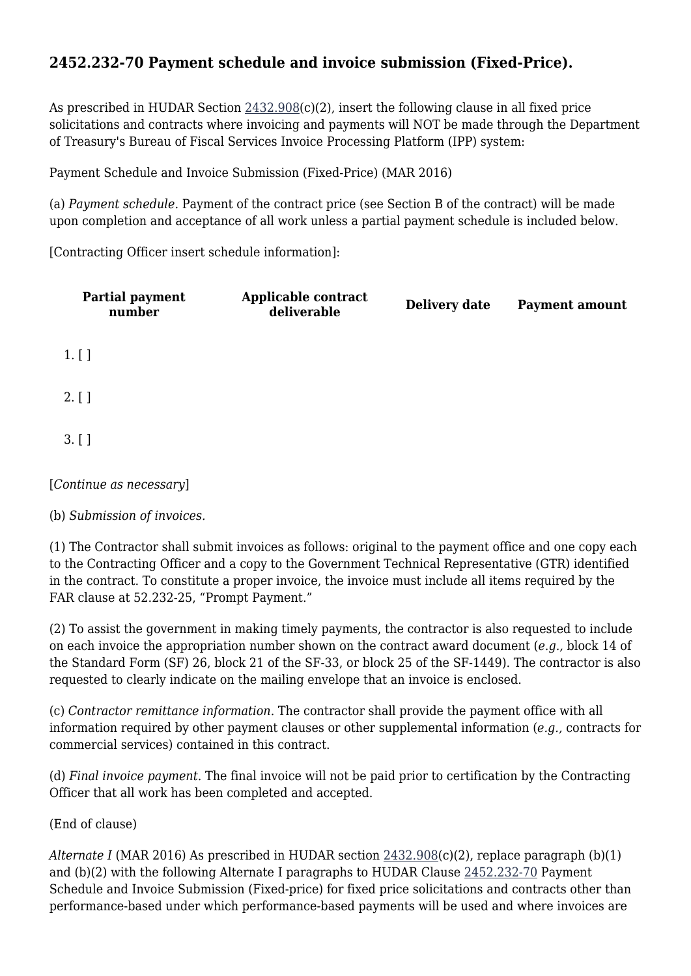### **2452.232-70 Payment schedule and invoice submission (Fixed-Price).**

As prescribed in HUDAR Section  $2432.908(c)(2)$ , insert the following clause in all fixed price solicitations and contracts where invoicing and payments will NOT be made through the Department of Treasury's Bureau of Fiscal Services Invoice Processing Platform (IPP) system:

Payment Schedule and Invoice Submission (Fixed-Price) (MAR 2016)

(a) *Payment schedule.* Payment of the contract price (see Section B of the contract) will be made upon completion and acceptance of all work unless a partial payment schedule is included below.

[Contracting Officer insert schedule information]:

| Partial payment<br>number | Applicable contract<br>deliverable | Delivery date | <b>Payment amount</b> |
|---------------------------|------------------------------------|---------------|-----------------------|
| $1.$ [ ]                  |                                    |               |                       |
| $2.$ [ ]                  |                                    |               |                       |
| 3. [ ]                    |                                    |               |                       |
| [Continue as necessary]   |                                    |               |                       |

(b) *Submission of invoices.*

(1) The Contractor shall submit invoices as follows: original to the payment office and one copy each to the Contracting Officer and a copy to the Government Technical Representative (GTR) identified in the contract. To constitute a proper invoice, the invoice must include all items required by the FAR clause at 52.232-25, "Prompt Payment."

(2) To assist the government in making timely payments, the contractor is also requested to include on each invoice the appropriation number shown on the contract award document (*e.g.,* block 14 of the Standard Form (SF) 26, block 21 of the SF-33, or block 25 of the SF-1449). The contractor is also requested to clearly indicate on the mailing envelope that an invoice is enclosed.

(c) *Contractor remittance information.* The contractor shall provide the payment office with all information required by other payment clauses or other supplemental information (*e.g.,* contracts for commercial services) contained in this contract.

(d) *Final invoice payment.* The final invoice will not be paid prior to certification by the Contracting Officer that all work has been completed and accepted.

(End of clause)

*Alternate I* (MAR 2016) As prescribed in HUDAR section [2432.908\(](https://origin-www.acquisition.gov/%5Brp:link:hudar-part-2432%5D#Section_2432_908_T48_6095226513)c)(2), replace paragraph (b)(1) and (b)(2) with the following Alternate I paragraphs to HUDAR Clause [2452.232-70](https://origin-www.acquisition.gov/%5Brp:link:hudar-part-2452%5D#Section_2452_232_70_T48_60955371130) Payment Schedule and Invoice Submission (Fixed-price) for fixed price solicitations and contracts other than performance-based under which performance-based payments will be used and where invoices are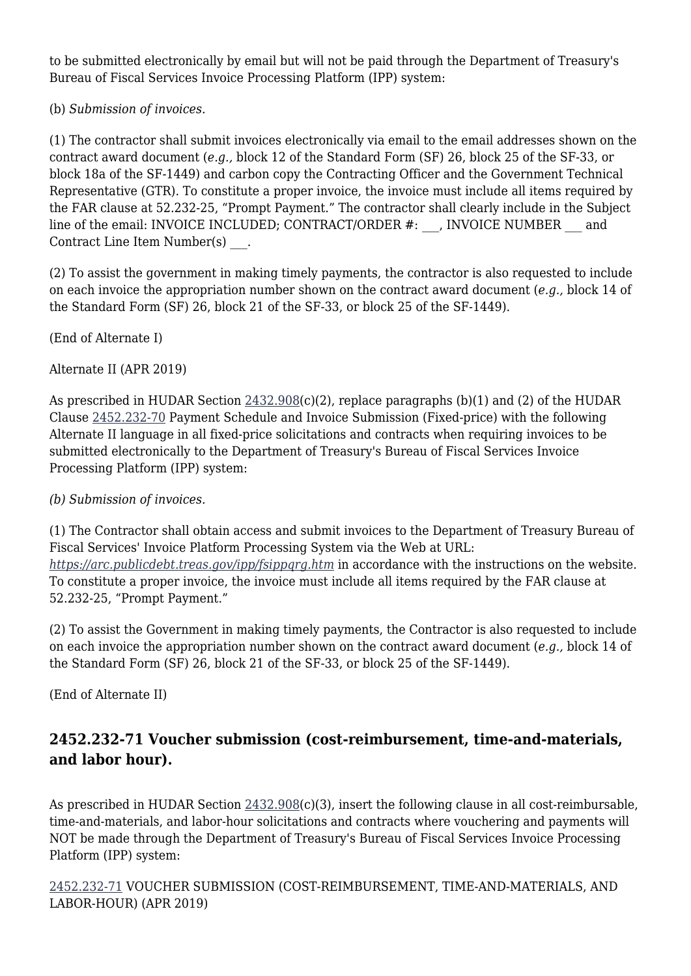to be submitted electronically by email but will not be paid through the Department of Treasury's Bureau of Fiscal Services Invoice Processing Platform (IPP) system:

(b) *Submission of invoices.*

(1) The contractor shall submit invoices electronically via email to the email addresses shown on the contract award document (*e.g.,* block 12 of the Standard Form (SF) 26, block 25 of the SF-33, or block 18a of the SF-1449) and carbon copy the Contracting Officer and the Government Technical Representative (GTR). To constitute a proper invoice, the invoice must include all items required by the FAR clause at 52.232-25, "Prompt Payment." The contractor shall clearly include in the Subject line of the email: INVOICE INCLUDED; CONTRACT/ORDER #: \_\_, INVOICE NUMBER \_\_\_ and Contract Line Item Number(s) .

(2) To assist the government in making timely payments, the contractor is also requested to include on each invoice the appropriation number shown on the contract award document (*e.g.,* block 14 of the Standard Form (SF) 26, block 21 of the SF-33, or block 25 of the SF-1449).

(End of Alternate I)

Alternate II (APR 2019)

As prescribed in HUDAR Section [2432.908](https://origin-www.acquisition.gov/%5Brp:link:hudar-part-2432%5D#Section_2432_908_T48_6095226513)(c)(2), replace paragraphs (b)(1) and (2) of the HUDAR Clause [2452.232-70](https://origin-www.acquisition.gov/%5Brp:link:hudar-part-2452%5D#Section_2452_232_70_T48_60955371130) Payment Schedule and Invoice Submission (Fixed-price) with the following Alternate II language in all fixed-price solicitations and contracts when requiring invoices to be submitted electronically to the Department of Treasury's Bureau of Fiscal Services Invoice Processing Platform (IPP) system:

#### *(b) Submission of invoices.*

(1) The Contractor shall obtain access and submit invoices to the Department of Treasury Bureau of Fiscal Services' Invoice Platform Processing System via the Web at URL: *<https://arc.publicdebt.treas.gov/ipp/fsippqrg.htm>* in accordance with the instructions on the website. To constitute a proper invoice, the invoice must include all items required by the FAR clause at 52.232-25, "Prompt Payment."

(2) To assist the Government in making timely payments, the Contractor is also requested to include on each invoice the appropriation number shown on the contract award document (*e.g.,* block 14 of the Standard Form (SF) 26, block 21 of the SF-33, or block 25 of the SF-1449).

(End of Alternate II)

### **2452.232-71 Voucher submission (cost-reimbursement, time-and-materials, and labor hour).**

As prescribed in HUDAR Section [2432.908](https://origin-www.acquisition.gov/%5Brp:link:hudar-part-2432%5D#Section_2432_908_T48_6095226513)(c)(3), insert the following clause in all cost-reimbursable, time-and-materials, and labor-hour solicitations and contracts where vouchering and payments will NOT be made through the Department of Treasury's Bureau of Fiscal Services Invoice Processing Platform (IPP) system:

[2452.232-71](https://origin-www.acquisition.gov/%5Brp:link:hudar-part-2452%5D#Section_2452_232_71_T48_60955371131) VOUCHER SUBMISSION (COST-REIMBURSEMENT, TIME-AND-MATERIALS, AND LABOR-HOUR) (APR 2019)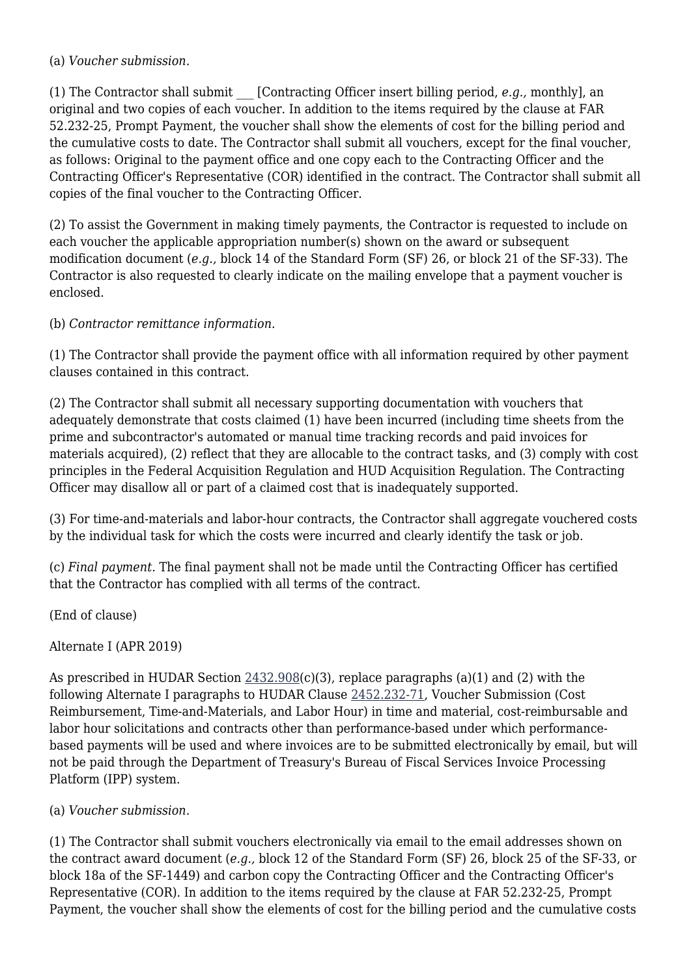#### (a) *Voucher submission.*

(1) The Contractor shall submit \_\_\_ [Contracting Officer insert billing period, *e.g.,* monthly], an original and two copies of each voucher. In addition to the items required by the clause at FAR 52.232-25, Prompt Payment, the voucher shall show the elements of cost for the billing period and the cumulative costs to date. The Contractor shall submit all vouchers, except for the final voucher, as follows: Original to the payment office and one copy each to the Contracting Officer and the Contracting Officer's Representative (COR) identified in the contract. The Contractor shall submit all copies of the final voucher to the Contracting Officer.

(2) To assist the Government in making timely payments, the Contractor is requested to include on each voucher the applicable appropriation number(s) shown on the award or subsequent modification document (*e.g.,* block 14 of the Standard Form (SF) 26, or block 21 of the SF-33). The Contractor is also requested to clearly indicate on the mailing envelope that a payment voucher is enclosed.

(b) *Contractor remittance information.*

(1) The Contractor shall provide the payment office with all information required by other payment clauses contained in this contract.

(2) The Contractor shall submit all necessary supporting documentation with vouchers that adequately demonstrate that costs claimed (1) have been incurred (including time sheets from the prime and subcontractor's automated or manual time tracking records and paid invoices for materials acquired), (2) reflect that they are allocable to the contract tasks, and (3) comply with cost principles in the Federal Acquisition Regulation and HUD Acquisition Regulation. The Contracting Officer may disallow all or part of a claimed cost that is inadequately supported.

(3) For time-and-materials and labor-hour contracts, the Contractor shall aggregate vouchered costs by the individual task for which the costs were incurred and clearly identify the task or job.

(c) *Final payment.* The final payment shall not be made until the Contracting Officer has certified that the Contractor has complied with all terms of the contract.

(End of clause)

Alternate I (APR 2019)

As prescribed in HUDAR Section [2432.908](https://origin-www.acquisition.gov/%5Brp:link:hudar-part-2432%5D#Section_2432_908_T48_6095226513)(c)(3), replace paragraphs (a)(1) and (2) with the following Alternate I paragraphs to HUDAR Clause [2452.232-71,](https://origin-www.acquisition.gov/%5Brp:link:hudar-part-2452%5D#Section_2452_232_71_T48_60955371131) Voucher Submission (Cost Reimbursement, Time-and-Materials, and Labor Hour) in time and material, cost-reimbursable and labor hour solicitations and contracts other than performance-based under which performancebased payments will be used and where invoices are to be submitted electronically by email, but will not be paid through the Department of Treasury's Bureau of Fiscal Services Invoice Processing Platform (IPP) system.

#### (a) *Voucher submission.*

(1) The Contractor shall submit vouchers electronically via email to the email addresses shown on the contract award document (*e.g.,* block 12 of the Standard Form (SF) 26, block 25 of the SF-33, or block 18a of the SF-1449) and carbon copy the Contracting Officer and the Contracting Officer's Representative (COR). In addition to the items required by the clause at FAR 52.232-25, Prompt Payment, the voucher shall show the elements of cost for the billing period and the cumulative costs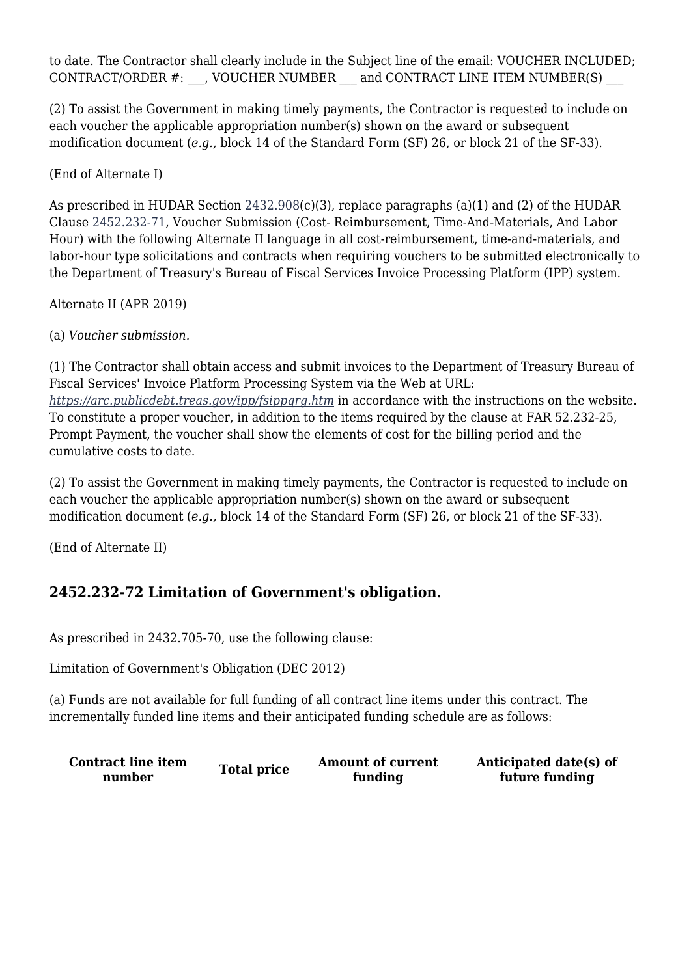to date. The Contractor shall clearly include in the Subject line of the email: VOUCHER INCLUDED; CONTRACT/ORDER #: \_\_\_, VOUCHER NUMBER \_\_\_ and CONTRACT LINE ITEM NUMBER(S) \_\_\_

(2) To assist the Government in making timely payments, the Contractor is requested to include on each voucher the applicable appropriation number(s) shown on the award or subsequent modification document (*e.g.,* block 14 of the Standard Form (SF) 26, or block 21 of the SF-33).

(End of Alternate I)

As prescribed in HUDAR Section [2432.908](https://origin-www.acquisition.gov/%5Brp:link:hudar-part-2432%5D#Section_2432_908_T48_6095226513)(c)(3), replace paragraphs (a)(1) and (2) of the HUDAR Clause [2452.232-71,](https://origin-www.acquisition.gov/%5Brp:link:hudar-part-2452%5D#Section_2452_232_71_T48_60955371131) Voucher Submission (Cost- Reimbursement, Time-And-Materials, And Labor Hour) with the following Alternate II language in all cost-reimbursement, time-and-materials, and labor-hour type solicitations and contracts when requiring vouchers to be submitted electronically to the Department of Treasury's Bureau of Fiscal Services Invoice Processing Platform (IPP) system.

Alternate II (APR 2019)

(a) *Voucher submission.*

(1) The Contractor shall obtain access and submit invoices to the Department of Treasury Bureau of Fiscal Services' Invoice Platform Processing System via the Web at URL: *<https://arc.publicdebt.treas.gov/ipp/fsippqrg.htm>* in accordance with the instructions on the website. To constitute a proper voucher, in addition to the items required by the clause at FAR 52.232-25, Prompt Payment, the voucher shall show the elements of cost for the billing period and the cumulative costs to date.

(2) To assist the Government in making timely payments, the Contractor is requested to include on each voucher the applicable appropriation number(s) shown on the award or subsequent modification document (*e.g.,* block 14 of the Standard Form (SF) 26, or block 21 of the SF-33).

(End of Alternate II)

### **2452.232-72 Limitation of Government's obligation.**

As prescribed in 2432.705-70, use the following clause:

Limitation of Government's Obligation (DEC 2012)

(a) Funds are not available for full funding of all contract line items under this contract. The incrementally funded line items and their anticipated funding schedule are as follows:

**Contract line item number Total price Amount of current funding Anticipated date(s) of future funding**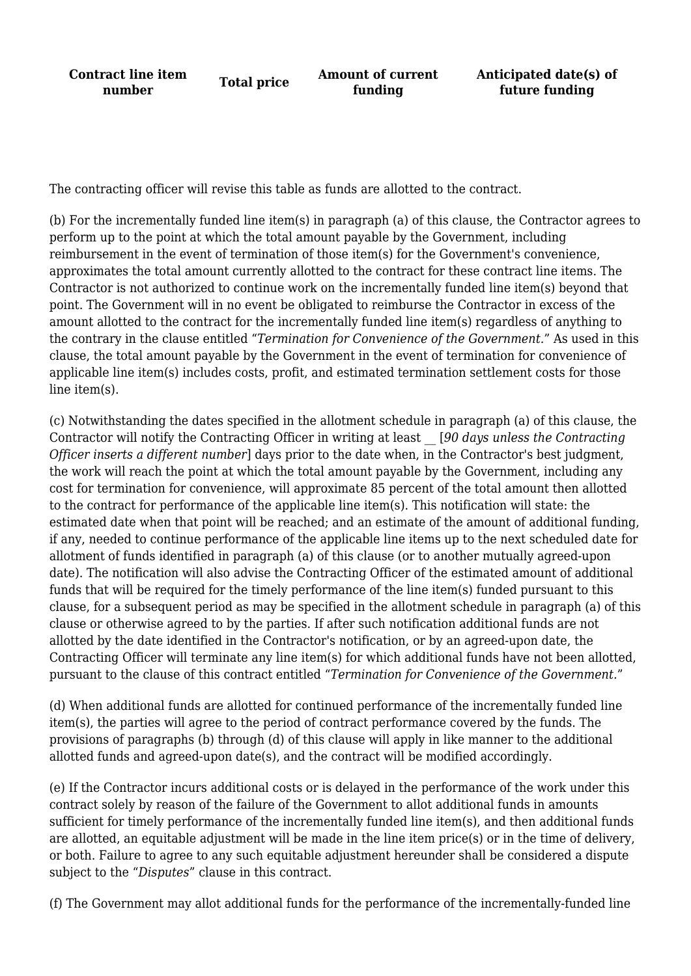**Contract line item number Total price Amount of current**<br>**number CO funding Anticipated date(s) of future funding**

The contracting officer will revise this table as funds are allotted to the contract.

(b) For the incrementally funded line item(s) in paragraph (a) of this clause, the Contractor agrees to perform up to the point at which the total amount payable by the Government, including reimbursement in the event of termination of those item(s) for the Government's convenience, approximates the total amount currently allotted to the contract for these contract line items. The Contractor is not authorized to continue work on the incrementally funded line item(s) beyond that point. The Government will in no event be obligated to reimburse the Contractor in excess of the amount allotted to the contract for the incrementally funded line item(s) regardless of anything to the contrary in the clause entitled "*Termination for Convenience of the Government.*" As used in this clause, the total amount payable by the Government in the event of termination for convenience of applicable line item(s) includes costs, profit, and estimated termination settlement costs for those line item(s).

(c) Notwithstanding the dates specified in the allotment schedule in paragraph (a) of this clause, the Contractor will notify the Contracting Officer in writing at least \_\_ [*90 days unless the Contracting Officer inserts a different number*] days prior to the date when, in the Contractor's best judgment, the work will reach the point at which the total amount payable by the Government, including any cost for termination for convenience, will approximate 85 percent of the total amount then allotted to the contract for performance of the applicable line item(s). This notification will state: the estimated date when that point will be reached; and an estimate of the amount of additional funding, if any, needed to continue performance of the applicable line items up to the next scheduled date for allotment of funds identified in paragraph (a) of this clause (or to another mutually agreed-upon date). The notification will also advise the Contracting Officer of the estimated amount of additional funds that will be required for the timely performance of the line item(s) funded pursuant to this clause, for a subsequent period as may be specified in the allotment schedule in paragraph (a) of this clause or otherwise agreed to by the parties. If after such notification additional funds are not allotted by the date identified in the Contractor's notification, or by an agreed-upon date, the Contracting Officer will terminate any line item(s) for which additional funds have not been allotted, pursuant to the clause of this contract entitled "*Termination for Convenience of the Government.*"

(d) When additional funds are allotted for continued performance of the incrementally funded line item(s), the parties will agree to the period of contract performance covered by the funds. The provisions of paragraphs (b) through (d) of this clause will apply in like manner to the additional allotted funds and agreed-upon date(s), and the contract will be modified accordingly.

(e) If the Contractor incurs additional costs or is delayed in the performance of the work under this contract solely by reason of the failure of the Government to allot additional funds in amounts sufficient for timely performance of the incrementally funded line item(s), and then additional funds are allotted, an equitable adjustment will be made in the line item price(s) or in the time of delivery, or both. Failure to agree to any such equitable adjustment hereunder shall be considered a dispute subject to the "*Disputes*" clause in this contract.

(f) The Government may allot additional funds for the performance of the incrementally-funded line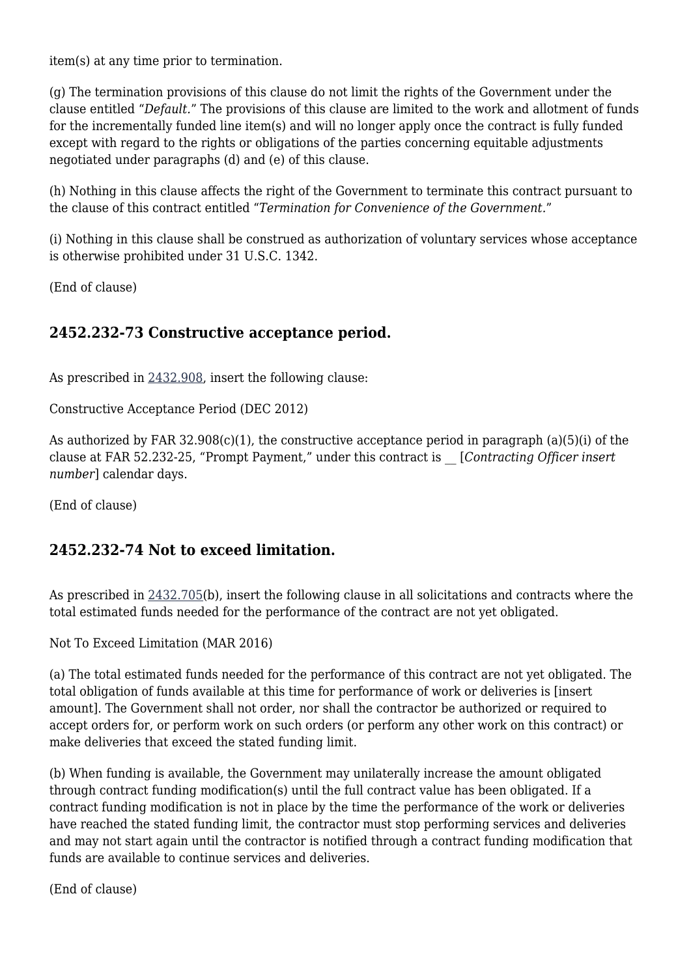item(s) at any time prior to termination.

(g) The termination provisions of this clause do not limit the rights of the Government under the clause entitled "*Default.*" The provisions of this clause are limited to the work and allotment of funds for the incrementally funded line item(s) and will no longer apply once the contract is fully funded except with regard to the rights or obligations of the parties concerning equitable adjustments negotiated under paragraphs (d) and (e) of this clause.

(h) Nothing in this clause affects the right of the Government to terminate this contract pursuant to the clause of this contract entitled "*Termination for Convenience of the Government.*"

(i) Nothing in this clause shall be construed as authorization of voluntary services whose acceptance is otherwise prohibited under 31 U.S.C. 1342.

(End of clause)

### **2452.232-73 Constructive acceptance period.**

As prescribed in [2432.908,](https://origin-www.acquisition.gov/%5Brp:link:hudar-part-2432%5D#Section_2432_908_T48_6095226513) insert the following clause:

Constructive Acceptance Period (DEC 2012)

As authorized by FAR 32.908(c)(1), the constructive acceptance period in paragraph (a)(5)(i) of the clause at FAR 52.232-25, "Prompt Payment," under this contract is \_\_ [*Contracting Officer insert number*] calendar days.

(End of clause)

### **2452.232-74 Not to exceed limitation.**

As prescribed in [2432.705\(](https://origin-www.acquisition.gov/%5Brp:link:hudar-part-2432%5D#Section_2432_705_T48_6095226415)b), insert the following clause in all solicitations and contracts where the total estimated funds needed for the performance of the contract are not yet obligated.

Not To Exceed Limitation (MAR 2016)

(a) The total estimated funds needed for the performance of this contract are not yet obligated. The total obligation of funds available at this time for performance of work or deliveries is [insert amount]. The Government shall not order, nor shall the contractor be authorized or required to accept orders for, or perform work on such orders (or perform any other work on this contract) or make deliveries that exceed the stated funding limit.

(b) When funding is available, the Government may unilaterally increase the amount obligated through contract funding modification(s) until the full contract value has been obligated. If a contract funding modification is not in place by the time the performance of the work or deliveries have reached the stated funding limit, the contractor must stop performing services and deliveries and may not start again until the contractor is notified through a contract funding modification that funds are available to continue services and deliveries.

(End of clause)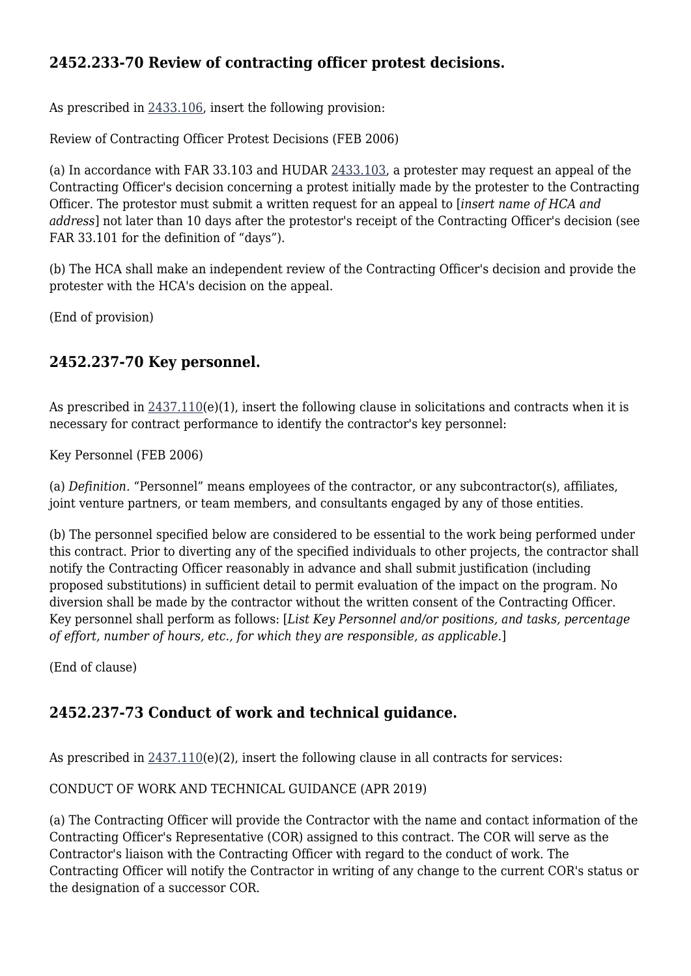### **2452.233-70 Review of contracting officer protest decisions.**

As prescribed in [2433.106,](https://origin-www.acquisition.gov/%5Brp:link:hudar-part-2433%5D#Section_2433_106_T48_6095227115) insert the following provision:

Review of Contracting Officer Protest Decisions (FEB 2006)

(a) In accordance with FAR 33.103 and HUDAR [2433.103,](https://origin-www.acquisition.gov/%5Brp:link:hudar-part-2433%5D#Section_2433_103_T48_6095227113) a protester may request an appeal of the Contracting Officer's decision concerning a protest initially made by the protester to the Contracting Officer. The protestor must submit a written request for an appeal to [*insert name of HCA and address*] not later than 10 days after the protestor's receipt of the Contracting Officer's decision (see FAR 33.101 for the definition of "days").

(b) The HCA shall make an independent review of the Contracting Officer's decision and provide the protester with the HCA's decision on the appeal.

(End of provision)

### **2452.237-70 Key personnel.**

As prescribed in  $2437.110(e)(1)$  $2437.110(e)(1)$ , insert the following clause in solicitations and contracts when it is necessary for contract performance to identify the contractor's key personnel:

Key Personnel (FEB 2006)

(a) *Definition.* "Personnel" means employees of the contractor, or any subcontractor(s), affiliates, joint venture partners, or team members, and consultants engaged by any of those entities.

(b) The personnel specified below are considered to be essential to the work being performed under this contract. Prior to diverting any of the specified individuals to other projects, the contractor shall notify the Contracting Officer reasonably in advance and shall submit justification (including proposed substitutions) in sufficient detail to permit evaluation of the impact on the program. No diversion shall be made by the contractor without the written consent of the Contracting Officer. Key personnel shall perform as follows: [*List Key Personnel and/or positions, and tasks, percentage of effort, number of hours, etc., for which they are responsible, as applicable.*]

(End of clause)

### **2452.237-73 Conduct of work and technical guidance.**

As prescribed in  $2437.110(e)(2)$  $2437.110(e)(2)$ , insert the following clause in all contracts for services:

CONDUCT OF WORK AND TECHNICAL GUIDANCE (APR 2019)

(a) The Contracting Officer will provide the Contractor with the name and contact information of the Contracting Officer's Representative (COR) assigned to this contract. The COR will serve as the Contractor's liaison with the Contracting Officer with regard to the conduct of work. The Contracting Officer will notify the Contractor in writing of any change to the current COR's status or the designation of a successor COR.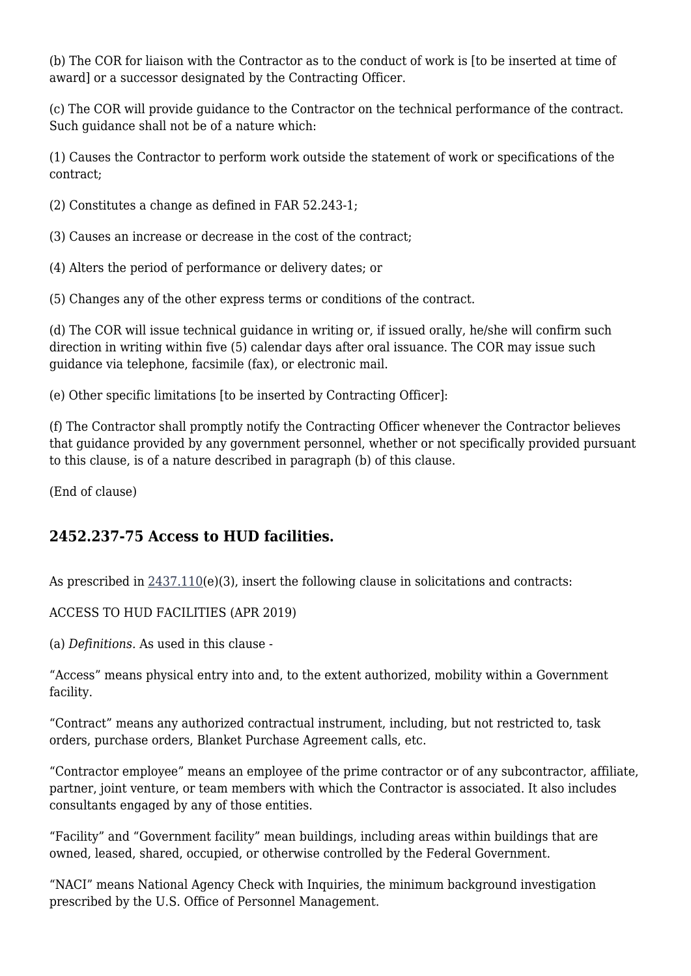(b) The COR for liaison with the Contractor as to the conduct of work is [to be inserted at time of award] or a successor designated by the Contracting Officer.

(c) The COR will provide guidance to the Contractor on the technical performance of the contract. Such guidance shall not be of a nature which:

(1) Causes the Contractor to perform work outside the statement of work or specifications of the contract;

(2) Constitutes a change as defined in FAR 52.243-1;

(3) Causes an increase or decrease in the cost of the contract;

(4) Alters the period of performance or delivery dates; or

(5) Changes any of the other express terms or conditions of the contract.

(d) The COR will issue technical guidance in writing or, if issued orally, he/she will confirm such direction in writing within five (5) calendar days after oral issuance. The COR may issue such guidance via telephone, facsimile (fax), or electronic mail.

(e) Other specific limitations [to be inserted by Contracting Officer]:

(f) The Contractor shall promptly notify the Contracting Officer whenever the Contractor believes that guidance provided by any government personnel, whether or not specifically provided pursuant to this clause, is of a nature described in paragraph (b) of this clause.

(End of clause)

### **2452.237-75 Access to HUD facilities.**

As prescribed in  $2437.110(e)(3)$  $2437.110(e)(3)$ , insert the following clause in solicitations and contracts:

ACCESS TO HUD FACILITIES (APR 2019)

(a) *Definitions.* As used in this clause -

"Access" means physical entry into and, to the extent authorized, mobility within a Government facility.

"Contract" means any authorized contractual instrument, including, but not restricted to, task orders, purchase orders, Blanket Purchase Agreement calls, etc.

"Contractor employee" means an employee of the prime contractor or of any subcontractor, affiliate, partner, joint venture, or team members with which the Contractor is associated. It also includes consultants engaged by any of those entities.

"Facility" and "Government facility" mean buildings, including areas within buildings that are owned, leased, shared, occupied, or otherwise controlled by the Federal Government.

"NACI" means National Agency Check with Inquiries, the minimum background investigation prescribed by the U.S. Office of Personnel Management.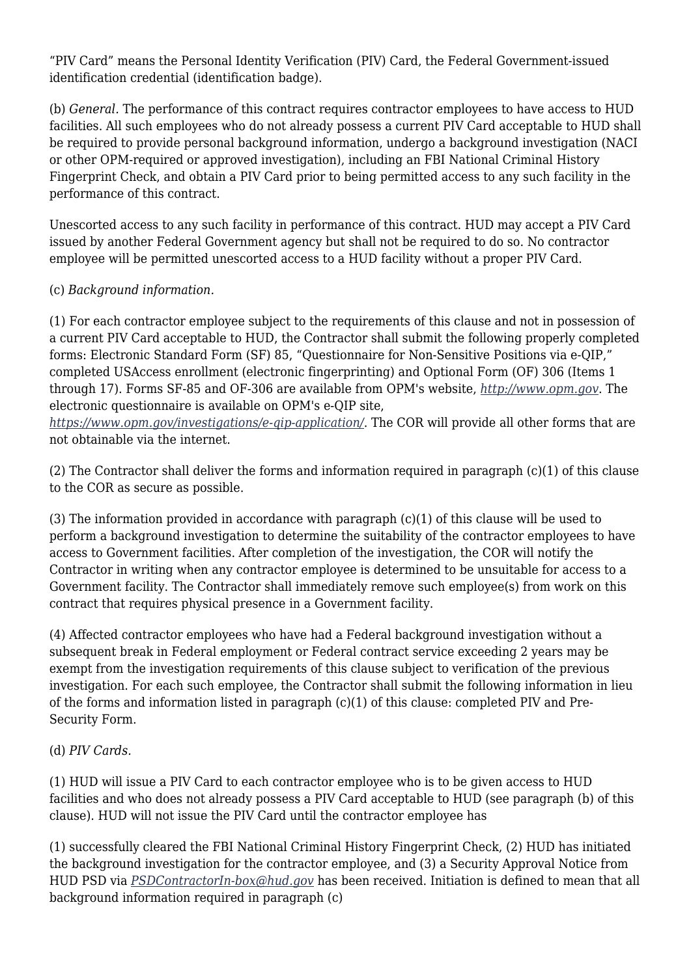"PIV Card" means the Personal Identity Verification (PIV) Card, the Federal Government-issued identification credential (identification badge).

(b) *General.* The performance of this contract requires contractor employees to have access to HUD facilities. All such employees who do not already possess a current PIV Card acceptable to HUD shall be required to provide personal background information, undergo a background investigation (NACI or other OPM-required or approved investigation), including an FBI National Criminal History Fingerprint Check, and obtain a PIV Card prior to being permitted access to any such facility in the performance of this contract.

Unescorted access to any such facility in performance of this contract. HUD may accept a PIV Card issued by another Federal Government agency but shall not be required to do so. No contractor employee will be permitted unescorted access to a HUD facility without a proper PIV Card.

#### (c) *Background information.*

(1) For each contractor employee subject to the requirements of this clause and not in possession of a current PIV Card acceptable to HUD, the Contractor shall submit the following properly completed forms: Electronic Standard Form (SF) 85, "Questionnaire for Non-Sensitive Positions via e-QIP," completed USAccess enrollment (electronic fingerprinting) and Optional Form (OF) 306 (Items 1 through 17). Forms SF-85 and OF-306 are available from OPM's website, *<http://www.opm.gov>*. The electronic questionnaire is available on OPM's e-QIP site,

*<https://www.opm.gov/investigations/e-qip-application/>*. The COR will provide all other forms that are not obtainable via the internet.

(2) The Contractor shall deliver the forms and information required in paragraph (c)(1) of this clause to the COR as secure as possible.

(3) The information provided in accordance with paragraph (c)(1) of this clause will be used to perform a background investigation to determine the suitability of the contractor employees to have access to Government facilities. After completion of the investigation, the COR will notify the Contractor in writing when any contractor employee is determined to be unsuitable for access to a Government facility. The Contractor shall immediately remove such employee(s) from work on this contract that requires physical presence in a Government facility.

(4) Affected contractor employees who have had a Federal background investigation without a subsequent break in Federal employment or Federal contract service exceeding 2 years may be exempt from the investigation requirements of this clause subject to verification of the previous investigation. For each such employee, the Contractor shall submit the following information in lieu of the forms and information listed in paragraph (c)(1) of this clause: completed PIV and Pre-Security Form.

#### (d) *PIV Cards.*

(1) HUD will issue a PIV Card to each contractor employee who is to be given access to HUD facilities and who does not already possess a PIV Card acceptable to HUD (see paragraph (b) of this clause). HUD will not issue the PIV Card until the contractor employee has

(1) successfully cleared the FBI National Criminal History Fingerprint Check, (2) HUD has initiated the background investigation for the contractor employee, and (3) a Security Approval Notice from HUD PSD via *[PSDContractorIn-box@hud.gov](mailto:PSDContractorIn-box@hud.gov)* has been received. Initiation is defined to mean that all background information required in paragraph (c)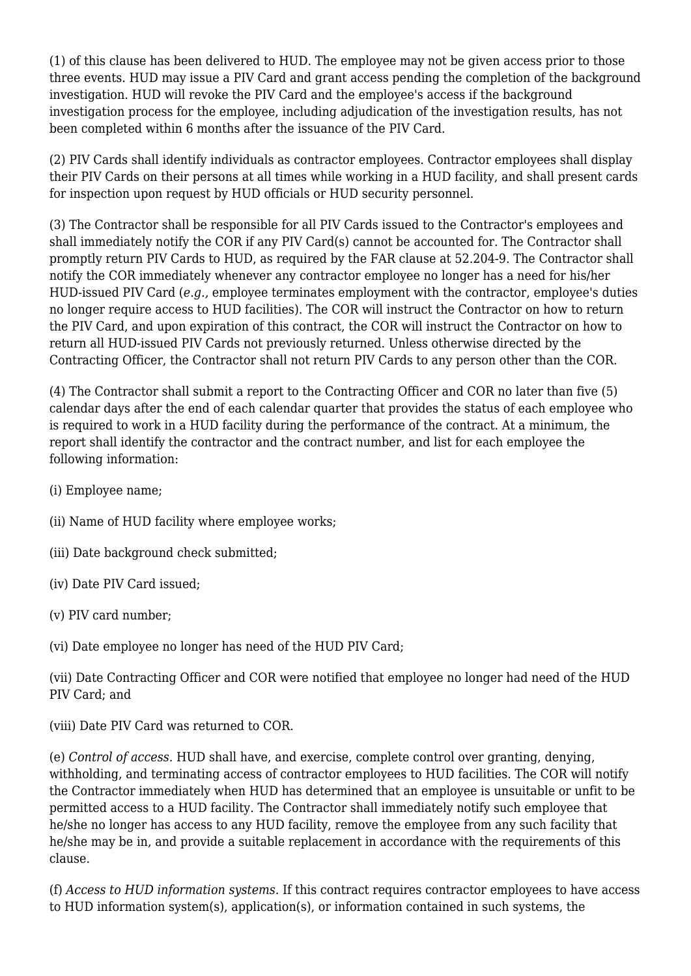(1) of this clause has been delivered to HUD. The employee may not be given access prior to those three events. HUD may issue a PIV Card and grant access pending the completion of the background investigation. HUD will revoke the PIV Card and the employee's access if the background investigation process for the employee, including adjudication of the investigation results, has not been completed within 6 months after the issuance of the PIV Card.

(2) PIV Cards shall identify individuals as contractor employees. Contractor employees shall display their PIV Cards on their persons at all times while working in a HUD facility, and shall present cards for inspection upon request by HUD officials or HUD security personnel.

(3) The Contractor shall be responsible for all PIV Cards issued to the Contractor's employees and shall immediately notify the COR if any PIV Card(s) cannot be accounted for. The Contractor shall promptly return PIV Cards to HUD, as required by the FAR clause at 52.204-9. The Contractor shall notify the COR immediately whenever any contractor employee no longer has a need for his/her HUD-issued PIV Card (*e.g.,* employee terminates employment with the contractor, employee's duties no longer require access to HUD facilities). The COR will instruct the Contractor on how to return the PIV Card, and upon expiration of this contract, the COR will instruct the Contractor on how to return all HUD-issued PIV Cards not previously returned. Unless otherwise directed by the Contracting Officer, the Contractor shall not return PIV Cards to any person other than the COR.

(4) The Contractor shall submit a report to the Contracting Officer and COR no later than five (5) calendar days after the end of each calendar quarter that provides the status of each employee who is required to work in a HUD facility during the performance of the contract. At a minimum, the report shall identify the contractor and the contract number, and list for each employee the following information:

- (i) Employee name;
- (ii) Name of HUD facility where employee works;
- (iii) Date background check submitted;
- (iv) Date PIV Card issued;
- (v) PIV card number;
- (vi) Date employee no longer has need of the HUD PIV Card;

(vii) Date Contracting Officer and COR were notified that employee no longer had need of the HUD PIV Card; and

(viii) Date PIV Card was returned to COR.

(e) *Control of access.* HUD shall have, and exercise, complete control over granting, denying, withholding, and terminating access of contractor employees to HUD facilities. The COR will notify the Contractor immediately when HUD has determined that an employee is unsuitable or unfit to be permitted access to a HUD facility. The Contractor shall immediately notify such employee that he/she no longer has access to any HUD facility, remove the employee from any such facility that he/she may be in, and provide a suitable replacement in accordance with the requirements of this clause.

(f) *Access to HUD information systems.* If this contract requires contractor employees to have access to HUD information system(s), application(s), or information contained in such systems, the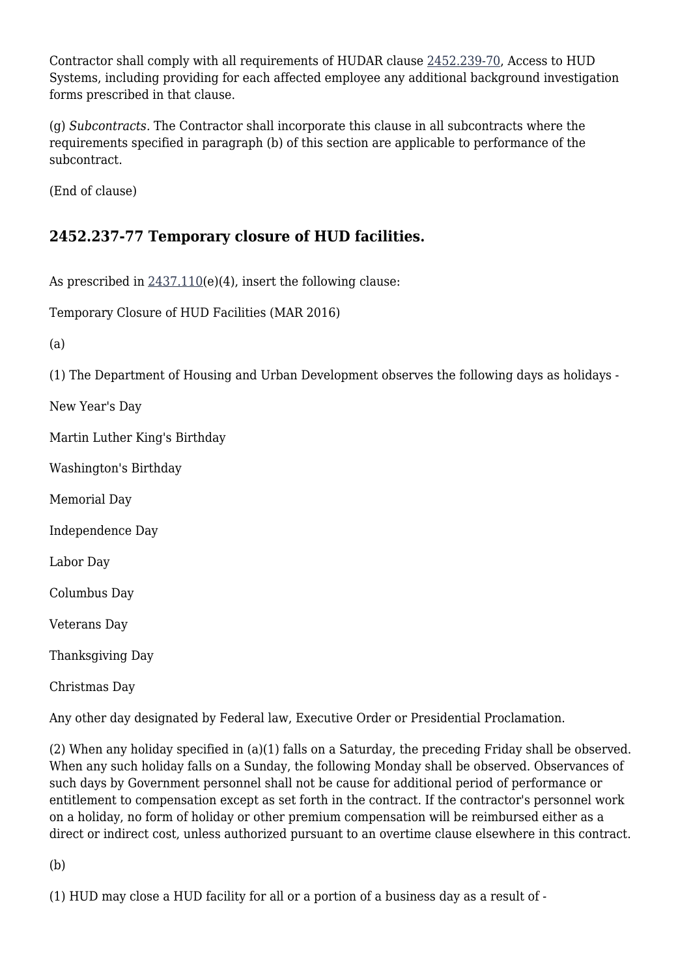Contractor shall comply with all requirements of HUDAR clause [2452.239-70](https://origin-www.acquisition.gov/%5Brp:link:hudar-part-2452%5D#Section_2452_239_70_T48_60955371144), Access to HUD Systems, including providing for each affected employee any additional background investigation forms prescribed in that clause.

(g) *Subcontracts.* The Contractor shall incorporate this clause in all subcontracts where the requirements specified in paragraph (b) of this section are applicable to performance of the subcontract.

(End of clause)

### **2452.237-77 Temporary closure of HUD facilities.**

As prescribed in  $2437.110(e)(4)$  $2437.110(e)(4)$ , insert the following clause:

Temporary Closure of HUD Facilities (MAR 2016)

(a)

(1) The Department of Housing and Urban Development observes the following days as holidays -

New Year's Day

Martin Luther King's Birthday

Washington's Birthday

Memorial Day

Independence Day

Labor Day

Columbus Day

Veterans Day

Thanksgiving Day

Christmas Day

Any other day designated by Federal law, Executive Order or Presidential Proclamation.

(2) When any holiday specified in (a)(1) falls on a Saturday, the preceding Friday shall be observed. When any such holiday falls on a Sunday, the following Monday shall be observed. Observances of such days by Government personnel shall not be cause for additional period of performance or entitlement to compensation except as set forth in the contract. If the contractor's personnel work on a holiday, no form of holiday or other premium compensation will be reimbursed either as a direct or indirect cost, unless authorized pursuant to an overtime clause elsewhere in this contract.

(b)

(1) HUD may close a HUD facility for all or a portion of a business day as a result of -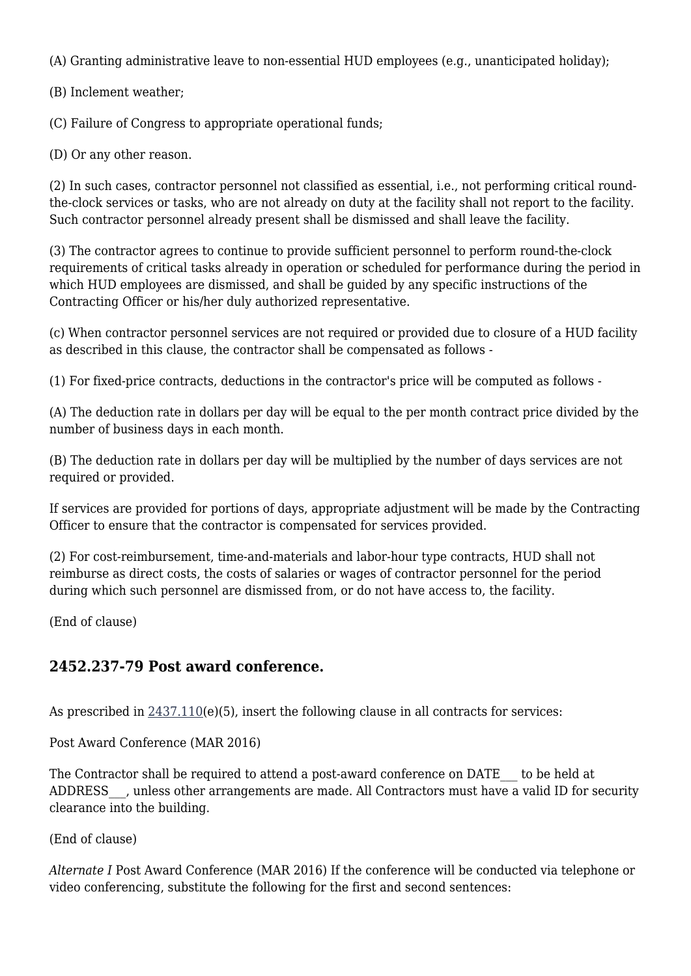(A) Granting administrative leave to non-essential HUD employees (e.g., unanticipated holiday);

(B) Inclement weather;

(C) Failure of Congress to appropriate operational funds;

(D) Or any other reason.

(2) In such cases, contractor personnel not classified as essential, i.e., not performing critical roundthe-clock services or tasks, who are not already on duty at the facility shall not report to the facility. Such contractor personnel already present shall be dismissed and shall leave the facility.

(3) The contractor agrees to continue to provide sufficient personnel to perform round-the-clock requirements of critical tasks already in operation or scheduled for performance during the period in which HUD employees are dismissed, and shall be guided by any specific instructions of the Contracting Officer or his/her duly authorized representative.

(c) When contractor personnel services are not required or provided due to closure of a HUD facility as described in this clause, the contractor shall be compensated as follows -

(1) For fixed-price contracts, deductions in the contractor's price will be computed as follows -

(A) The deduction rate in dollars per day will be equal to the per month contract price divided by the number of business days in each month.

(B) The deduction rate in dollars per day will be multiplied by the number of days services are not required or provided.

If services are provided for portions of days, appropriate adjustment will be made by the Contracting Officer to ensure that the contractor is compensated for services provided.

(2) For cost-reimbursement, time-and-materials and labor-hour type contracts, HUD shall not reimburse as direct costs, the costs of salaries or wages of contractor personnel for the period during which such personnel are dismissed from, or do not have access to, the facility.

(End of clause)

### **2452.237-79 Post award conference.**

As prescribed in  $2437.110(e)(5)$  $2437.110(e)(5)$ , insert the following clause in all contracts for services:

Post Award Conference (MAR 2016)

The Contractor shall be required to attend a post-award conference on DATE — to be held at ADDRESS , unless other arrangements are made. All Contractors must have a valid ID for security clearance into the building.

(End of clause)

*Alternate I* Post Award Conference (MAR 2016) If the conference will be conducted via telephone or video conferencing, substitute the following for the first and second sentences: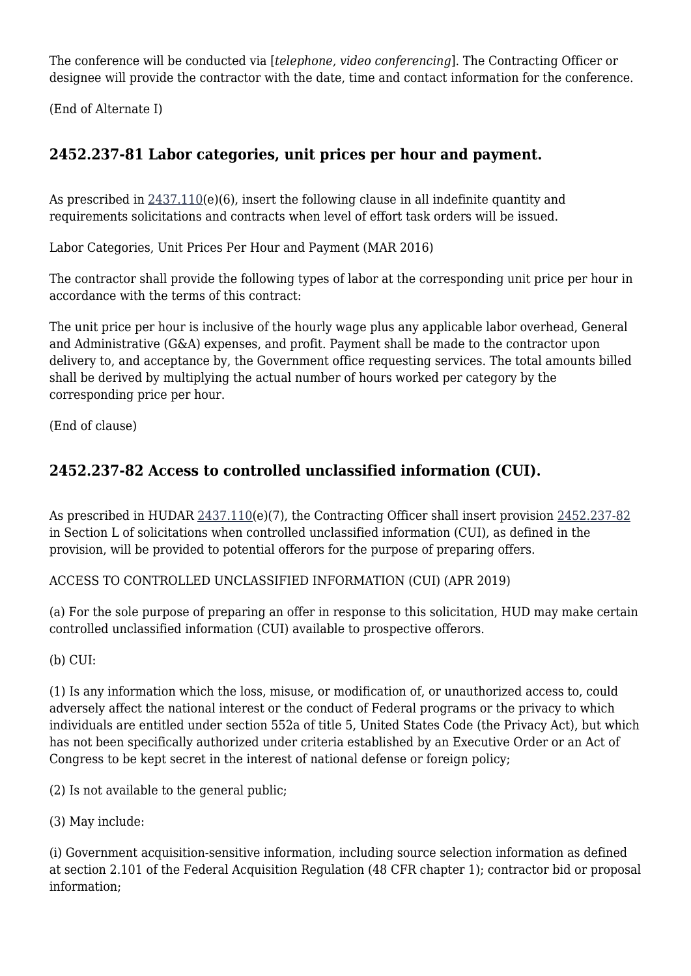The conference will be conducted via [*telephone, video conferencing*]. The Contracting Officer or designee will provide the contractor with the date, time and contact information for the conference.

(End of Alternate I)

### **2452.237-81 Labor categories, unit prices per hour and payment.**

As prescribed in [2437.110\(](https://origin-www.acquisition.gov/%5Brp:link:hudar-part-2437%5D#Section_2437_110_T48_6095330111)e)(6), insert the following clause in all indefinite quantity and requirements solicitations and contracts when level of effort task orders will be issued.

Labor Categories, Unit Prices Per Hour and Payment (MAR 2016)

The contractor shall provide the following types of labor at the corresponding unit price per hour in accordance with the terms of this contract:

The unit price per hour is inclusive of the hourly wage plus any applicable labor overhead, General and Administrative (G&A) expenses, and profit. Payment shall be made to the contractor upon delivery to, and acceptance by, the Government office requesting services. The total amounts billed shall be derived by multiplying the actual number of hours worked per category by the corresponding price per hour.

(End of clause)

### **2452.237-82 Access to controlled unclassified information (CUI).**

As prescribed in HUDAR [2437.110\(](https://origin-www.acquisition.gov/%5Brp:link:hudar-part-2437%5D#Section_2437_110_T48_6095330111)e)(7), the Contracting Officer shall insert provision [2452.237-82](https://origin-www.acquisition.gov/%5Brp:link:hudar-part-2452%5D#Section_2452_237_82_T48_60955371142) in Section L of solicitations when controlled unclassified information (CUI), as defined in the provision, will be provided to potential offerors for the purpose of preparing offers.

ACCESS TO CONTROLLED UNCLASSIFIED INFORMATION (CUI) (APR 2019)

(a) For the sole purpose of preparing an offer in response to this solicitation, HUD may make certain controlled unclassified information (CUI) available to prospective offerors.

(b) CUI:

(1) Is any information which the loss, misuse, or modification of, or unauthorized access to, could adversely affect the national interest or the conduct of Federal programs or the privacy to which individuals are entitled under section 552a of title 5, United States Code (the Privacy Act), but which has not been specifically authorized under criteria established by an Executive Order or an Act of Congress to be kept secret in the interest of national defense or foreign policy;

(2) Is not available to the general public;

(3) May include:

(i) Government acquisition-sensitive information, including source selection information as defined at section 2.101 of the Federal Acquisition Regulation (48 CFR chapter 1); contractor bid or proposal information;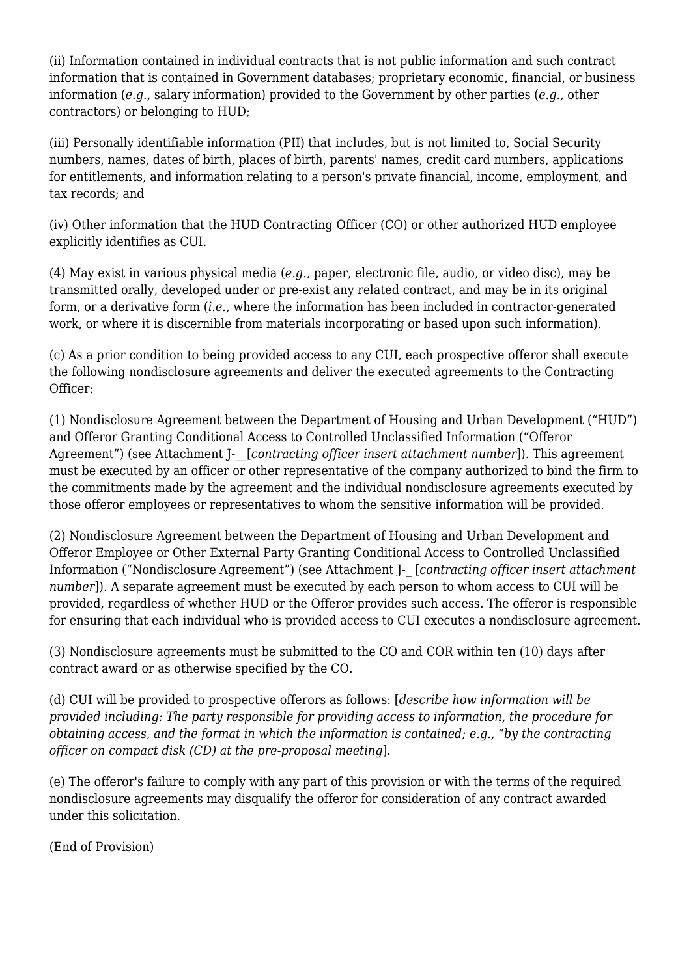(ii) Information contained in individual contracts that is not public information and such contract information that is contained in Government databases; proprietary economic, financial, or business information (*e.g.,* salary information) provided to the Government by other parties (*e.g.,* other contractors) or belonging to HUD;

(iii) Personally identifiable information (PII) that includes, but is not limited to, Social Security numbers, names, dates of birth, places of birth, parents' names, credit card numbers, applications for entitlements, and information relating to a person's private financial, income, employment, and tax records; and

(iv) Other information that the HUD Contracting Officer (CO) or other authorized HUD employee explicitly identifies as CUI.

(4) May exist in various physical media (*e.g.,* paper, electronic file, audio, or video disc), may be transmitted orally, developed under or pre-exist any related contract, and may be in its original form, or a derivative form (*i.e.,* where the information has been included in contractor-generated work, or where it is discernible from materials incorporating or based upon such information).

(c) As a prior condition to being provided access to any CUI, each prospective offeror shall execute the following nondisclosure agreements and deliver the executed agreements to the Contracting Officer:

(1) Nondisclosure Agreement between the Department of Housing and Urban Development ("HUD") and Offeror Granting Conditional Access to Controlled Unclassified Information ("Offeror Agreement") (see Attachment J- [*contracting officer insert attachment number*]). This agreement must be executed by an officer or other representative of the company authorized to bind the firm to the commitments made by the agreement and the individual nondisclosure agreements executed by those offeror employees or representatives to whom the sensitive information will be provided.

(2) Nondisclosure Agreement between the Department of Housing and Urban Development and Offeror Employee or Other External Party Granting Conditional Access to Controlled Unclassified Information ("Nondisclosure Agreement") (see Attachment J-\_ [*contracting officer insert attachment number*]). A separate agreement must be executed by each person to whom access to CUI will be provided, regardless of whether HUD or the Offeror provides such access. The offeror is responsible for ensuring that each individual who is provided access to CUI executes a nondisclosure agreement.

(3) Nondisclosure agreements must be submitted to the CO and COR within ten (10) days after contract award or as otherwise specified by the CO.

(d) CUI will be provided to prospective offerors as follows: [*describe how information will be provided including: The party responsible for providing access to information, the procedure for obtaining access, and the format in which the information is contained; e.g., "by the contracting officer on compact disk (CD) at the pre-proposal meeting*].

(e) The offeror's failure to comply with any part of this provision or with the terms of the required nondisclosure agreements may disqualify the offeror for consideration of any contract awarded under this solicitation.

(End of Provision)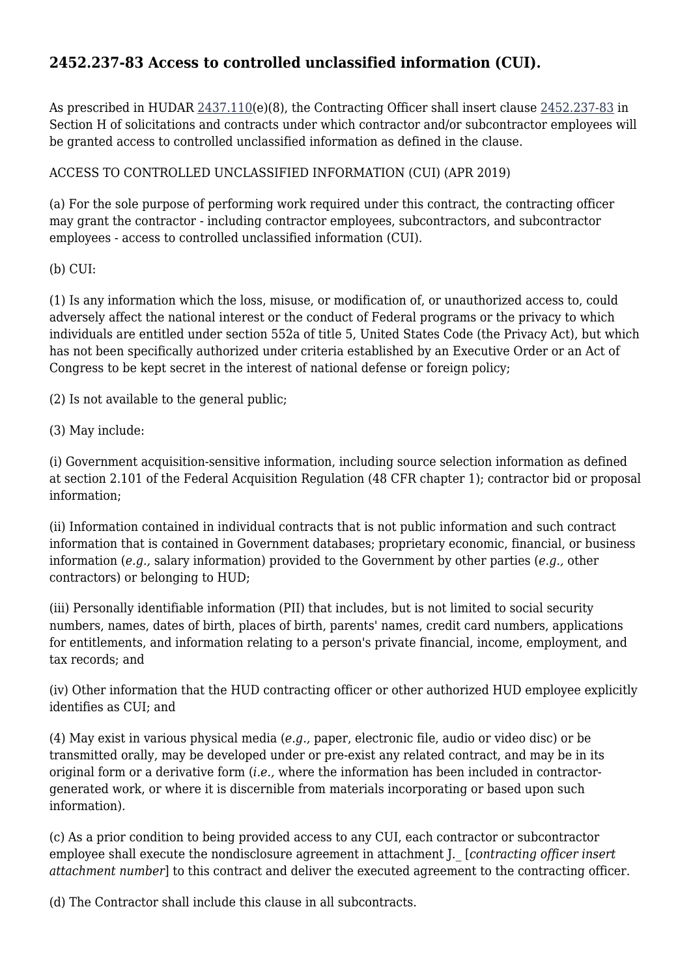### **2452.237-83 Access to controlled unclassified information (CUI).**

As prescribed in HUDAR [2437.110\(](https://origin-www.acquisition.gov/%5Brp:link:hudar-part-2437%5D#Section_2437_110_T48_6095330111)e)(8), the Contracting Officer shall insert clause [2452.237-83](https://origin-www.acquisition.gov/%5Brp:link:hudar-part-2452%5D#Section_2452_237_83_T48_60955371143) in Section H of solicitations and contracts under which contractor and/or subcontractor employees will be granted access to controlled unclassified information as defined in the clause.

ACCESS TO CONTROLLED UNCLASSIFIED INFORMATION (CUI) (APR 2019)

(a) For the sole purpose of performing work required under this contract, the contracting officer may grant the contractor - including contractor employees, subcontractors, and subcontractor employees - access to controlled unclassified information (CUI).

(b) CUI:

(1) Is any information which the loss, misuse, or modification of, or unauthorized access to, could adversely affect the national interest or the conduct of Federal programs or the privacy to which individuals are entitled under section 552a of title 5, United States Code (the Privacy Act), but which has not been specifically authorized under criteria established by an Executive Order or an Act of Congress to be kept secret in the interest of national defense or foreign policy;

(2) Is not available to the general public;

(3) May include:

(i) Government acquisition-sensitive information, including source selection information as defined at section 2.101 of the Federal Acquisition Regulation (48 CFR chapter 1); contractor bid or proposal information;

(ii) Information contained in individual contracts that is not public information and such contract information that is contained in Government databases; proprietary economic, financial, or business information (*e.g.,* salary information) provided to the Government by other parties (*e.g.,* other contractors) or belonging to HUD;

(iii) Personally identifiable information (PII) that includes, but is not limited to social security numbers, names, dates of birth, places of birth, parents' names, credit card numbers, applications for entitlements, and information relating to a person's private financial, income, employment, and tax records; and

(iv) Other information that the HUD contracting officer or other authorized HUD employee explicitly identifies as CUI; and

(4) May exist in various physical media (*e.g.,* paper, electronic file, audio or video disc) or be transmitted orally, may be developed under or pre-exist any related contract, and may be in its original form or a derivative form (*i.e.,* where the information has been included in contractorgenerated work, or where it is discernible from materials incorporating or based upon such information).

(c) As a prior condition to being provided access to any CUI, each contractor or subcontractor employee shall execute the nondisclosure agreement in attachment J.\_ [*contracting officer insert attachment number*] to this contract and deliver the executed agreement to the contracting officer.

(d) The Contractor shall include this clause in all subcontracts.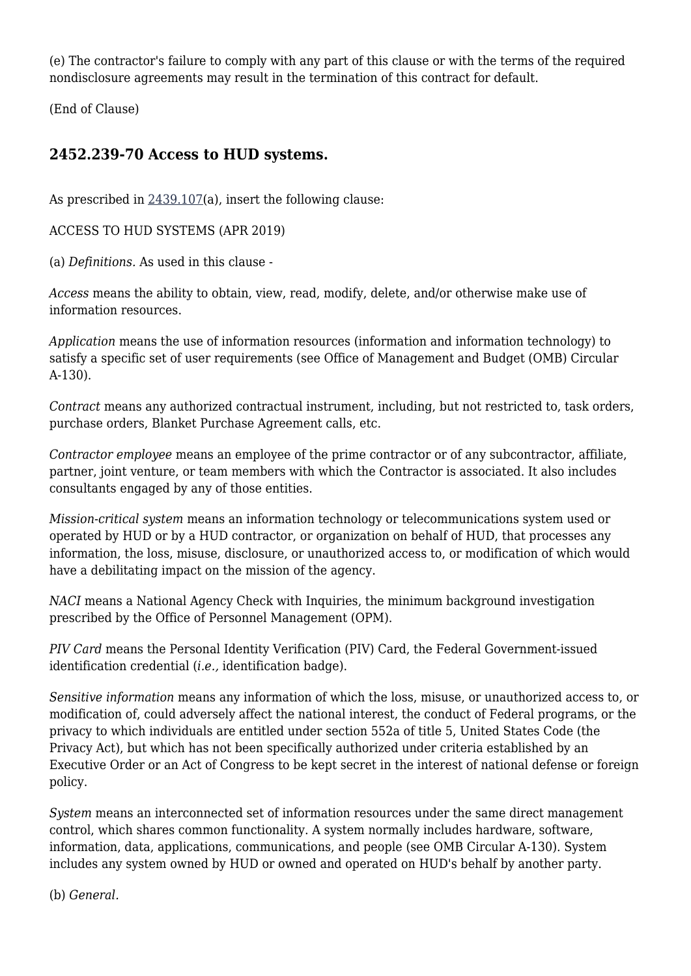(e) The contractor's failure to comply with any part of this clause or with the terms of the required nondisclosure agreements may result in the termination of this contract for default.

(End of Clause)

### **2452.239-70 Access to HUD systems.**

As prescribed in [2439.107\(](https://origin-www.acquisition.gov/%5Brp:link:hudar-part-2437%5D#Section_2439_107_T48_6095330211)a), insert the following clause:

ACCESS TO HUD SYSTEMS (APR 2019)

(a) *Definitions.* As used in this clause -

*Access* means the ability to obtain, view, read, modify, delete, and/or otherwise make use of information resources.

*Application* means the use of information resources (information and information technology) to satisfy a specific set of user requirements (see Office of Management and Budget (OMB) Circular A-130).

*Contract* means any authorized contractual instrument, including, but not restricted to, task orders, purchase orders, Blanket Purchase Agreement calls, etc.

*Contractor employee* means an employee of the prime contractor or of any subcontractor, affiliate, partner, joint venture, or team members with which the Contractor is associated. It also includes consultants engaged by any of those entities.

*Mission-critical system* means an information technology or telecommunications system used or operated by HUD or by a HUD contractor, or organization on behalf of HUD, that processes any information, the loss, misuse, disclosure, or unauthorized access to, or modification of which would have a debilitating impact on the mission of the agency.

*NACI* means a National Agency Check with Inquiries, the minimum background investigation prescribed by the Office of Personnel Management (OPM).

*PIV Card* means the Personal Identity Verification (PIV) Card, the Federal Government-issued identification credential (*i.e.,* identification badge).

*Sensitive information* means any information of which the loss, misuse, or unauthorized access to, or modification of, could adversely affect the national interest, the conduct of Federal programs, or the privacy to which individuals are entitled under section 552a of title 5, United States Code (the Privacy Act), but which has not been specifically authorized under criteria established by an Executive Order or an Act of Congress to be kept secret in the interest of national defense or foreign policy.

*System* means an interconnected set of information resources under the same direct management control, which shares common functionality. A system normally includes hardware, software, information, data, applications, communications, and people (see OMB Circular A-130). System includes any system owned by HUD or owned and operated on HUD's behalf by another party.

(b) *General.*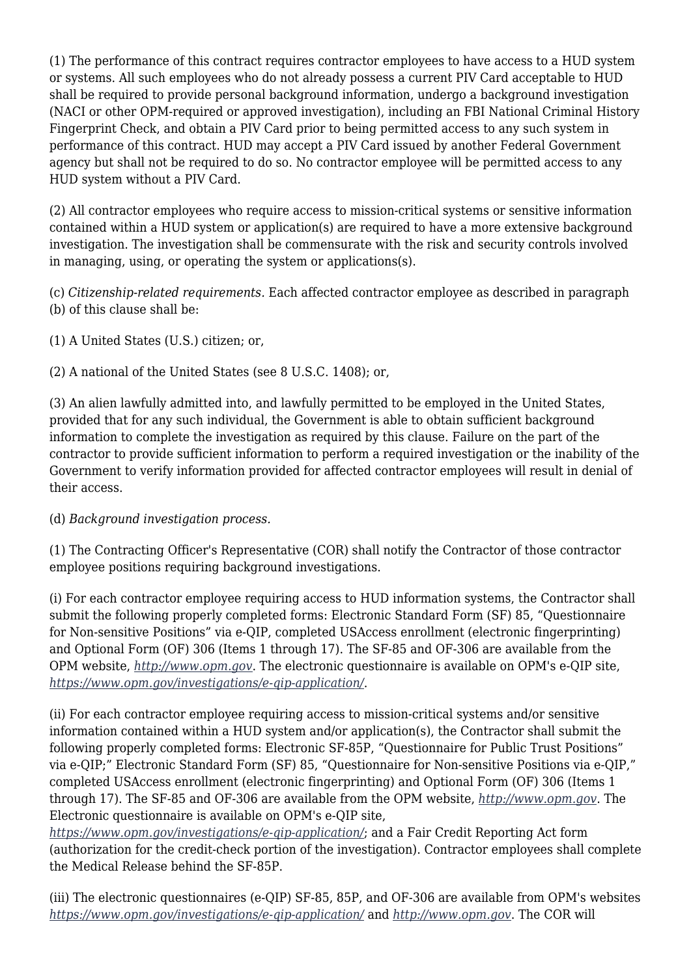(1) The performance of this contract requires contractor employees to have access to a HUD system or systems. All such employees who do not already possess a current PIV Card acceptable to HUD shall be required to provide personal background information, undergo a background investigation (NACI or other OPM-required or approved investigation), including an FBI National Criminal History Fingerprint Check, and obtain a PIV Card prior to being permitted access to any such system in performance of this contract. HUD may accept a PIV Card issued by another Federal Government agency but shall not be required to do so. No contractor employee will be permitted access to any HUD system without a PIV Card.

(2) All contractor employees who require access to mission-critical systems or sensitive information contained within a HUD system or application(s) are required to have a more extensive background investigation. The investigation shall be commensurate with the risk and security controls involved in managing, using, or operating the system or applications(s).

(c) *Citizenship-related requirements.* Each affected contractor employee as described in paragraph (b) of this clause shall be:

(1) A United States (U.S.) citizen; or,

(2) A national of the United States (see 8 U.S.C. 1408); or,

(3) An alien lawfully admitted into, and lawfully permitted to be employed in the United States, provided that for any such individual, the Government is able to obtain sufficient background information to complete the investigation as required by this clause. Failure on the part of the contractor to provide sufficient information to perform a required investigation or the inability of the Government to verify information provided for affected contractor employees will result in denial of their access.

(d) *Background investigation process.*

(1) The Contracting Officer's Representative (COR) shall notify the Contractor of those contractor employee positions requiring background investigations.

(i) For each contractor employee requiring access to HUD information systems, the Contractor shall submit the following properly completed forms: Electronic Standard Form (SF) 85, "Questionnaire for Non-sensitive Positions" via e-QIP, completed USAccess enrollment (electronic fingerprinting) and Optional Form (OF) 306 (Items 1 through 17). The SF-85 and OF-306 are available from the OPM website, *<http://www.opm.gov>*. The electronic questionnaire is available on OPM's e-QIP site, *<https://www.opm.gov/investigations/e-qip-application/>*.

(ii) For each contractor employee requiring access to mission-critical systems and/or sensitive information contained within a HUD system and/or application(s), the Contractor shall submit the following properly completed forms: Electronic SF-85P, "Questionnaire for Public Trust Positions" via e-QIP;" Electronic Standard Form (SF) 85, "Questionnaire for Non-sensitive Positions via e-QIP," completed USAccess enrollment (electronic fingerprinting) and Optional Form (OF) 306 (Items 1 through 17). The SF-85 and OF-306 are available from the OPM website, *<http://www.opm.gov>*. The Electronic questionnaire is available on OPM's e-QIP site,

*<https://www.opm.gov/investigations/e-qip-application/>*; and a Fair Credit Reporting Act form (authorization for the credit-check portion of the investigation). Contractor employees shall complete the Medical Release behind the SF-85P.

(iii) The electronic questionnaires (e-QIP) SF-85, 85P, and OF-306 are available from OPM's websites *<https://www.opm.gov/investigations/e-qip-application/>* and *<http://www.opm.gov>*. The COR will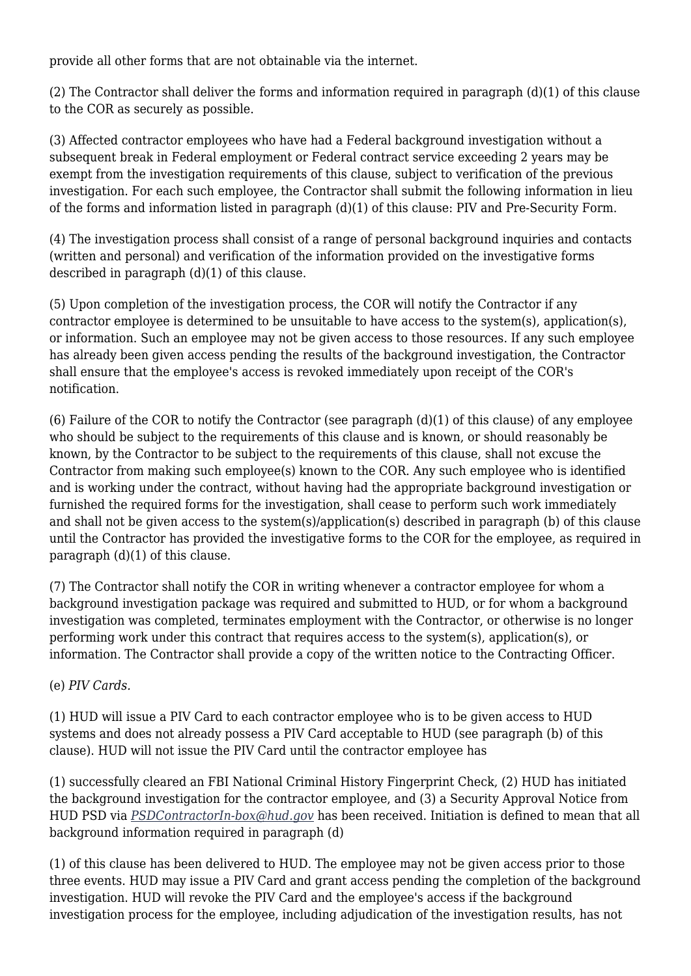provide all other forms that are not obtainable via the internet.

(2) The Contractor shall deliver the forms and information required in paragraph (d)(1) of this clause to the COR as securely as possible.

(3) Affected contractor employees who have had a Federal background investigation without a subsequent break in Federal employment or Federal contract service exceeding 2 years may be exempt from the investigation requirements of this clause, subject to verification of the previous investigation. For each such employee, the Contractor shall submit the following information in lieu of the forms and information listed in paragraph (d)(1) of this clause: PIV and Pre-Security Form.

(4) The investigation process shall consist of a range of personal background inquiries and contacts (written and personal) and verification of the information provided on the investigative forms described in paragraph (d)(1) of this clause.

(5) Upon completion of the investigation process, the COR will notify the Contractor if any contractor employee is determined to be unsuitable to have access to the system(s), application(s), or information. Such an employee may not be given access to those resources. If any such employee has already been given access pending the results of the background investigation, the Contractor shall ensure that the employee's access is revoked immediately upon receipt of the COR's notification.

(6) Failure of the COR to notify the Contractor (see paragraph (d)(1) of this clause) of any employee who should be subject to the requirements of this clause and is known, or should reasonably be known, by the Contractor to be subject to the requirements of this clause, shall not excuse the Contractor from making such employee(s) known to the COR. Any such employee who is identified and is working under the contract, without having had the appropriate background investigation or furnished the required forms for the investigation, shall cease to perform such work immediately and shall not be given access to the system(s)/application(s) described in paragraph (b) of this clause until the Contractor has provided the investigative forms to the COR for the employee, as required in paragraph (d)(1) of this clause.

(7) The Contractor shall notify the COR in writing whenever a contractor employee for whom a background investigation package was required and submitted to HUD, or for whom a background investigation was completed, terminates employment with the Contractor, or otherwise is no longer performing work under this contract that requires access to the system(s), application(s), or information. The Contractor shall provide a copy of the written notice to the Contracting Officer.

#### (e) *PIV Cards.*

(1) HUD will issue a PIV Card to each contractor employee who is to be given access to HUD systems and does not already possess a PIV Card acceptable to HUD (see paragraph (b) of this clause). HUD will not issue the PIV Card until the contractor employee has

(1) successfully cleared an FBI National Criminal History Fingerprint Check, (2) HUD has initiated the background investigation for the contractor employee, and (3) a Security Approval Notice from HUD PSD via *[PSDContractorIn-box@hud.gov](mailto:PSDContractorIn-box@hud.gov)* has been received. Initiation is defined to mean that all background information required in paragraph (d)

(1) of this clause has been delivered to HUD. The employee may not be given access prior to those three events. HUD may issue a PIV Card and grant access pending the completion of the background investigation. HUD will revoke the PIV Card and the employee's access if the background investigation process for the employee, including adjudication of the investigation results, has not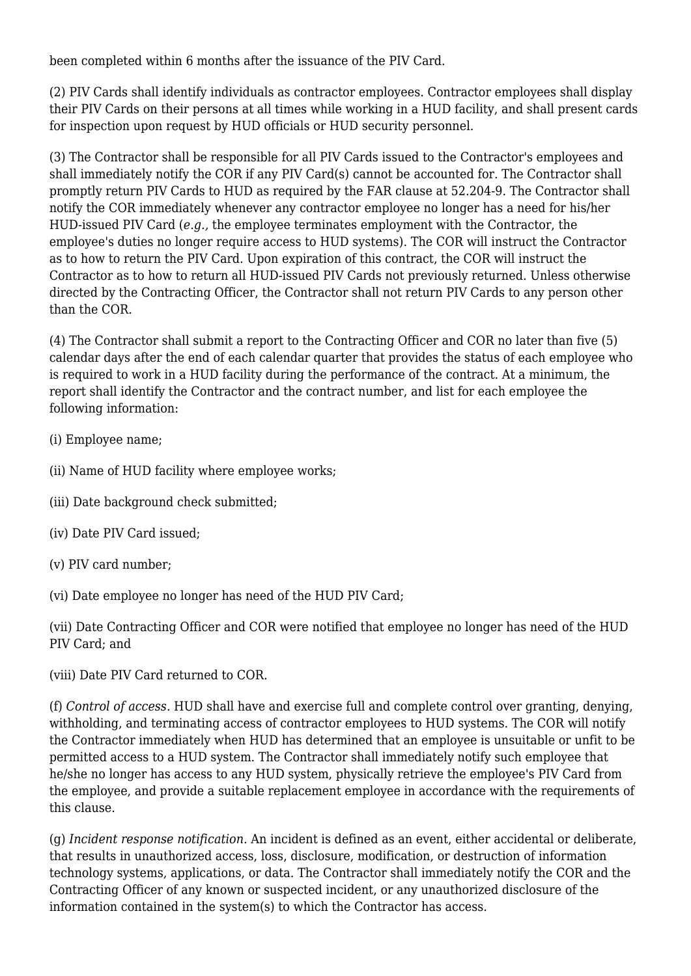been completed within 6 months after the issuance of the PIV Card.

(2) PIV Cards shall identify individuals as contractor employees. Contractor employees shall display their PIV Cards on their persons at all times while working in a HUD facility, and shall present cards for inspection upon request by HUD officials or HUD security personnel.

(3) The Contractor shall be responsible for all PIV Cards issued to the Contractor's employees and shall immediately notify the COR if any PIV Card(s) cannot be accounted for. The Contractor shall promptly return PIV Cards to HUD as required by the FAR clause at 52.204-9. The Contractor shall notify the COR immediately whenever any contractor employee no longer has a need for his/her HUD-issued PIV Card (*e.g.*, the employee terminates employment with the Contractor, the employee's duties no longer require access to HUD systems). The COR will instruct the Contractor as to how to return the PIV Card. Upon expiration of this contract, the COR will instruct the Contractor as to how to return all HUD-issued PIV Cards not previously returned. Unless otherwise directed by the Contracting Officer, the Contractor shall not return PIV Cards to any person other than the COR.

(4) The Contractor shall submit a report to the Contracting Officer and COR no later than five (5) calendar days after the end of each calendar quarter that provides the status of each employee who is required to work in a HUD facility during the performance of the contract. At a minimum, the report shall identify the Contractor and the contract number, and list for each employee the following information:

- (i) Employee name;
- (ii) Name of HUD facility where employee works;
- (iii) Date background check submitted;
- (iv) Date PIV Card issued;
- (v) PIV card number;
- (vi) Date employee no longer has need of the HUD PIV Card;

(vii) Date Contracting Officer and COR were notified that employee no longer has need of the HUD PIV Card; and

(viii) Date PIV Card returned to COR.

(f) *Control of access.* HUD shall have and exercise full and complete control over granting, denying, withholding, and terminating access of contractor employees to HUD systems. The COR will notify the Contractor immediately when HUD has determined that an employee is unsuitable or unfit to be permitted access to a HUD system. The Contractor shall immediately notify such employee that he/she no longer has access to any HUD system, physically retrieve the employee's PIV Card from the employee, and provide a suitable replacement employee in accordance with the requirements of this clause.

(g) *Incident response notification.* An incident is defined as an event, either accidental or deliberate, that results in unauthorized access, loss, disclosure, modification, or destruction of information technology systems, applications, or data. The Contractor shall immediately notify the COR and the Contracting Officer of any known or suspected incident, or any unauthorized disclosure of the information contained in the system(s) to which the Contractor has access.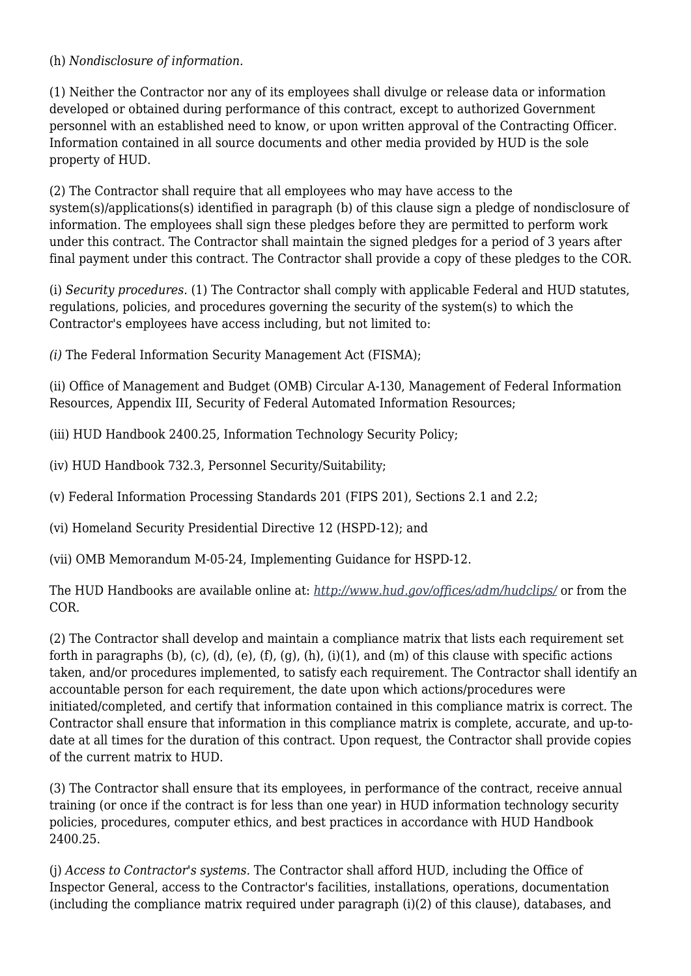#### (h) *Nondisclosure of information.*

(1) Neither the Contractor nor any of its employees shall divulge or release data or information developed or obtained during performance of this contract, except to authorized Government personnel with an established need to know, or upon written approval of the Contracting Officer. Information contained in all source documents and other media provided by HUD is the sole property of HUD.

(2) The Contractor shall require that all employees who may have access to the system(s)/applications(s) identified in paragraph (b) of this clause sign a pledge of nondisclosure of information. The employees shall sign these pledges before they are permitted to perform work under this contract. The Contractor shall maintain the signed pledges for a period of 3 years after final payment under this contract. The Contractor shall provide a copy of these pledges to the COR.

(i) *Security procedures.* (1) The Contractor shall comply with applicable Federal and HUD statutes, regulations, policies, and procedures governing the security of the system(s) to which the Contractor's employees have access including, but not limited to:

*(i)* The Federal Information Security Management Act (FISMA);

(ii) Office of Management and Budget (OMB) Circular A-130, Management of Federal Information Resources, Appendix III, Security of Federal Automated Information Resources;

(iii) HUD Handbook 2400.25, Information Technology Security Policy;

(iv) HUD Handbook 732.3, Personnel Security/Suitability;

(v) Federal Information Processing Standards 201 (FIPS 201), Sections 2.1 and 2.2;

(vi) Homeland Security Presidential Directive 12 (HSPD-12); and

(vii) OMB Memorandum M-05-24, Implementing Guidance for HSPD-12.

The HUD Handbooks are available online at: *<http://www.hud.gov/offices/adm/hudclips/>* or from the COR.

(2) The Contractor shall develop and maintain a compliance matrix that lists each requirement set forth in paragraphs (b), (c), (d), (e), (f), (q), (h), (i)(1), and (m) of this clause with specific actions taken, and/or procedures implemented, to satisfy each requirement. The Contractor shall identify an accountable person for each requirement, the date upon which actions/procedures were initiated/completed, and certify that information contained in this compliance matrix is correct. The Contractor shall ensure that information in this compliance matrix is complete, accurate, and up-todate at all times for the duration of this contract. Upon request, the Contractor shall provide copies of the current matrix to HUD.

(3) The Contractor shall ensure that its employees, in performance of the contract, receive annual training (or once if the contract is for less than one year) in HUD information technology security policies, procedures, computer ethics, and best practices in accordance with HUD Handbook 2400.25.

(j) *Access to Contractor's systems.* The Contractor shall afford HUD, including the Office of Inspector General, access to the Contractor's facilities, installations, operations, documentation (including the compliance matrix required under paragraph (i)(2) of this clause), databases, and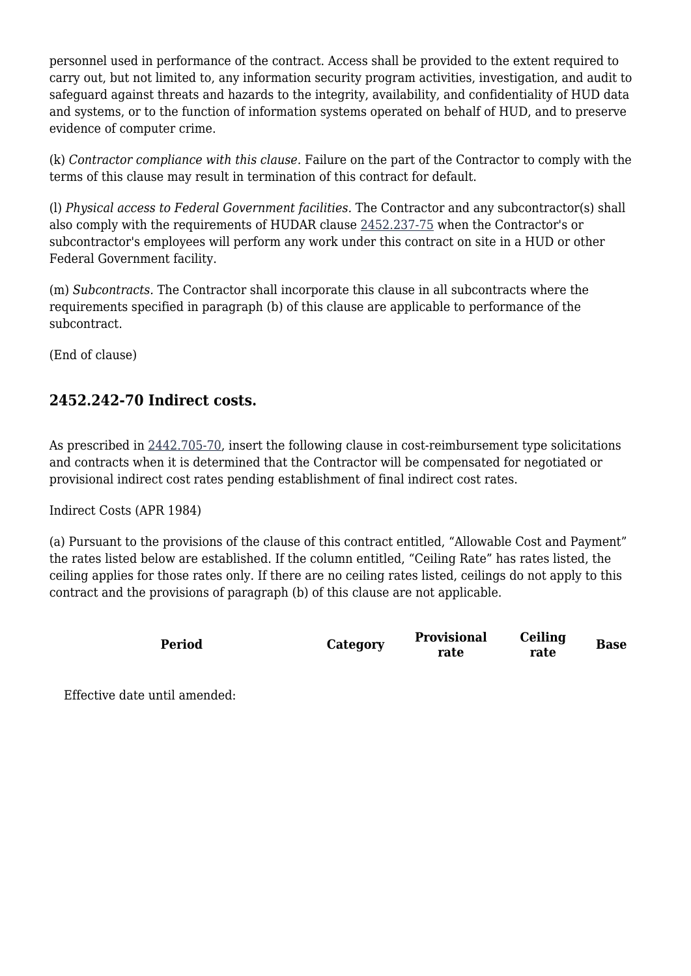personnel used in performance of the contract. Access shall be provided to the extent required to carry out, but not limited to, any information security program activities, investigation, and audit to safeguard against threats and hazards to the integrity, availability, and confidentiality of HUD data and systems, or to the function of information systems operated on behalf of HUD, and to preserve evidence of computer crime.

(k) *Contractor compliance with this clause.* Failure on the part of the Contractor to comply with the terms of this clause may result in termination of this contract for default.

(l) *Physical access to Federal Government facilities.* The Contractor and any subcontractor(s) shall also comply with the requirements of HUDAR clause [2452.237-75](https://origin-www.acquisition.gov/%5Brp:link:hudar-part-2452%5D#Section_2452_237_75_T48_60955371138) when the Contractor's or subcontractor's employees will perform any work under this contract on site in a HUD or other Federal Government facility.

(m) *Subcontracts.* The Contractor shall incorporate this clause in all subcontracts where the requirements specified in paragraph (b) of this clause are applicable to performance of the subcontract.

(End of clause)

### **2452.242-70 Indirect costs.**

As prescribed in [2442.705-70,](https://origin-www.acquisition.gov/%5Brp:link:hudar-part-2442%5D#Section_2442_705_70_T48_6095431212) insert the following clause in cost-reimbursement type solicitations and contracts when it is determined that the Contractor will be compensated for negotiated or provisional indirect cost rates pending establishment of final indirect cost rates.

Indirect Costs (APR 1984)

(a) Pursuant to the provisions of the clause of this contract entitled, "Allowable Cost and Payment" the rates listed below are established. If the column entitled, "Ceiling Rate" has rates listed, the ceiling applies for those rates only. If there are no ceiling rates listed, ceilings do not apply to this contract and the provisions of paragraph (b) of this clause are not applicable.

| <b>Period</b> | Category | <b>Provisional</b><br>rate | Ceiling<br>rate | <b>Base</b> |
|---------------|----------|----------------------------|-----------------|-------------|
|               |          |                            |                 |             |

Effective date until amended: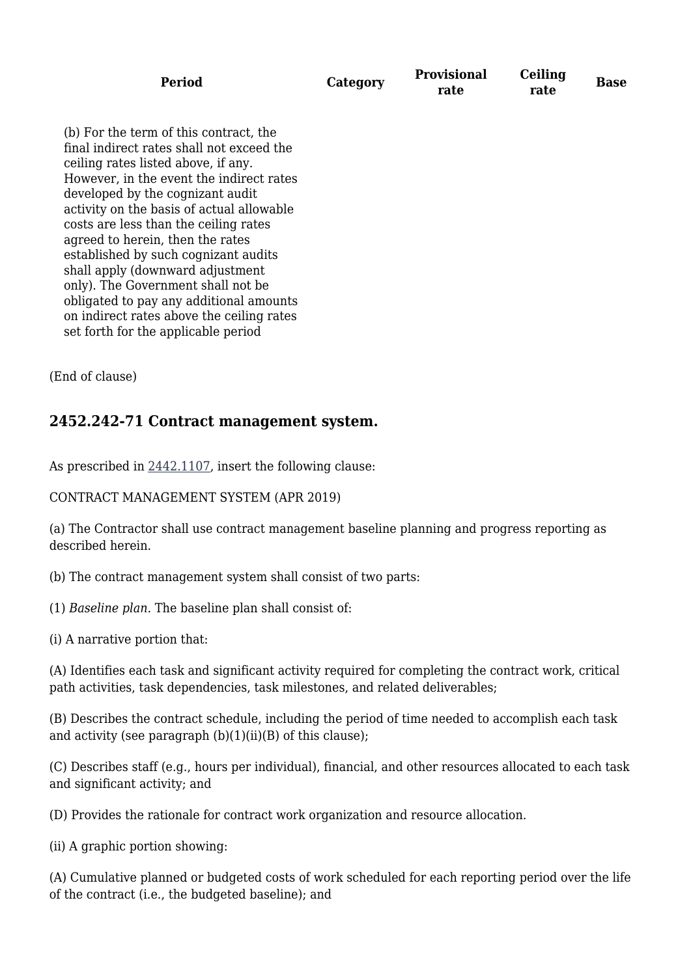| Period |          | <b>Provisional</b> | Ceiling | <b>Base</b> |
|--------|----------|--------------------|---------|-------------|
|        | Category | rate               | rate    |             |

(b) For the term of this contract, the final indirect rates shall not exceed the ceiling rates listed above, if any. However, in the event the indirect rates developed by the cognizant audit activity on the basis of actual allowable costs are less than the ceiling rates agreed to herein, then the rates established by such cognizant audits shall apply (downward adjustment only). The Government shall not be obligated to pay any additional amounts on indirect rates above the ceiling rates set forth for the applicable period

(End of clause)

### **2452.242-71 Contract management system.**

As prescribed in [2442.1107](https://origin-www.acquisition.gov/%5Brp:link:hudar-part-2442%5D#Section_2442_1107_T48_6095431311), insert the following clause:

CONTRACT MANAGEMENT SYSTEM (APR 2019)

(a) The Contractor shall use contract management baseline planning and progress reporting as described herein.

(b) The contract management system shall consist of two parts:

(1) *Baseline plan.* The baseline plan shall consist of:

(i) A narrative portion that:

(A) Identifies each task and significant activity required for completing the contract work, critical path activities, task dependencies, task milestones, and related deliverables;

(B) Describes the contract schedule, including the period of time needed to accomplish each task and activity (see paragraph  $(b)(1)(ii)(B)$  of this clause);

(C) Describes staff (e.g., hours per individual), financial, and other resources allocated to each task and significant activity; and

(D) Provides the rationale for contract work organization and resource allocation.

(ii) A graphic portion showing:

(A) Cumulative planned or budgeted costs of work scheduled for each reporting period over the life of the contract (i.e., the budgeted baseline); and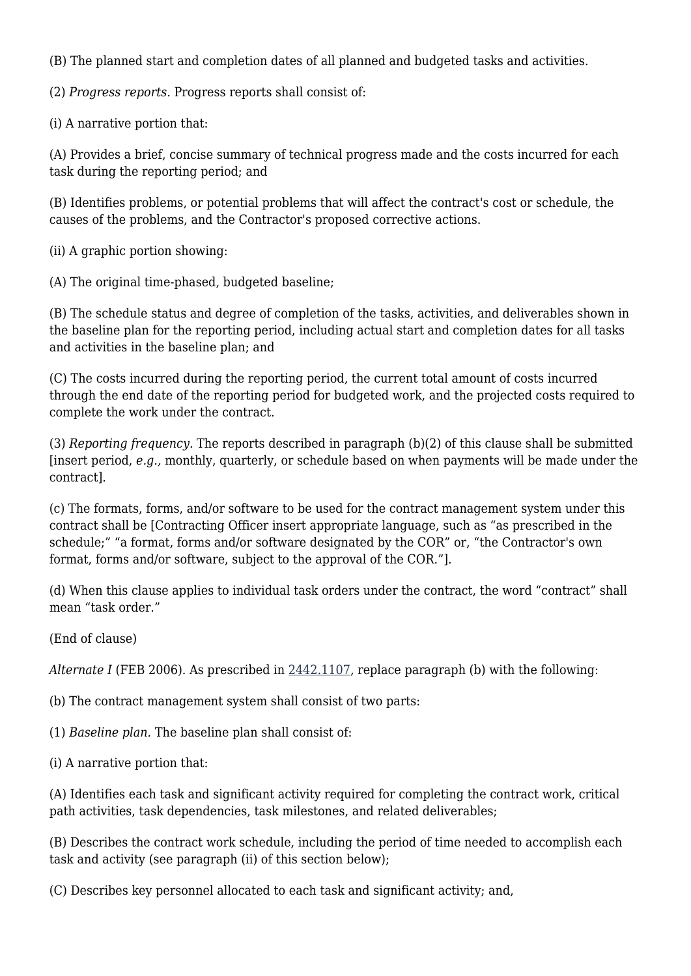(B) The planned start and completion dates of all planned and budgeted tasks and activities.

(2) *Progress reports.* Progress reports shall consist of:

(i) A narrative portion that:

(A) Provides a brief, concise summary of technical progress made and the costs incurred for each task during the reporting period; and

(B) Identifies problems, or potential problems that will affect the contract's cost or schedule, the causes of the problems, and the Contractor's proposed corrective actions.

(ii) A graphic portion showing:

(A) The original time-phased, budgeted baseline;

(B) The schedule status and degree of completion of the tasks, activities, and deliverables shown in the baseline plan for the reporting period, including actual start and completion dates for all tasks and activities in the baseline plan; and

(C) The costs incurred during the reporting period, the current total amount of costs incurred through the end date of the reporting period for budgeted work, and the projected costs required to complete the work under the contract.

(3) *Reporting frequency.* The reports described in paragraph (b)(2) of this clause shall be submitted [insert period, *e.g.,* monthly, quarterly, or schedule based on when payments will be made under the contract].

(c) The formats, forms, and/or software to be used for the contract management system under this contract shall be [Contracting Officer insert appropriate language, such as "as prescribed in the schedule;" "a format, forms and/or software designated by the COR" or, "the Contractor's own format, forms and/or software, subject to the approval of the COR."].

(d) When this clause applies to individual task orders under the contract, the word "contract" shall mean "task order."

(End of clause)

*Alternate I* (FEB 2006). As prescribed in [2442.1107](https://origin-www.acquisition.gov/%5Brp:link:hudar-part-2442%5D#Section_2442_1107_T48_6095431311), replace paragraph (b) with the following:

(b) The contract management system shall consist of two parts:

(1) *Baseline plan.* The baseline plan shall consist of:

(i) A narrative portion that:

(A) Identifies each task and significant activity required for completing the contract work, critical path activities, task dependencies, task milestones, and related deliverables;

(B) Describes the contract work schedule, including the period of time needed to accomplish each task and activity (see paragraph (ii) of this section below);

(C) Describes key personnel allocated to each task and significant activity; and,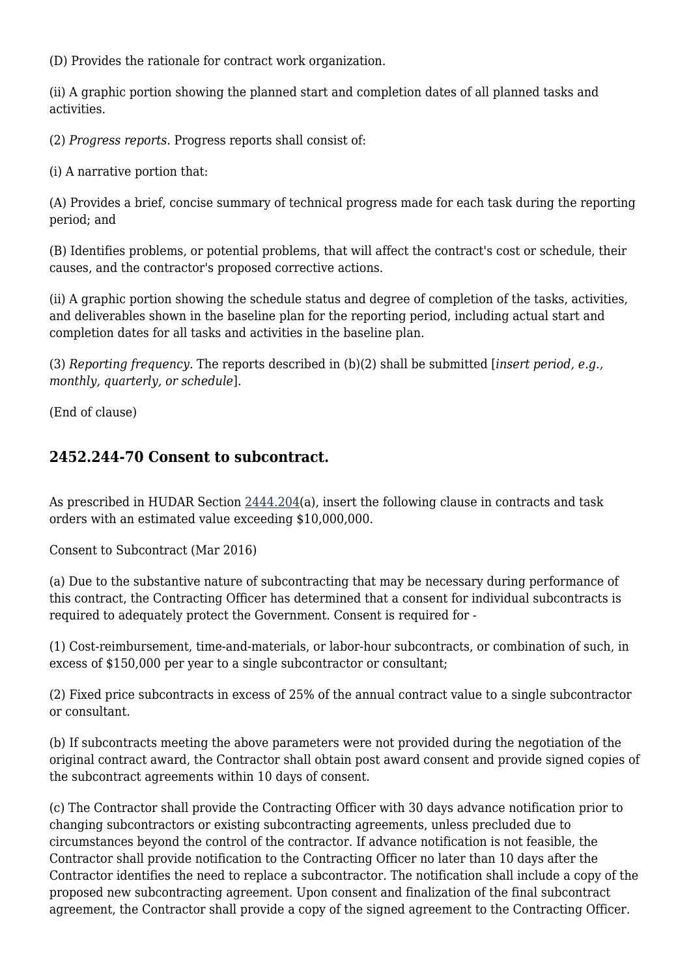(D) Provides the rationale for contract work organization.

(ii) A graphic portion showing the planned start and completion dates of all planned tasks and activities.

(2) *Progress reports.* Progress reports shall consist of:

(i) A narrative portion that:

(A) Provides a brief, concise summary of technical progress made for each task during the reporting period; and

(B) Identifies problems, or potential problems, that will affect the contract's cost or schedule, their causes, and the contractor's proposed corrective actions.

(ii) A graphic portion showing the schedule status and degree of completion of the tasks, activities, and deliverables shown in the baseline plan for the reporting period, including actual start and completion dates for all tasks and activities in the baseline plan.

(3) *Reporting frequency.* The reports described in (b)(2) shall be submitted [*insert period, e.g., monthly, quarterly, or schedule*].

(End of clause)

### **2452.244-70 Consent to subcontract.**

As prescribed in HUDAR Section [2444.204](https://origin-www.acquisition.gov/%5Brp:link:hudar-part-2444%5D#Section_2444_204_T48_6095432111)(a), insert the following clause in contracts and task orders with an estimated value exceeding \$10,000,000.

Consent to Subcontract (Mar 2016)

(a) Due to the substantive nature of subcontracting that may be necessary during performance of this contract, the Contracting Officer has determined that a consent for individual subcontracts is required to adequately protect the Government. Consent is required for -

(1) Cost-reimbursement, time-and-materials, or labor-hour subcontracts, or combination of such, in excess of \$150,000 per year to a single subcontractor or consultant;

(2) Fixed price subcontracts in excess of 25% of the annual contract value to a single subcontractor or consultant.

(b) If subcontracts meeting the above parameters were not provided during the negotiation of the original contract award, the Contractor shall obtain post award consent and provide signed copies of the subcontract agreements within 10 days of consent.

(c) The Contractor shall provide the Contracting Officer with 30 days advance notification prior to changing subcontractors or existing subcontracting agreements, unless precluded due to circumstances beyond the control of the contractor. If advance notification is not feasible, the Contractor shall provide notification to the Contracting Officer no later than 10 days after the Contractor identifies the need to replace a subcontractor. The notification shall include a copy of the proposed new subcontracting agreement. Upon consent and finalization of the final subcontract agreement, the Contractor shall provide a copy of the signed agreement to the Contracting Officer.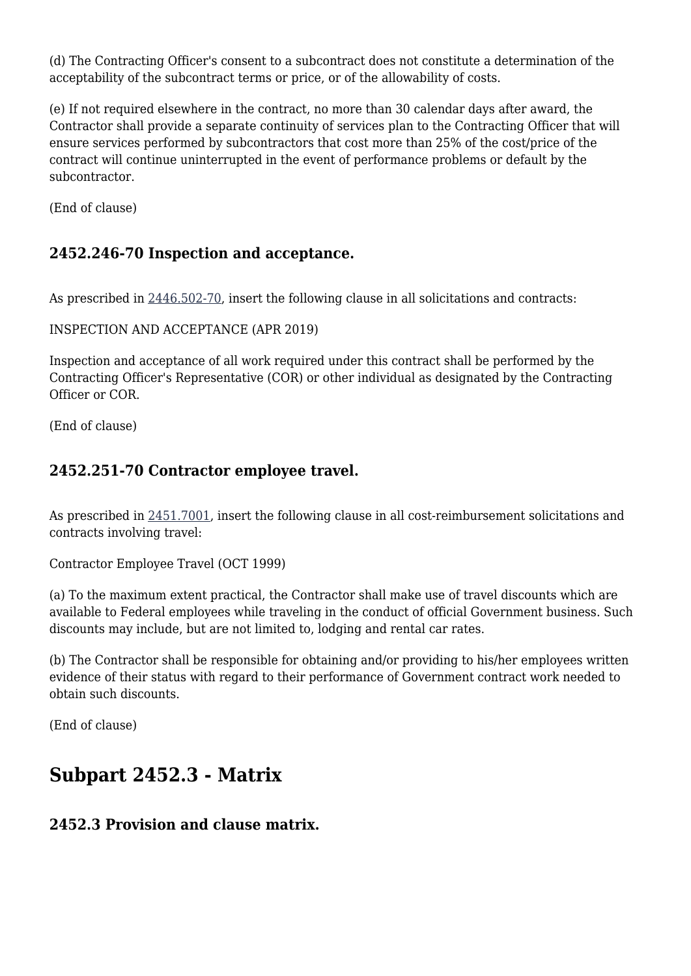(d) The Contracting Officer's consent to a subcontract does not constitute a determination of the acceptability of the subcontract terms or price, or of the allowability of costs.

(e) If not required elsewhere in the contract, no more than 30 calendar days after award, the Contractor shall provide a separate continuity of services plan to the Contracting Officer that will ensure services performed by subcontractors that cost more than 25% of the cost/price of the contract will continue uninterrupted in the event of performance problems or default by the subcontractor.

(End of clause)

### **2452.246-70 Inspection and acceptance.**

As prescribed in [2446.502-70,](https://origin-www.acquisition.gov/%5Brp:link:hudar-part-2446%5D#Section_2446_502_70_T48_6095433112) insert the following clause in all solicitations and contracts:

INSPECTION AND ACCEPTANCE (APR 2019)

Inspection and acceptance of all work required under this contract shall be performed by the Contracting Officer's Representative (COR) or other individual as designated by the Contracting Officer or COR.

(End of clause)

### **2452.251-70 Contractor employee travel.**

As prescribed in [2451.7001](https://origin-www.acquisition.gov/%5Brp:link:hudar-part-2451%5D#Section_2451_7001_T48_6095436111), insert the following clause in all cost-reimbursement solicitations and contracts involving travel:

Contractor Employee Travel (OCT 1999)

(a) To the maximum extent practical, the Contractor shall make use of travel discounts which are available to Federal employees while traveling in the conduct of official Government business. Such discounts may include, but are not limited to, lodging and rental car rates.

(b) The Contractor shall be responsible for obtaining and/or providing to his/her employees written evidence of their status with regard to their performance of Government contract work needed to obtain such discounts.

(End of clause)

## **Subpart 2452.3 - Matrix**

### **2452.3 Provision and clause matrix.**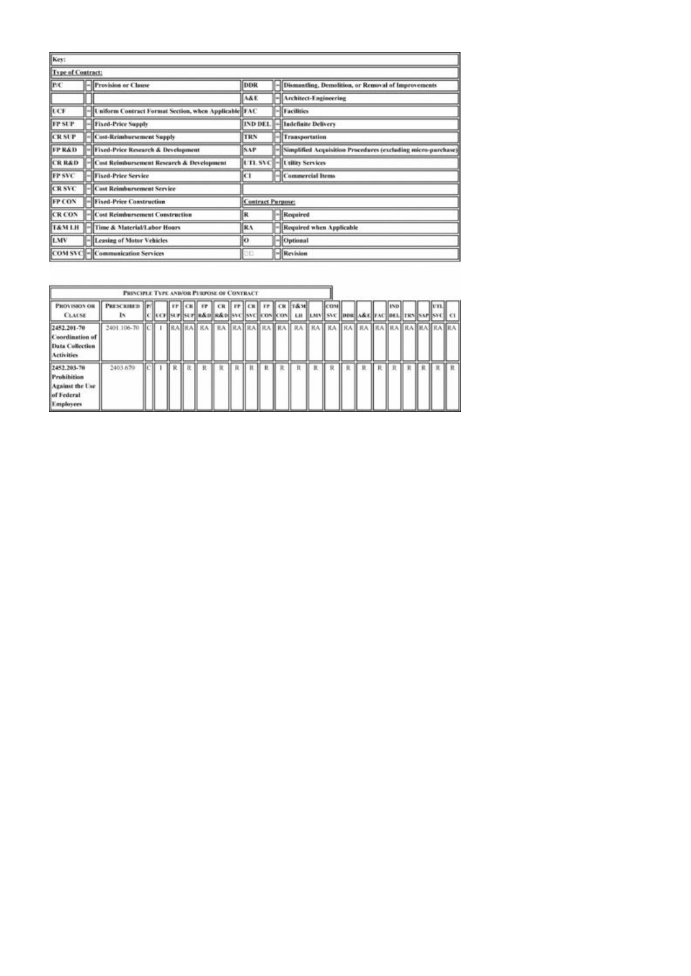| Key:                     |                                                        |                          |                                                               |
|--------------------------|--------------------------------------------------------|--------------------------|---------------------------------------------------------------|
| <b>Type of Contract:</b> |                                                        |                          |                                                               |
| P/C                      | -Provision or Clause                                   | DDR                      | -Dismantling, Demolition, or Removal of Improvements          |
|                          |                                                        | A&E.                     | -Architect-Engineering                                        |
| UCF                      | - Laiform Contract Format Section, when Applicable FAC |                          | -Facilities                                                   |
| <b>FP SUP</b>            | - Fixed-Price Supply                                   |                          | IND DEL. - Indefinite Delivery                                |
| <b>CRSUP</b>             | - Cost-Reimbursement Supply                            | TRN                      | -Transportation                                               |
| <b>FPR&amp;D</b>         | -Hived-Price Research & Development                    | <b>SAP</b>               | -Simplified Acquisition Procedures (excluding micro-purchase) |
| <b>CRR&amp;D</b>         | -Cost Reimbursement Research & Development             |                          | UTL SVC - Utility Services                                    |
| <b>FP SVC</b>            | -Fixed-Price Service                                   | kП                       | -Commercial Items                                             |
| <b>CRSVC</b>             | - Cost Reimbursement Service                           |                          |                                                               |
| <b>FPCON</b>             | -Fixed-Price Construction                              | <b>Contract Parpose:</b> |                                                               |
| <b>CR CON</b>            | -Cost Reimbursement Construction                       | R                        | - Required                                                    |
| <b>T&amp;M LH</b>        | -Time & Material/Labor Hours                           | RA                       | Required when Applicable                                      |
| LMV                      | - Leasing of Motor Vehicles                            | ю                        | -Corional                                                     |
|                          | COM SVC - Communication Services                       | 10 O                     | $-$ <b>Revision</b>                                           |

|                                                                                        | PRINCIPLE TYPE AND/OR PURPOSE OF CONTRACT |  |    |    |           |             |                 |         |                                                                                                             |   |       |   |   |   |              |              |    |  |
|----------------------------------------------------------------------------------------|-------------------------------------------|--|----|----|-----------|-------------|-----------------|---------|-------------------------------------------------------------------------------------------------------------|---|-------|---|---|---|--------------|--------------|----|--|
| PROVISION OR<br><b>CLAISE</b>                                                          | <b>PRESCRIBED</b><br>Iх                   |  |    |    | Irelas re | <b>CRIT</b> | <b>FP CRIPT</b> |         | CR T&M<br>  UCF  SUF  SUF  R&D  R&D  SVC  SVC  CON  CON   LH_  LMV   SVC  DDR  A&E  FAC  DEL  TRN  SAF  SVC |   | Icosi |   |   |   |              |              |    |  |
| 2452.201-70<br>Coordination of<br>Data Collection<br>Activities                        | 2401 106-70                               |  |    |    |           |             |                 |         |                                                                                                             |   |       |   |   |   |              |              |    |  |
| 2452.203-70<br><b>Prohibition</b><br>Against the Use<br>of Federal<br><b>Employees</b> | 2403.670                                  |  | R. | R- | R         | R           | RR              | $R$ $R$ | R                                                                                                           | 及 | R     | R | R | R | $\mathbb{R}$ | $\mathbb{R}$ | RR |  |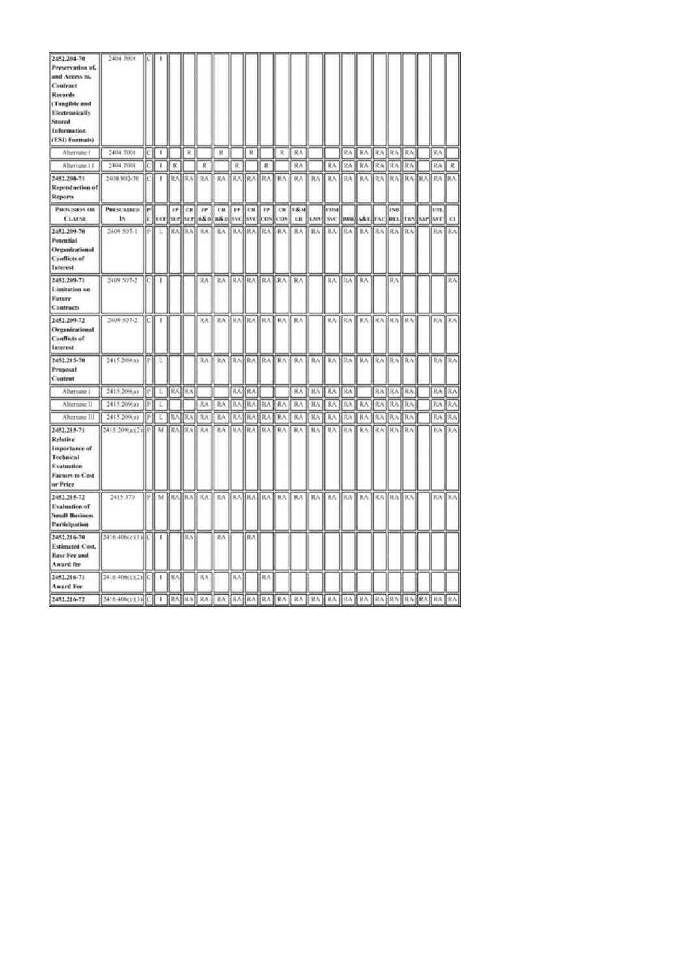| 2452.204-70<br>Preservation of,<br>and Access to,<br>Contract<br>Records<br>(Tangible and<br>Electronically<br>Stored<br>Information<br>(ESI) Formats) | 2404.7001                      |     |              |       |           |           |                                                  |     |                 |                |       |                                  |     |                                            |     |                   |       |              |     |                 |          |
|--------------------------------------------------------------------------------------------------------------------------------------------------------|--------------------------------|-----|--------------|-------|-----------|-----------|--------------------------------------------------|-----|-----------------|----------------|-------|----------------------------------|-----|--------------------------------------------|-----|-------------------|-------|--------------|-----|-----------------|----------|
| Afternate 1                                                                                                                                            | 2404.7001                      | [C] |              |       | R         |           | R                                                |     | R               |                | R     | RA                               |     |                                            | RA: | RA RA             |       | RA.          | RA) | RA.             |          |
| Alternate II                                                                                                                                           | 2404.7001                      | IсI | ×,           | R     |           | R         |                                                  | 民   |                 | ĸ              |       | RA.                              |     | RA                                         | RA  | RA                | RA    | RA           | RA  | RA              | R        |
| 2452.208-71<br><b>Reproduction of</b><br><b>Reports</b>                                                                                                | 2408.802-70                    | IС  | T            |       |           | RABRAH RA |                                                  |     |                 |                |       |                                  |     |                                            |     |                   |       |              |     |                 |          |
| PROVISION OR<br><b>CLAUSE</b>                                                                                                                          | <b>PRESCRIBED</b><br><b>Is</b> | lы  |              |       | $IF$ $CR$ | m         | CR<br>C  CF SUF SUF #&D  #&D  SVC  SVC  COS  COS |     |                 |                |       | <b>FP CR FP CR T&amp;M</b><br>LH |     | COM<br>LMV SVC DDR A&E FAC DEL TRN SAP SVC |     |                   |       | <b>IND</b>   |     | UTL.            | $\Omega$ |
| 2452.209-70<br>Potential<br>Organizational<br><b>Conflicts of</b><br>Interest                                                                          | 2409 507-1                     | PI  | L            |       | RAIRA     | RA        |                                                  |     | <b>RAIRAIRA</b> |                | RA RA | RA                               |     | RA RA                                      | RA  | RA                | RA    | RA)          | RA  | RA.             | RA.      |
| 2452.209-71<br>Limitation on<br>Future<br><b>Contracts</b>                                                                                             | 2409.507-2                     | lсI | 1            |       |           | RA        | RA                                               |     |                 | RA RA RA RA RA |       |                                  |     | RA RA                                      |     | <b>RA</b>         |       | RA           |     |                 | RA       |
| 2452.209-72<br>Organizational<br><b>Conflicts of</b><br>Interest                                                                                       | 2409 507-2                     | IСĮ | I.           |       |           |           | RA RA RAIRA RAIRA RAIRA                          |     |                 |                |       |                                  |     |                                            |     | RA RA RA RA RA RA |       |              |     |                 | RA RA    |
| 2452.215-70<br>Proposal<br>Content                                                                                                                     | 2415.209(a)                    | P.  | L            |       |           | RA        | RA                                               |     | RAHRAI          | RA1            | RA:   | RA.                              | RA: | RA:                                        | RA  |                   | RA RA | <b>RAIRA</b> |     |                 | RA RA    |
| Alternate 1                                                                                                                                            | 2415.209(a)                    | ₽ł  | L            | RAIRA |           |           |                                                  | RA. | 抗人              |                |       | RA                               | RA  | RA                                         | RA  |                   | RA    | RA           | RA  | RA              | RA       |
| Alternate II                                                                                                                                           | 2415.209(a)                    | Þ   | L            |       |           | RA        | RA                                               | RA  | 我人              | RA             | RA.   | RA                               | RA. | RA                                         | RA  | RA                | RA    | RA           | RA  | RA              | RA       |
| Alternate III                                                                                                                                          | 2415.209(a)                    | PI  | L.           | IR۸   | RA        | RA        | RA                                               | RA  | RA              | RA             | RA    | RA                               | RA  | RA                                         | RA  | RA                | RA    | RA           | RA  | RA              | RA       |
| 2452.215-71<br><b>Relative</b><br><b>Importance</b> of<br>Technical<br>Evaluation<br>Factors to Cost<br>or Price                                       | 2415.209(a)(2) P               |     | M            | 求人    | RA        | RA        | RA                                               | RA. | RA.             | RA             | RA    | RA                               | RA  | RΛ                                         | RA  | RA                | RA    | RA.          | RA  | RA              | RA       |
| 2452.215-72<br><b>Evaluation of</b><br><b>Small Business</b><br><b>Participation</b>                                                                   | 2415.370                       | PĬ  | M            |       |           | RABRAH RA | RA RAHRAHRAHRAH                                  |     |                 |                |       | RA                               | RA: | RA                                         | RA. | RA                | RA.   | <b>RA</b> RA |     | RA <sup>1</sup> | RA.      |
| 2452.216-70<br><b>Estimated Cost,</b><br><b>Base Fee and</b><br>Award fee                                                                              | 2416.406(c)(1) C               |     | $\mathbf{I}$ |       | RA.       |           | RΛ                                               |     | RA              |                |       |                                  |     |                                            |     |                   |       |              |     |                 |          |
| 2452.216-71<br><b>Award Fee</b>                                                                                                                        |                                |     |              |       |           | 貨入        |                                                  | RA. |                 | RA             |       |                                  |     |                                            |     |                   |       |              |     |                 |          |
| 2452.216-72                                                                                                                                            |                                |     |              |       |           |           |                                                  |     |                 |                |       |                                  |     |                                            |     |                   |       |              |     |                 |          |
|                                                                                                                                                        |                                |     |              |       |           |           |                                                  |     |                 |                |       |                                  |     |                                            |     |                   |       |              |     |                 |          |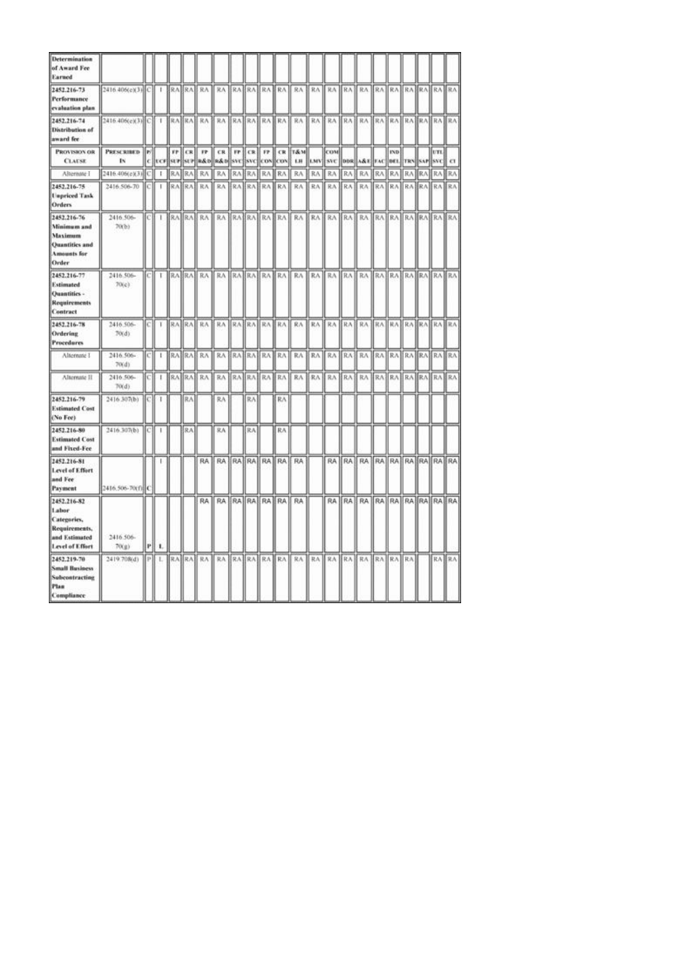| <b>Determination</b><br>of Award Fee<br>Earned                                                |                         |          |    |                               |            |                 |                             |             |                  |                 |                   |                             |            |                   |              |                                   |     |                    |     |           |                      |                |
|-----------------------------------------------------------------------------------------------|-------------------------|----------|----|-------------------------------|------------|-----------------|-----------------------------|-------------|------------------|-----------------|-------------------|-----------------------------|------------|-------------------|--------------|-----------------------------------|-----|--------------------|-----|-----------|----------------------|----------------|
| 2452.216-73<br>Performance<br>evaluation plan                                                 | 2416.406(e)(3) C        |          |    |                               |            | RA RA RA        | RA RAFRABRA RA              |             |                  |                 |                   | RA                          | RA         |                   |              | RA RA RA RA RA RA RA RA RA        |     |                    |     |           |                      |                |
| 2452.216-74<br>Distribution of<br>award fee                                                   | 2416-406(c)(3) C 1      |          |    |                               |            |                 | BRABRAH RA BRAHRAHRAHRAH RA |             |                  |                 |                   |                             |            |                   |              |                                   |     |                    |     |           |                      |                |
| PROVISION OR<br><b>CLAUSE</b>                                                                 | <b>PRESCRIBED</b><br>ΙN | lы<br>c. |    | $_{\rm FP}$<br><b>ECF SUP</b> | CR.<br>SUP | 17              | CR.<br>R&D R&D SVC          | $_{\rm FP}$ | CR<br><b>SVC</b> | FP.<br>CON      | <b>CR</b><br>lcox | <b>T&amp;M</b><br>LH.       | <b>LMV</b> | <b>COM</b><br>SVC |              | DDR A&E FAC                       |     | <b>IND</b><br>DE1. |     | TRN SAP   | UTL<br><b>SVC</b>    | $\alpha$       |
| Alternate I                                                                                   | 2416.406(c)(3)          | c        | F. | RA                            | RA.        | RA              | RA                          | RA.         | RA.              | 我入              | RA                | RA                          | RA         | RA                | RA           | RA                                | RA  | RA                 | RA  | <b>RA</b> | 取入                   | RA <sub></sub> |
| 2452.216-75<br><b>Unpriced Task</b><br>Orders                                                 | 2416;506-70             | lс       | т  |                               | RABRA      | RA              | RA                          | RA)         | RA1              |                 | RA RA             | RA                          | RA         | RA                | RA           | RA                                | RA. | RA.                |     |           | RA RA RA RA          |                |
| 2452.216-76<br>Minimum and<br>Maximum<br><b>Quantities</b> and<br><b>Amounts</b> for<br>Order | 2416.506-<br>70(b)      | [C]      | т  |                               |            |                 |                             |             |                  |                 |                   | RA RA RA RA RA RA RA RA RA  |            |                   |              | RA RA RA RA RA RA RA RA RA RA     |     |                    |     |           |                      |                |
| 2452.216-77<br><b>Estimated</b><br>Quantities -<br>Requirements<br>Contract                   | 2416.506-<br>70(c)      | IСI      | τ  |                               |            |                 |                             |             |                  |                 |                   | RABRAH RAH RAHRAHRAHRAH RAH |            |                   |              | RA RA RA RA RA RA RA RA RA RA RA  |     |                    |     |           |                      |                |
| 2452.216-78<br>Ordering<br><b>Procedures</b>                                                  | 2416.506-<br>70(d)      | IсI      | т  |                               |            |                 | RAIRA RAIRAIRAIRAIRAIRAIRA  |             |                  |                 |                   |                             |            |                   |              | RA KA KRA KA KA KA KA KA KA KA KA |     |                    |     |           |                      |                |
| Alternate 1                                                                                   | 2416.506-<br>70(d)      | C.       | t. |                               |            | RA RA RA        |                             |             |                  | RA BRABRABRA RA |                   | RA                          | RA         | RA                | RA           | RA                                |     |                    |     |           | RA RAIRA RAIRA RA    |                |
| Alternate II                                                                                  | 2416.506-<br>70(d)      | C)       | 1  |                               |            | <b>RABRABRA</b> | RA                          | RA          | RA1              |                 | RA RA             | RA                          | RA         | RA                | RA           | RA                                | RA1 | RA.                | RA1 |           | <b>RAIRAIRA</b>      |                |
| 2452.216-79<br><b>Estimated Cost</b><br>(No Fee)                                              | 2416.307(b)             | ЮI       | T  |                               | RA         |                 | RA                          |             | RA               |                 | RA                |                             |            |                   |              |                                   |     |                    |     |           |                      |                |
| 2452.216-80<br><b>Estimated Cost</b><br>and Fixed-Fee                                         | 2416.307(b)             | IСI      | H. |                               | RA         |                 | RA                          |             | RA               |                 | RA                |                             |            |                   |              |                                   |     |                    |     |           |                      |                |
| 2452.216-81<br>Level of Effort<br>and Fee<br>Payment                                          | 2416.506-70(f) C        |          |    |                               |            |                 | RA RA RA RA RA RA RA        |             |                  |                 |                   | RA                          |            |                   |              | RA RA RA RA RA RA RA RA RA RA     |     |                    |     |           |                      |                |
| 2452.216-82<br>Labor<br>Categories,<br>Requirements,<br>and Estimated<br>Level of Effort      | 2416.506-<br>70(g)      | P        | л. |                               |            | <b>RA</b>       |                             |             |                  | RA RAHRAHRA RA  |                   | RA                          |            |                   |              | RA RA RA                          |     |                    |     |           | RA RA RA RA RA RA RA |                |
| 2452.219-70<br><b>Small Business</b><br>Subcontracting<br>Plan<br>Compliance                  | 2419.708(d)             | P)       | ı. |                               |            | RA RA RA        | RA.                         |             | RA RA            |                 | RA RA             | RA                          |            | RA RA             | <b>RA RA</b> |                                   | RA. | RA RA              |     |           | RA RA                |                |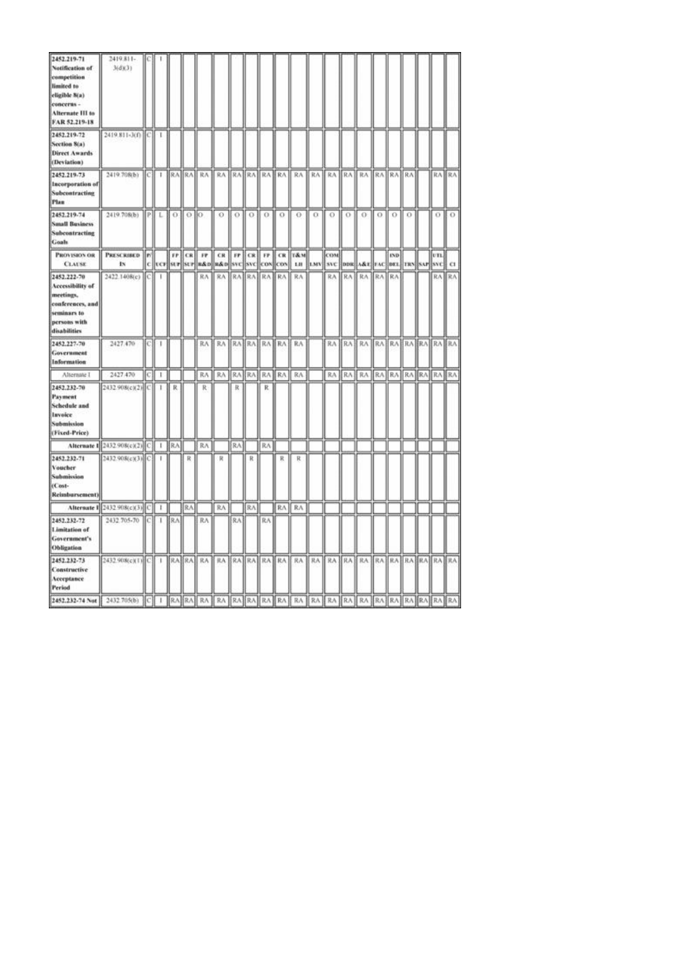| 2452.219-71<br>Notification of<br>competition<br>limited to<br>eligible 8(a)<br>concerns -<br>Alternate III to<br>FAR 52.219-18 | 2419.811-<br>3(d)(3)                  |      |            |            |           |                            |                                  |    |     |             |   |                                                                                                                               |                      |                               |     |                            |     |            |          |     |       |
|---------------------------------------------------------------------------------------------------------------------------------|---------------------------------------|------|------------|------------|-----------|----------------------------|----------------------------------|----|-----|-------------|---|-------------------------------------------------------------------------------------------------------------------------------|----------------------|-------------------------------|-----|----------------------------|-----|------------|----------|-----|-------|
| 2452.219-72<br>Section 8(a)<br><b>Direct Awards</b><br>(Deviation)                                                              | 2419.811-3(f) C 1                     |      |            |            |           |                            |                                  |    |     |             |   |                                                                                                                               |                      |                               |     |                            |     |            |          |     |       |
| 2452.219-73<br>Incorporation of<br>Subcontracting<br>Plan                                                                       | 2419.708(b)                           |      | $ C   + 1$ |            |           |                            |                                  |    |     |             |   | RA RA RA RA RA RA RA RA RA                                                                                                    | RA RA RA RA RA RA RA |                               |     |                            |     |            |          |     | RA RA |
| 2452.219-74<br><b>Small Business</b><br>Subcontracting<br>Goals                                                                 | 2419.708(b) PL                        |      |            | $\alpha$   | $0$   $0$ |                            | $\Omega$                         |    |     | 0 1 0 1 0 1 |   | - O                                                                                                                           | $\alpha$ 0           |                               | LO. | 0.                         | LO. | ю          | $\Omega$ | 0.  | LO.   |
| <b>PROVISION OR</b><br><b>CLAUSE</b>                                                                                            | <b>PRESCRIBED</b><br>IN.              | le/l |            |            |           | FP CR FP                   |                                  |    |     |             |   | CR FF CR FF CR T&M<br> c  ver  str  str  s&o  s&o  svc  svc  cov  cov   Lu   tMV  svc  dos  A&t  rAc  det  TRS  svr  svc   Cl |                      | COM                           |     |                            |     | <b>IND</b> |          | vn. |       |
| 2452.222-70<br>Accessibility of<br>meetings.<br>conferences, and<br>seminars to<br>persons with<br>disabilities                 | 2422.1408(c)                          | lС   | п          |            |           | RA                         | RA RAIRA RAIRA                   |    |     |             |   | RA                                                                                                                            |                      | RA                            | RA  | RA                         | RA  | RA         |          |     | RA RA |
| 2452.227-70<br>Government<br>Information                                                                                        | 2427.470                              | ЮJ   | -          |            |           |                            | RA   RA   RA   RA   RA   RA   RA |    |     |             |   |                                                                                                                               |                      |                               |     | RA RA RA RA RA RA RA RA RA |     |            |          |     |       |
| Alternate 1                                                                                                                     | 2427,470                              | C)   | т          |            |           |                            | RA RA RATRATRATRAT               |    |     |             |   | RA.                                                                                                                           |                      |                               |     | RA RA RA RA RA RA RA RA RA |     |            |          |     |       |
| 2452.232-70<br>Payment<br><b>Schedule</b> and<br>Invoice<br>Submission<br>(Fixed-Price)                                         | 2432.908(c)(2) C                      |      | -          | R          |           | R                          |                                  | R  |     | R.          |   |                                                                                                                               |                      |                               |     |                            |     |            |          |     |       |
|                                                                                                                                 | Alternate 1 2432 908(c)(2) C   1   RA |      |            |            |           | RA                         |                                  | RA |     | RA          |   |                                                                                                                               |                      |                               |     |                            |     |            |          |     |       |
| 2452.232-71<br>Voucher<br>Submission<br>(Cost-<br>Reimbursement)                                                                | 2432.908(c)(3) C                      |      | 1          |            | R         |                            | R                                |    | R   |             | R | R                                                                                                                             |                      |                               |     |                            |     |            |          |     |       |
|                                                                                                                                 | Alternate 1 2432 908(c)(3) C 1        |      |            |            | RA.       |                            | RA                               |    | RA. |             |   | RA RA                                                                                                                         |                      |                               |     |                            |     |            |          |     |       |
| 2452.232-72<br>Limitation of<br>Government's<br>Obligation                                                                      | 2432.705-70 [C]                       |      | 1          | <b>BRA</b> |           | RA                         |                                  | RA |     | RA          |   |                                                                                                                               |                      |                               |     |                            |     |            |          |     |       |
| 2452.232-73<br>Constructive<br>Acceptance<br><b>Period</b>                                                                      | 2432.908(c)(1) C 1                    |      |            |            |           | RA RA RA RA RA RA RA RA RA |                                  |    |     |             |   |                                                                                                                               |                      | RA RA RA RA RA RA RA RA RA RA |     |                            |     |            |          |     |       |
|                                                                                                                                 |                                       |      |            |            |           |                            |                                  |    |     |             |   |                                                                                                                               |                      |                               |     |                            |     |            |          |     |       |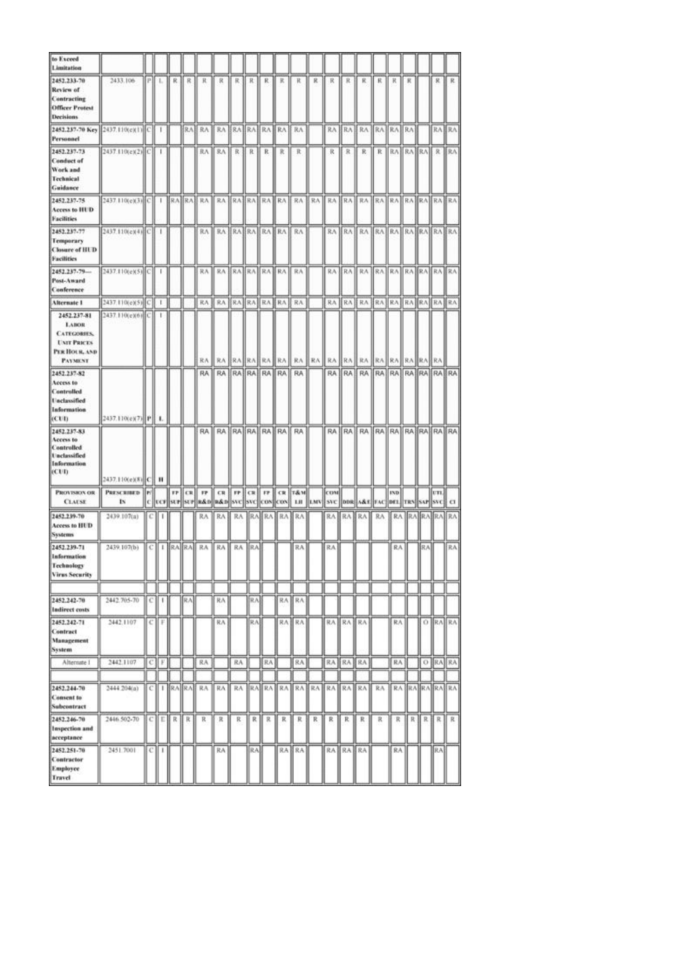| to Exceed<br>Limitation                                                                                   |                                 |   |              |                 |    |                  |                                  |    |                 |    |                   |                                                                                                                                                 |       |            |                 |                                  |                 |            |       |     |           |                     |
|-----------------------------------------------------------------------------------------------------------|---------------------------------|---|--------------|-----------------|----|------------------|----------------------------------|----|-----------------|----|-------------------|-------------------------------------------------------------------------------------------------------------------------------------------------|-------|------------|-----------------|----------------------------------|-----------------|------------|-------|-----|-----------|---------------------|
| 2452.233-70<br>Review of<br>Contracting<br><b>Officer Protest</b><br>Decisions                            | 2433.106                        |   | PIL          | R.I             | R  | К                | R                                |    | 民日氏             | R. | R                 | ĸ                                                                                                                                               | R.    | 求          | R               | R                                | К.              | К          | к     |     | я.        | R                   |
| 2452.237-70 Key 2437.110(e)(1) C 1<br>Personnel                                                           |                                 |   |              |                 |    | RAE RA           | RA ERA RAERA RAI RA              |    |                 |    |                   |                                                                                                                                                 |       |            |                 | RA RA RA RA RA RA                |                 |            |       |     |           | RA RAI              |
| 2452.237-73<br><b>Conduct of</b><br>Work and<br>Technical<br>Guidance                                     | 2437.110(e)(2) <sup>[C]</sup> 1 |   |              |                 |    |                  | RA    RA    R    R    R    R     |    |                 |    |                   | R                                                                                                                                               |       |            | R R             | R R RAIRAIRA R RAI               |                 |            |       |     |           |                     |
| 2452.237-75<br>Access to HUD<br><b>Facilities</b>                                                         |                                 |   |              |                 |    |                  |                                  |    |                 |    |                   |                                                                                                                                                 |       |            |                 |                                  |                 |            |       |     |           |                     |
| 2452.237-77<br>Temporary<br><b>Closure of HUD</b><br><b>Facilities</b>                                    | 2437.110(e)(4)(C) 1             |   |              |                 |    |                  | RA RA RAHRA RAHRA RA             |    |                 |    |                   |                                                                                                                                                 |       |            |                 | RA RA RA RA RA RA RA RAHRAHRA    |                 |            |       |     |           |                     |
| 2452.237-79-<br>Post-Award<br>Canference                                                                  | 2437.110(e)(5) C   1            |   |              |                 |    | 我永               | RABRARABRA RA RA                 |    |                 |    |                   |                                                                                                                                                 |       |            |                 | RA RAIRA RAIRA RAIRA RAIRA       |                 |            |       |     |           |                     |
| Alternate 1                                                                                               | 2437.110(e)(5) C                |   | $\mathbf{I}$ |                 |    | RA J             | RA BRA RA RA RA                  |    |                 |    |                   | RA                                                                                                                                              |       |            |                 | RA KA KA KA KA KA KA KA KA KA    |                 |            |       |     |           |                     |
| 2452.237-81<br><b>LABOR</b><br><b>CATEGORIES</b><br><b>UNIT PRICES</b><br>PER HOUR, AND<br><b>PAYMENT</b> | 2437.110(e)(6) C                |   | -            |                 |    | RA <sub>I</sub>  | RA                               |    | <b>RAIRAIRA</b> |    | RA II             |                                                                                                                                                 | RA RA | RA         |                 | RA RA RA RA                      |                 |            | RA RA |     | <b>RA</b> |                     |
| 2452.237-82<br>Access to<br><b>Controlled</b><br><b>Unclassified</b><br>Information<br>(CUI)              | 2437.110(e)(7) P                |   | ۰.           |                 |    |                  | RA   RA   RA   RA   RA   RA   RA |    |                 |    |                   |                                                                                                                                                 |       |            |                 | RA RA RA RA RA RA RA RA RA RA RA |                 |            |       |     |           |                     |
| 2452.237-83<br>Access to<br>Controlled<br><b>Unclassified</b><br>Information<br>(CUI)                     | 2437.110(e)(8) C H              |   |              |                 |    | RA               |                                  |    |                 |    | RA RAIRAIRAIRA RA | RA <sub></sub>                                                                                                                                  |       |            |                 | RA RA RA RA RA RA RA RA RA RA RA |                 |            |       |     |           |                     |
| <b>PROVISION OR</b><br><b>CLAUSE</b>                                                                      | PRESCRIBED   P/<br><b>IN</b>    |   |              |                 |    |                  |                                  |    |                 |    |                   | <b>FF CR FF CR FF CR FF CR T&amp;M</b><br>C [ UCF[ SUF  SUF  R&D  R&D  SVC  COS  COS  COS   LIE   LMV   SVC   DDR  A&E  FAC  DEL  TRN  SAF  SVC |       | <b>CON</b> |                 |                                  |                 | <b>IND</b> |       |     | UTL]      | $\alpha$            |
| 2452.239-70<br>Access to HUD<br><b>Systems</b>                                                            | 2439.107(a)                     |   |              |                 |    | RA               | RA                               |    |                 |    |                   | RA RA RA RA RA                                                                                                                                  |       |            |                 | RA RABRA RA                      |                 |            |       |     |           | RA RAJRAJRAJ RAJ    |
| 2452.239-71<br><b>Information</b><br>Technology<br><b>Virus Security</b>                                  | 2439.107(b)                     |   |              |                 |    | C   I  RA RA  RA | <b>RA</b> ■                      |    | RA JRA          |    |                   | RA                                                                                                                                              |       | RA:        |                 |                                  |                 | RA         |       | BAJ |           | RA.                 |
|                                                                                                           |                                 |   |              |                 |    |                  |                                  |    |                 |    |                   |                                                                                                                                                 |       |            |                 |                                  |                 |            |       |     |           |                     |
| 2452.242-70<br>Indirect costs                                                                             | 2442.705-70                     | с | ı            |                 | RA |                  | 民汽                               |    | R.A             |    | RA.               | RA                                                                                                                                              |       |            |                 |                                  |                 |            |       |     |           |                     |
| 2452.242-71<br>Contract<br>Management<br>System                                                           | 2442.1107                       | с | F            |                 |    |                  | 抗凡                               |    | RΛ              |    |                   | RA IRA                                                                                                                                          |       |            | RA RAJ          | RA                               |                 | RA:        |       |     |           | O RAIRA             |
| Alternate 1                                                                                               | 2442.1107                       | c | F.           |                 |    | RA               |                                  | RA |                 | RA |                   | RA.                                                                                                                                             |       | RA         | ∦RA.            | <b>RA</b>                        |                 | RA         |       |     | O RAIRA   |                     |
| 2452.244-70                                                                                               | 2444 204(a)                     | с |              | $ $ $ RA$ $ RA$ |    | RA               | RA                               |    |                 |    |                   | RA RAIRA RAIRAIRA RAIRAIRA                                                                                                                      |       |            |                 |                                  | RA <sub>1</sub> |            |       |     |           | <b>RA RARARAIRA</b> |
| Consent to<br>Subcontract                                                                                 |                                 |   |              |                 |    |                  |                                  |    |                 |    |                   |                                                                                                                                                 |       |            |                 |                                  |                 |            |       |     |           |                     |
| 2452.246-70<br>Inspection and<br>acceptance                                                               | 2446.502-70                     | с | Е            | R               | К  | R                | R                                | R  | R               | R  | R                 | R                                                                                                                                               | R     | R          | R               | R                                | R               | R          | R     | R   | R.        | R                   |
| 2452.251-70<br>Contractor<br>Employee<br><b>Travel</b>                                                    | 2451.7001                       | с | 1            |                 |    |                  | RA                               |    | ∥RA             |    |                   | RA RA                                                                                                                                           |       |            | <b>RABRABRA</b> |                                  |                 | RA:        |       |     | RA.       |                     |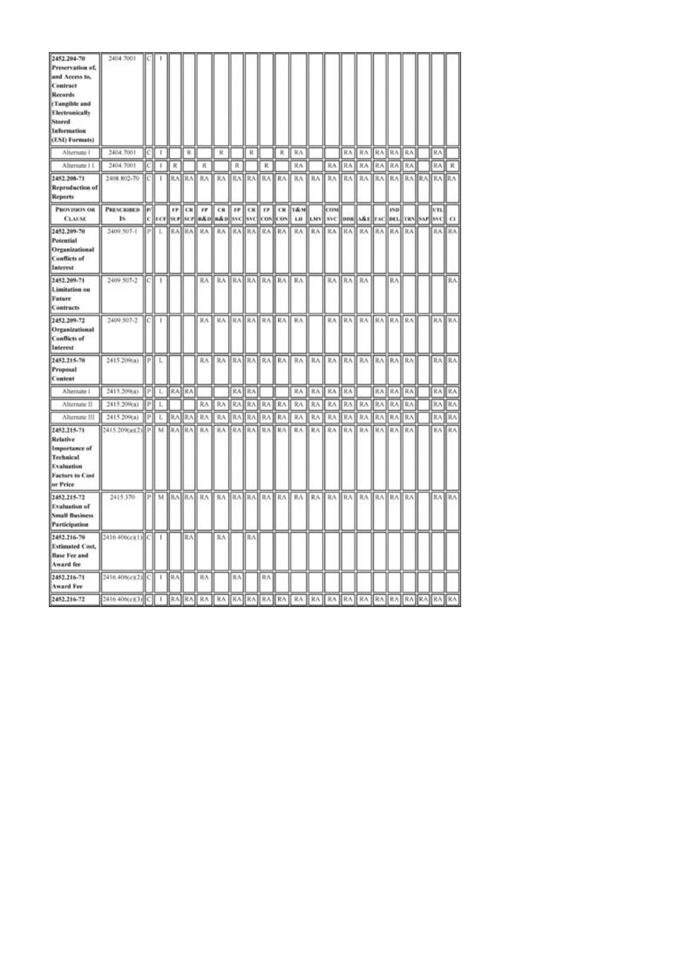| 2452.204-70<br>Preservation of,<br>and Access to,<br>Contract<br>Records<br>(Tangible and<br>Electronically<br>Stored<br>Information<br>(ESI) Formats) | 2404.7001                      |     |              |       |           |           |                                                  |     |                 |                |       |                                  |     |                                            |     |                   |       |              |     |                 |          |
|--------------------------------------------------------------------------------------------------------------------------------------------------------|--------------------------------|-----|--------------|-------|-----------|-----------|--------------------------------------------------|-----|-----------------|----------------|-------|----------------------------------|-----|--------------------------------------------|-----|-------------------|-------|--------------|-----|-----------------|----------|
| Afternate 1                                                                                                                                            | 2404.7001                      | [C] |              |       | R         |           | R                                                |     | R               |                | R     | RA                               |     |                                            | RA: | RA RA             |       | RA.          | RA) | RA.             |          |
| Alternate II                                                                                                                                           | 2404.7001                      | IсI | ×,           | R     |           | R         |                                                  | 民   |                 | ĸ              |       | RA.                              |     | RA                                         | RA  | RA                | RA    | RA           | RA  | RA              | R        |
| 2452.208-71<br><b>Reproduction of</b><br><b>Reports</b>                                                                                                | 2408.802-70                    | IС  | T            |       |           | RABRAH RA |                                                  |     |                 |                |       |                                  |     |                                            |     |                   |       |              |     |                 |          |
| PROVISION OR<br><b>CLAUSE</b>                                                                                                                          | <b>PRESCRIBED</b><br><b>Is</b> | lы  |              |       | $IF$ $CR$ | m         | CR<br>C  CF SUF SUF #&D  #&D  SVC  SVC  COS  COS |     |                 |                |       | <b>FP CR FP CR T&amp;M</b><br>LH |     | COM<br>LMV SVC DDR A&E FAC DEL TRN SAP SVC |     |                   |       | <b>IND</b>   |     | UTL.            | $\Omega$ |
| 2452.209-70<br>Potential<br>Organizational<br><b>Conflicts of</b><br>Interest                                                                          | 2409 507-1                     | PI  | L            |       | RAIRA     | RA        |                                                  |     | <b>RAIRAIRA</b> |                | RA RA | RA                               |     | RA RA                                      | RA  | RA                | RA    | RA)          | RA  | RA.             | RA.      |
| 2452.209-71<br>Limitation on<br>Future<br><b>Contracts</b>                                                                                             | 2409.507-2                     | lсI | 1            |       |           | RA        | RA                                               |     |                 | RA RA RA RA RA |       |                                  |     | RA RA                                      |     | <b>RA</b>         |       | RA           |     |                 | RA       |
| 2452.209-72<br>Organizational<br><b>Conflicts of</b><br>Interest                                                                                       | 2409 507-2                     | IСĮ | I.           |       |           |           | RA RA RAIRA RAIRA RAIRA                          |     |                 |                |       |                                  |     |                                            |     | RA RA RA RA RA RA |       |              |     |                 | RA RA    |
| 2452.215-70<br>Proposal<br>Content                                                                                                                     | 2415.209(a)                    | P.  | L            |       |           | RA        | RA                                               |     | RAHRAI          | RA1            | RA:   | RA.                              | RA: | RA:                                        | RA  |                   | RA RA | <b>RAIRA</b> |     |                 | RA RA    |
| Alternate 1                                                                                                                                            | 2415.209(a)                    | ₽ł  | L            | RAIRA |           |           |                                                  | RA. | 抗人              |                |       | RA                               | RA  | RA                                         | RA  |                   | RA    | RA           | RA  | RA              | RA       |
| Alternate II                                                                                                                                           | 2415.209(a)                    | Þ   | L            |       |           | RA        | RA                                               | RA  | 我人              | RA             | RA.   | RA                               | RA. | RA                                         | RA  | RA                | RA    | RA           | RA  | RA              | RA       |
| Alternate III                                                                                                                                          | 2415.209(a)                    | PI  | L.           | IR۸   | RA        | RA        | RA                                               | RA  | RA              | RA             | RA    | RA                               | RA  | RA                                         | RA  | RA                | RA    | RA           | RA  | RA              | RA       |
| 2452.215-71<br><b>Relative</b><br><b>Importance</b> of<br>Technical<br>Evaluation<br>Factors to Cost<br>or Price                                       | 2415.209(a)(2) P               |     | M            | 求人    | RA        | RA        | RA                                               | RA. | RA.             | RA             | RA    | RA                               | RA  | RΛ                                         | RA  | RA                | RA    | RA.          | RA  | RA              | RA       |
| 2452.215-72<br><b>Evaluation of</b><br><b>Small Business</b><br><b>Participation</b>                                                                   | 2415.370                       | PĬ  | M            |       |           | RABRAH RA | RA RAHRAHRAHRAH                                  |     |                 |                |       | RA                               | RA: | RA                                         | RA. | RA                | RA.   | <b>RA</b> RA |     | RA <sup>1</sup> | RA.      |
| 2452.216-70<br><b>Estimated Cost,</b><br><b>Base Fee and</b><br>Award fee                                                                              | 2416.406(c)(1) C               |     | $\mathbf{I}$ |       | RA.       |           | RΛ                                               |     | RA              |                |       |                                  |     |                                            |     |                   |       |              |     |                 |          |
| 2452.216-71<br><b>Award Fee</b>                                                                                                                        |                                |     |              |       |           | 貨入        |                                                  | RA, |                 | RA             |       |                                  |     |                                            |     |                   |       |              |     |                 |          |
| 2452.216-72                                                                                                                                            |                                |     |              |       |           |           |                                                  |     |                 |                |       |                                  |     |                                            |     |                   |       |              |     |                 |          |
|                                                                                                                                                        |                                |     |              |       |           |           |                                                  |     |                 |                |       |                                  |     |                                            |     |                   |       |              |     |                 |          |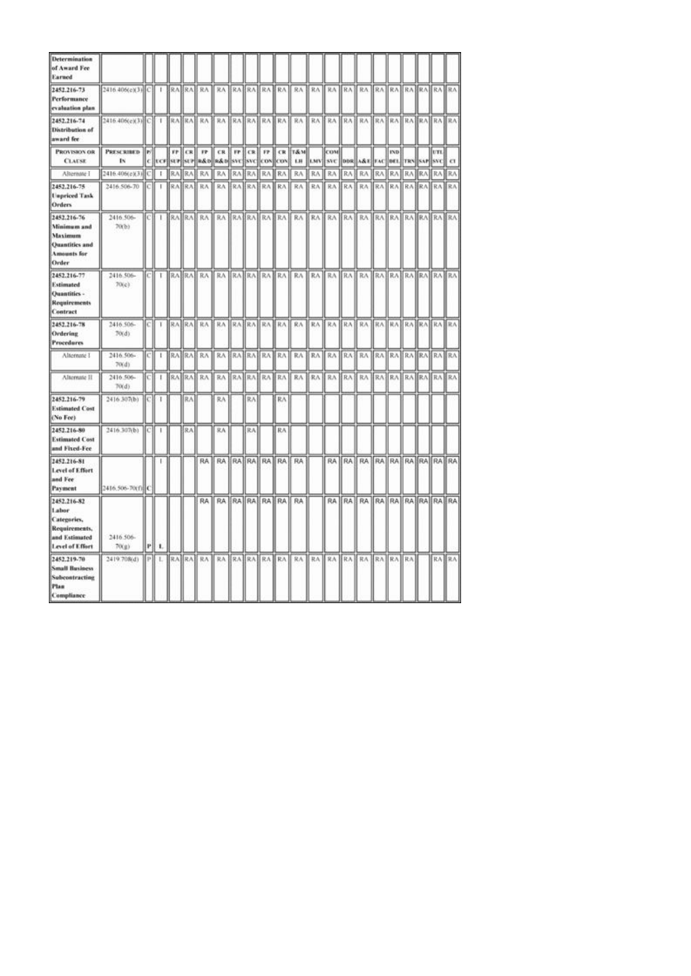| <b>Determination</b><br>of Award Fee<br>Earned                                                |                         |          |    |                               |            |                 |                             |             |                  |                 |                   |                             |            |                   |              |                                   |     |                    |     |           |                      |                |
|-----------------------------------------------------------------------------------------------|-------------------------|----------|----|-------------------------------|------------|-----------------|-----------------------------|-------------|------------------|-----------------|-------------------|-----------------------------|------------|-------------------|--------------|-----------------------------------|-----|--------------------|-----|-----------|----------------------|----------------|
| 2452.216-73<br>Performance<br>evaluation plan                                                 | 2416.406(e)(3) C        |          |    |                               |            | RA RA RA        | RA RAFRABRA RA              |             |                  |                 |                   | 8A                          | RA         |                   |              | RA RA RA RA RA RA RA RA RA        |     |                    |     |           |                      |                |
| 2452.216-74<br>Distribution of<br>award fee                                                   | 2416-406(c)(3) C 1      |          |    |                               |            |                 | BRABRAH RA BRAHRAHRAHRAH RA |             |                  |                 |                   |                             |            |                   |              |                                   |     |                    |     |           |                      |                |
| PROVISION OR<br><b>CLAUSE</b>                                                                 | <b>PRESCRIBED</b><br>ΙN | lы<br>c. |    | $_{\rm FP}$<br><b>ECF SUP</b> | CR.<br>SUP | 17              | CR.<br>R&D R&D SVC          | $_{\rm FP}$ | CR<br><b>SVC</b> | FP.<br>CON      | <b>CR</b><br>lcox | <b>T&amp;M</b><br>LH.       | <b>LMV</b> | <b>COM</b><br>SVC |              | DDR A&E FAC                       |     | <b>IND</b><br>DE1. |     | TRN SAP   | UTL<br><b>SVC</b>    | $\alpha$       |
| Alternate I                                                                                   | 2416.406(c)(3)          | c        | F. | RA                            | RA.        | RA              | RA                          | RA.         | RA.              | 我入              | RA                | RA                          | RA         | RA                | RA           | RA                                | RA  | RA                 | RA  | <b>RA</b> | 取入                   | RA <sub></sub> |
| 2452.216-75<br><b>Unpriced Task</b><br>Orders                                                 | 2416;506-70             | lс       | т  |                               | RABRA      | RA              | RA                          | RA)         | RA1              |                 | RA RA             | RA                          | RA         | RA                | RA           | RA                                | RA. | RA.                |     |           | RA RA RA RA          |                |
| 2452.216-76<br>Minimum and<br>Maximum<br><b>Quantities and</b><br><b>Amounts</b> for<br>Order | 2416.506-<br>70(b)      | [C]      | т  |                               |            |                 |                             |             |                  |                 |                   | RA RA RA RA RA RA RA RA RA  |            |                   |              | RA RA RA RA RA RA RA RA RA RA     |     |                    |     |           |                      |                |
| 2452.216-77<br><b>Estimated</b><br>Quantities -<br>Requirements<br>Contract                   | 2416.506-<br>70(c)      | IСI      | τ  |                               |            |                 |                             |             |                  |                 |                   | RABRAH RAH RAHRAHRAHRAH RAH |            |                   |              | RA RA RA RA RA RA RA RA RA RA RA  |     |                    |     |           |                      |                |
| 2452.216-78<br>Ordering<br><b>Procedures</b>                                                  | 2416.506-<br>70(d)      | IсI      | т  |                               |            |                 | RAIRA RAIRAIRAIRAIRAIRAIRA  |             |                  |                 |                   |                             |            |                   |              | RA KA KRA KA KA KA KA KA KA KA KA |     |                    |     |           |                      |                |
| Alternate 1                                                                                   | 2416.506-<br>70(d)      | C.       | t. |                               |            | RA RA RA        |                             |             |                  | RA BRABRABRA RA |                   | RA                          | RA         | RA                | RA           | RA                                |     |                    |     |           | RA RAIRA RAIRA RA    |                |
| Alternate II                                                                                  | 2416.506-<br>70(d)      | C)       | 1  |                               |            | <b>RABRABRA</b> | RA                          | RA          | RA1              |                 | RA RA             | RA                          | RA         | RA                | RA           | RA                                | RA1 | RA.                | RA1 |           | <b>RAIRAIRA</b>      |                |
| 2452.216-79<br><b>Estimated Cost</b><br>(No Fee)                                              | 2416.307(b)             | ЮI       | T  |                               | RA         |                 | RA                          |             | RA               |                 | RA                |                             |            |                   |              |                                   |     |                    |     |           |                      |                |
| 2452.216-80<br><b>Estimated Cost</b><br>and Fixed-Fee                                         | 2416.307(b)             | IСI      | H. |                               | RA         |                 | RA                          |             | RA               |                 | RA                |                             |            |                   |              |                                   |     |                    |     |           |                      |                |
| 2452.216-81<br>Level of Effort<br>and Fee<br>Payment                                          | 2416.506-70(f) C        |          |    |                               |            |                 | RA RA RA RA RA RA RA        |             |                  |                 |                   | RA                          |            |                   |              | RA RA RA RA RA RA RA RA RA RA     |     |                    |     |           |                      |                |
| 2452.216-82<br>Labor<br>Categories,<br>Requirements,<br>and Estimated<br>Level of Effort      | 2416.506-<br>70(g)      | P        | л. |                               |            | <b>RA</b>       |                             |             |                  | RA RAHRAHRA RA  |                   | RA                          |            |                   |              | RA RA RA                          |     |                    |     |           | RA RA RA RA RA RA RA |                |
| 2452.219-70<br><b>Small Business</b><br>Subcontracting<br>Plan<br>Compliance                  | 2419.708(d)             | P)       | ı. |                               |            | RA RA RA        | RA.                         |             | RA RA            |                 | RA RA             | RA                          |            | RA RA             | <b>RA RA</b> |                                   | RA. | RA RA              |     |           | RA RA                |                |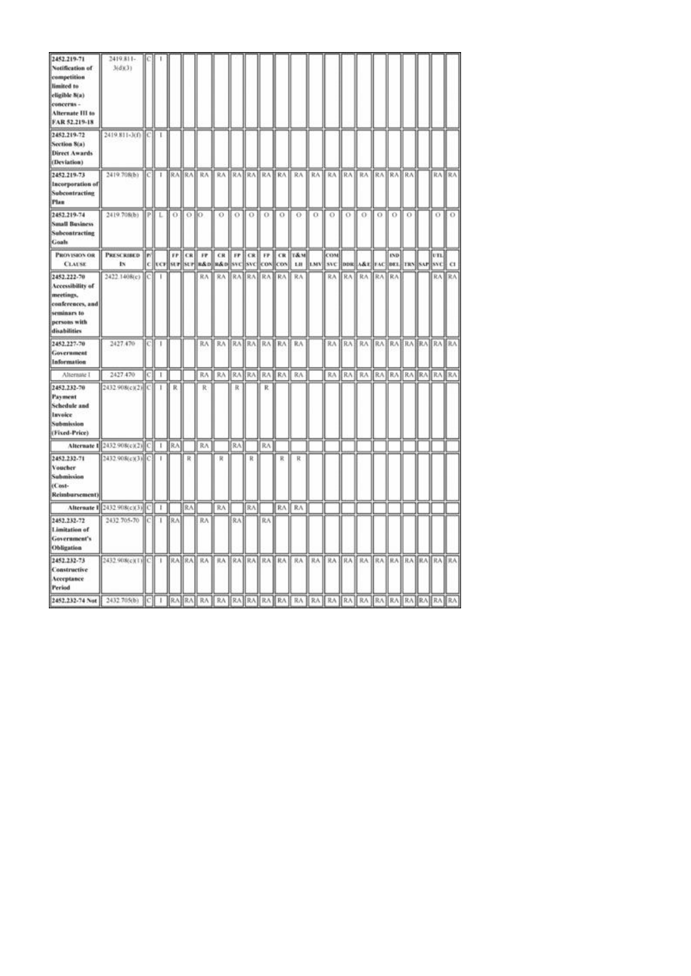| 2452.219-71<br>Notification of<br>competition<br>limited to<br>eligible 8(a)<br>concerns -<br>Alternate III to<br>FAR 52.219-18 | 2419.811-<br>3(d)(3)                  |      |            |            |           |                            |                                  |    |     |             |   |                                                                                                                               |                      |                               |     |                            |     |            |          |     |       |
|---------------------------------------------------------------------------------------------------------------------------------|---------------------------------------|------|------------|------------|-----------|----------------------------|----------------------------------|----|-----|-------------|---|-------------------------------------------------------------------------------------------------------------------------------|----------------------|-------------------------------|-----|----------------------------|-----|------------|----------|-----|-------|
| 2452.219-72<br>Section 8(a)<br><b>Direct Awards</b><br>(Deviation)                                                              | 2419.811-3(f) C 1                     |      |            |            |           |                            |                                  |    |     |             |   |                                                                                                                               |                      |                               |     |                            |     |            |          |     |       |
| 2452.219-73<br>Incorporation of<br>Subcontracting<br>Plan                                                                       | 2419.708(b)                           |      | $ C   + 1$ |            |           |                            |                                  |    |     |             |   | RA RA RA RA RA RA RA RA RA                                                                                                    | RA RA RA RA RA RA RA |                               |     |                            |     |            |          |     | RA RA |
| 2452.219-74<br><b>Small Business</b><br>Subcontracting<br>Goals                                                                 | 2419.708(b) PL                        |      |            | $\alpha$   | $0$   $0$ |                            | $\Omega$                         |    |     | 0 1 0 1 0 1 |   | - O                                                                                                                           | $\alpha$ 0           |                               | LO. | 0.                         | LO. | ю          | $\Omega$ | 0.  | LO.   |
| <b>PROVISION OR</b><br><b>CLAUSE</b>                                                                                            | <b>PRESCRIBED</b><br>IN.              | le/l |            |            |           | FP CR FP                   |                                  |    |     |             |   | CR FF CR FF CR T&M<br> c  ver  str  str  s&o  s&o  svc  svc  cov  cov   Lu   tMV  svc  dos  A&t  rAc  det  TRS  svr  svc   Cl |                      | COM                           |     |                            |     | <b>IND</b> |          | vn. |       |
| 2452.222-70<br>Accessibility of<br>meetings.<br>conferences, and<br>seminars to<br>persons with<br>disabilities                 | 2422.1408(c)                          | IС   | п          |            |           | RA                         | RA RAIRA RAIRA                   |    |     |             |   | RA                                                                                                                            |                      | RA                            | RA  | RA                         | RA  | RA         |          |     | RA RA |
| 2452.227-70<br>Government<br>Information                                                                                        | 2427.470                              | ЮJ   | -1         |            |           |                            | RA   RA   RA   RA   RA   RA   RA |    |     |             |   |                                                                                                                               |                      |                               |     | RA RA RA RA RA RA RA RA RA |     |            |          |     |       |
| Alternate 1                                                                                                                     | 2427,470                              | C)   | T          |            |           |                            | RA RA RATRATRATRAT               |    |     |             |   | RA.                                                                                                                           |                      |                               |     | RA RA RA RA RA RA RA RA RA |     |            |          |     |       |
| 2452.232-70<br>Payment<br><b>Schedule</b> and<br>Invoice<br>Submission<br>(Fixed-Price)                                         | 2432.908(c)(2) C                      |      | -          | R          |           | R                          |                                  | R  |     | R.          |   |                                                                                                                               |                      |                               |     |                            |     |            |          |     |       |
|                                                                                                                                 | Alternate 1 2432 908(c)(2) C   1   RA |      |            |            |           | RA                         |                                  | RA |     | RA          |   |                                                                                                                               |                      |                               |     |                            |     |            |          |     |       |
| 2452.232-71<br>Voucher<br>Submission<br>(Cost-<br>Reimbursement)                                                                | 2432.908(c)(3) C                      |      | 1          |            | R         |                            | R                                |    | R   |             | R | R                                                                                                                             |                      |                               |     |                            |     |            |          |     |       |
|                                                                                                                                 | Alternate 1 2432 908(c)(3) C 1        |      |            |            | RA.       |                            | RA                               |    | RA. |             |   | RA RA                                                                                                                         |                      |                               |     |                            |     |            |          |     |       |
| 2452.232-72<br>Limitation of<br>Government's<br>Obligation                                                                      | 2432.705-70 [C]                       |      | 1          | <b>BRA</b> |           | RA                         |                                  | RA |     | RA          |   |                                                                                                                               |                      |                               |     |                            |     |            |          |     |       |
| 2452.232-73<br>Constructive<br>Acceptance<br><b>Period</b>                                                                      | 2432.908(c)(1) C 1                    |      |            |            |           | RA RA RA RA RA RA RA RA RA |                                  |    |     |             |   |                                                                                                                               |                      | RA RA RA RA RA RA RA RA RA RA |     |                            |     |            |          |     |       |
|                                                                                                                                 |                                       |      |            |            |           |                            |                                  |    |     |             |   |                                                                                                                               |                      |                               |     |                            |     |            |          |     |       |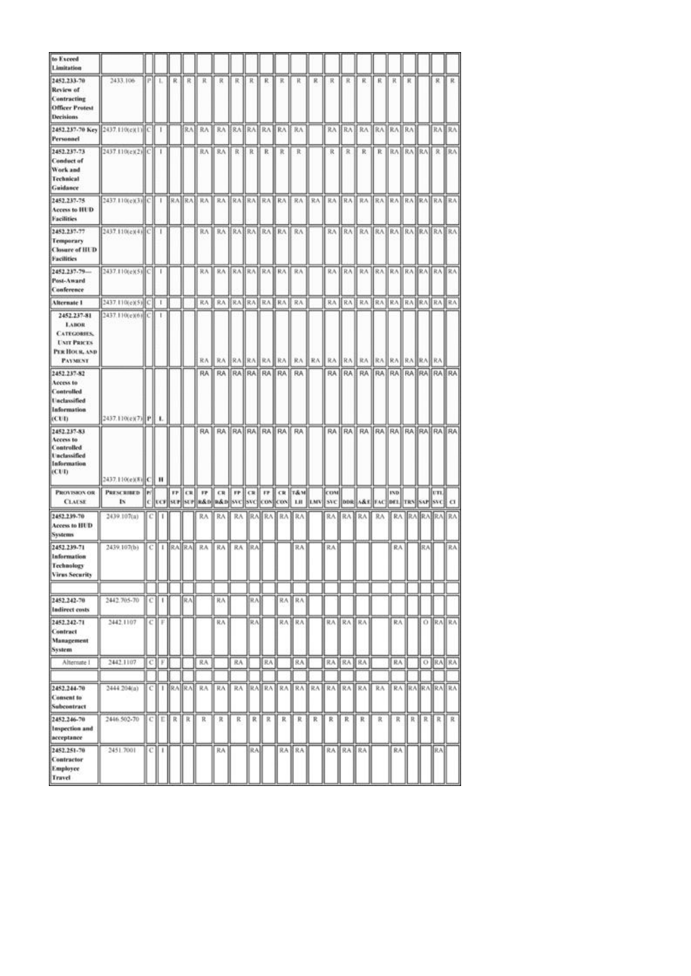| to Exceed<br>Limitation                                                                                   |                                 |   |              |                 |    |                  |                              |    |                 |    |                   |                                                                                                                                                 |       |            |                 |                                  |    |            |       |     |           |                     |
|-----------------------------------------------------------------------------------------------------------|---------------------------------|---|--------------|-----------------|----|------------------|------------------------------|----|-----------------|----|-------------------|-------------------------------------------------------------------------------------------------------------------------------------------------|-------|------------|-----------------|----------------------------------|----|------------|-------|-----|-----------|---------------------|
| 2452.233-70<br>Review of<br>Contracting<br><b>Officer Protest</b><br>Decisions                            | 2433.106                        |   | PIL          | R.I             | R  | К                | R                            |    | 民日氏             | R. | R                 | ĸ                                                                                                                                               | R.    | 求          | R               | R                                | К. | К          | к     |     | я.        | R                   |
| 2452.237-70 Key 2437.110(e)(1) C 1<br>Personnel                                                           |                                 |   |              |                 |    | RAE RA           | RA ERA RAERA RAILRA          |    |                 |    |                   |                                                                                                                                                 |       |            |                 | RA RA RA RA RA RA                |    |            |       |     |           | RA RAI              |
| 2452.237-73<br><b>Conduct of</b><br>Work and<br>Technical<br>Guidance                                     | 2437.110(e)(2) <sup>[C]</sup> 1 |   |              |                 |    |                  | RA    RA    R    R    R    R |    |                 |    |                   | R                                                                                                                                               |       |            | R R             | R R RAIRAIRA R RAI               |    |            |       |     |           |                     |
| 2452.237-75<br>Access to HUD<br><b>Facilities</b>                                                         |                                 |   |              |                 |    |                  |                              |    |                 |    |                   |                                                                                                                                                 |       |            |                 |                                  |    |            |       |     |           |                     |
| 2452.237-77<br>Temporary<br><b>Closure of HUD</b><br><b>Facilities</b>                                    | 2437.110(e)(4)(C) 1             |   |              |                 |    |                  | RA RA RAHRA RAHRA RA         |    |                 |    |                   |                                                                                                                                                 |       |            |                 | RA RA RA RA RA RA RA RAHRAHRA    |    |            |       |     |           |                     |
| 2452.237-79-<br>Post-Award<br>Canference                                                                  | 2437.110(e)(5) C   1            |   |              |                 |    | 我永               | RABRARABRA RA RA             |    |                 |    |                   |                                                                                                                                                 |       |            |                 | RA RAIRA RAIRA RAIRA RAIRA       |    |            |       |     |           |                     |
| Alternate 1                                                                                               | 2437.110(e)(5) C                |   | $\mathbf{I}$ |                 |    | RA J             | RA BRA RA RA RA              |    |                 |    |                   | RA                                                                                                                                              |       |            |                 | RA KA KA KA KA KA KA KA KA KA    |    |            |       |     |           |                     |
| 2452.237-81<br><b>LABOR</b><br><b>CATEGORIES</b><br><b>UNIT PRICES</b><br>PER HOUR, AND<br><b>PAYMENT</b> | 2437.110(e)(6) C                |   | -            |                 |    | RA <sub>I</sub>  | RA                           |    | <b>RAIRAIRA</b> |    | RA II             |                                                                                                                                                 | RA RA | RA         |                 | RA RA RA RA                      |    |            | RA RA |     | <b>RA</b> |                     |
| 2452.237-82<br>Access to<br><b>Controlled</b><br><b>Unclassified</b><br>Information<br>(CUI)              | 2437.110(e)(7) P                |   | ۰.           |                 |    |                  |                              |    |                 |    |                   | RA   RA   RA   RA   RA   RA   RA                                                                                                                |       |            |                 | RA RA RA RA RA RA RA RA RA RA RA |    |            |       |     |           |                     |
| 2452.237-83<br>Access to<br>Controlled<br><b>Unclassified</b><br>Information<br>(CUI)                     | 2437.110(e)(8) C H              |   |              |                 |    | <b>RA</b>        |                              |    |                 |    | RA RAIRAIRAIRA RA | RA <sub></sub>                                                                                                                                  |       |            |                 | RA RA RA RA RA RA RA RA RA RA RA |    |            |       |     |           |                     |
| <b>PROVISION OR</b><br><b>CLAUSE</b>                                                                      | PRESCRIBED   P/<br>18           |   |              |                 |    |                  |                              |    |                 |    |                   | <b>FF CR FF CR FF CR FF CR T&amp;M</b><br>C [ UCF[ SUF  SUF  R&D  R&D  SVC  COS  COS  COS   LIE   LMV   SVC   DDR  A&E  FAC  DEL  TRN  SAF  SVC |       | <b>CON</b> |                 |                                  |    | <b>IND</b> |       |     | UTL]      | $\alpha$            |
| 2452.239-70<br>Access to HUD<br><b>Systems</b>                                                            | 2439.107(a)                     |   |              |                 |    | RA               | RA                           |    |                 |    |                   | RA RA RA RA RA                                                                                                                                  |       |            |                 | RA RABRA RA                      |    |            |       |     |           | RA RAJRAJRAJ RAJ    |
| 2452.239-71<br><b>Information</b><br>Technology<br><b>Virus Security</b>                                  | 2439.107(b)                     |   |              |                 |    | C   I  RA RA  RA | <b>RA</b> ■                  |    | RA JRA          |    |                   | RA                                                                                                                                              |       | RA:        |                 |                                  |    | RA         |       | BAJ |           | RA.                 |
|                                                                                                           |                                 |   |              |                 |    |                  |                              |    |                 |    |                   |                                                                                                                                                 |       |            |                 |                                  |    |            |       |     |           |                     |
| 2452.242-70<br>Indirect costs                                                                             | 2442.705-70                     | с | ı            |                 | RA |                  | 民汽                           |    | R.A             |    | RA.               | RA                                                                                                                                              |       |            |                 |                                  |    |            |       |     |           |                     |
| 2452.242-71<br>Contract<br>Management<br>System                                                           | 2442.1107                       | с | F            |                 |    |                  | 抗凡                           |    | RΛ              |    |                   | RA IRA                                                                                                                                          |       |            | RA RAJ          | RA                               |    | RA:        |       |     |           | O RAIRA             |
| Alternate 1                                                                                               | 2442.1107                       | c | F.           |                 |    | RA               |                              | RA |                 | RA |                   | RA.                                                                                                                                             |       | RA         | ∦RA.            | <b>RA</b>                        |    | RA         |       |     | O RAIRA   |                     |
| 2452.244-70                                                                                               | 2444 204(a)                     | с |              | $ $ $ RA$ $ RA$ |    | RA               | RA                           |    |                 |    |                   | RA RAIRA RAIRAIRA RAIRAIRA                                                                                                                      |       |            |                 |                                  | RA |            |       |     |           | <b>RA RARARAIRA</b> |
| Consent to<br>Subcontract                                                                                 |                                 |   |              |                 |    |                  |                              |    |                 |    |                   |                                                                                                                                                 |       |            |                 |                                  |    |            |       |     |           |                     |
| 2452.246-70<br>Inspection and<br>acceptance                                                               | 2446.502-70                     | с | Е            | R               | К  | R                | R                            | R  | R               | R  | R                 | R                                                                                                                                               | R     | R          | R               | R                                | R  | R          | R     | R   | R.        | R                   |
| 2452.251-70<br>Contractor<br>Employee<br><b>Travel</b>                                                    | 2451.7001                       | с | 1            |                 |    |                  | RA                           |    | ∥RA             |    |                   | RA RA                                                                                                                                           |       |            | <b>RABRABRA</b> |                                  |    | RA:        |       |     | RA.       |                     |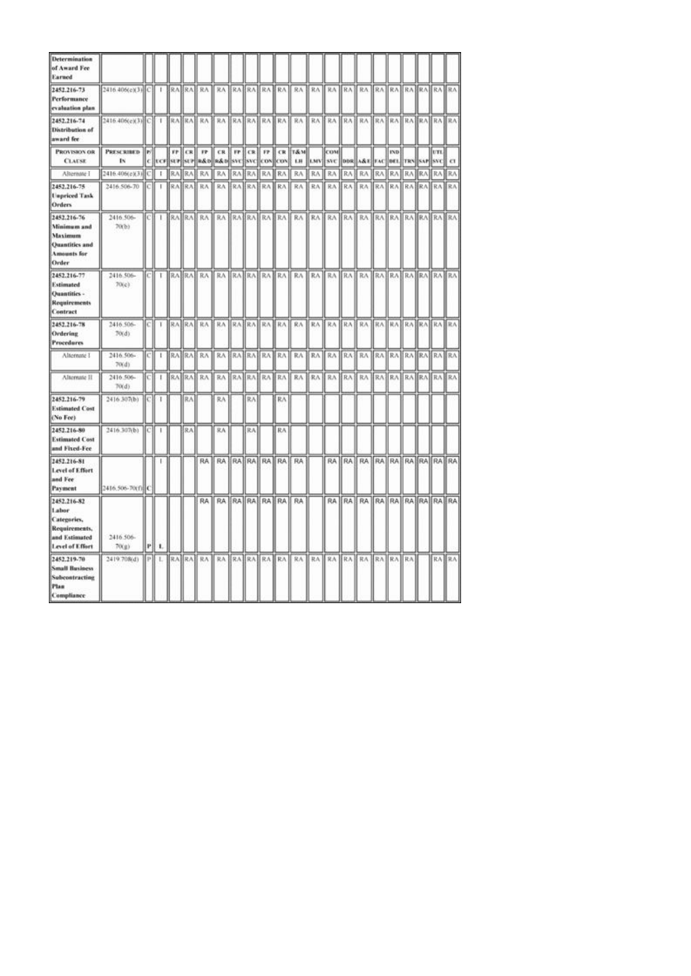| <b>Determination</b><br>of Award Fee<br>Earned                                                |                         |          |    |                               |            |                 |                             |             |                  |                 |                   |                             |            |                   |              |                                   |     |                    |     |           |                      |                |
|-----------------------------------------------------------------------------------------------|-------------------------|----------|----|-------------------------------|------------|-----------------|-----------------------------|-------------|------------------|-----------------|-------------------|-----------------------------|------------|-------------------|--------------|-----------------------------------|-----|--------------------|-----|-----------|----------------------|----------------|
| 2452.216-73<br>Performance<br>evaluation plan                                                 | 2416.406(e)(3) C        |          |    |                               |            | RA RA RA        | RA RAFRABRA RA              |             |                  |                 |                   | 8A                          | RA         |                   |              | RA RA RA RA RA RA RA RA RA        |     |                    |     |           |                      |                |
| 2452.216-74<br>Distribution of<br>award fee                                                   | 2416-406(c)(3) C 1      |          |    |                               |            |                 | BRABRAH RA BRAHRAHRAHRAH RA |             |                  |                 |                   |                             |            |                   |              |                                   |     |                    |     |           |                      |                |
| PROVISION OR<br><b>CLAUSE</b>                                                                 | <b>PRESCRIBED</b><br>ΙN | lы<br>c. |    | $_{\rm FP}$<br><b>ECF SUP</b> | CR.<br>SUP | 17              | CR.<br>R&D R&D SVC          | $_{\rm FP}$ | CR<br><b>SVC</b> | FP.<br>CON      | <b>CR</b><br>lcox | <b>T&amp;M</b><br>LH.       | <b>LMV</b> | <b>COM</b><br>SVC |              | DDR A&E FAC                       |     | <b>IND</b><br>DE1. |     | TRN SAP   | UTL<br><b>SVC</b>    | $\alpha$       |
| Alternate I                                                                                   | 2416.406(c)(3)          | c        | F. | RA                            | RA.        | RA              | RA                          | RA.         | RA.              | 我入              | RA                | RA                          | RA         | RA                | RA           | RA                                | RA  | RA                 | RA  | <b>RA</b> | 取入                   | RA <sub></sub> |
| 2452.216-75<br><b>Unpriced Task</b><br>Orders                                                 | 2416;506-70             | lс       | т  |                               | RABRA      | RA              | RA                          | RA)         | RA1              |                 | RA RA             | RA                          | RA         | RA                | RA           | RA                                | RA. | RA.                |     |           | RA RA RA RA          |                |
| 2452.216-76<br>Minimum and<br>Maximum<br><b>Quantities and</b><br><b>Amounts</b> for<br>Order | 2416.506-<br>70(b)      | [C]      | т  |                               |            |                 |                             |             |                  |                 |                   | RA RA RA RA RA RA RA RA RA  |            |                   |              | RA RA RA RA RA RA RA RA RA RA     |     |                    |     |           |                      |                |
| 2452.216-77<br><b>Estimated</b><br>Quantities -<br>Requirements<br>Contract                   | 2416.506-<br>70(c)      | IСI      | τ  |                               |            |                 |                             |             |                  |                 |                   | RABRAH RAH RAHRAHRAHRAH RAH |            |                   |              | RA RA RA RA RA RA RA RA RA RA RA  |     |                    |     |           |                      |                |
| 2452.216-78<br>Ordering<br><b>Procedures</b>                                                  | 2416.506-<br>70(d)      | IсI      | т  |                               |            |                 | RAIRA RAIRAIRAIRAIRAIRAIRA  |             |                  |                 |                   |                             |            |                   |              | RA KA KRA KA KA KA KA KA KA KA KA |     |                    |     |           |                      |                |
| Alternate 1                                                                                   | 2416.506-<br>70(d)      | C.       | t. |                               |            | RA RA RA        |                             |             |                  | RA BRABRABRA RA |                   | RA                          | RA         | RA                | RA           | RA                                |     |                    |     |           | RA RAIRA RAIRA RA    |                |
| Alternate II                                                                                  | 2416.506-<br>70(d)      | C)       | 1  |                               |            | <b>RABRABRA</b> | RA                          | RA          | RA1              |                 | RA RA             | RA                          | RA         | RA                | RA           | RA                                | RA1 | RA.                | RA) |           | <b>RAIRAIRA</b>      |                |
| 2452.216-79<br><b>Estimated Cost</b><br>(No Fee)                                              | 2416.307(b)             | ЮI       | T  |                               | RA         |                 | RA                          |             | RA               |                 | RA                |                             |            |                   |              |                                   |     |                    |     |           |                      |                |
| 2452.216-80<br><b>Estimated Cost</b><br>and Fixed-Fee                                         | 2416.307(b)             | IC1      | H. |                               | RA         |                 | RA                          |             | RA               |                 | RA                |                             |            |                   |              |                                   |     |                    |     |           |                      |                |
| 2452.216-81<br>Level of Effort<br>and Fee<br>Payment                                          | 2416.506-70(f) C        |          |    |                               |            |                 | RA RA RA RA RA RA RA        |             |                  |                 |                   | RA                          |            |                   |              | RA RA RA RA RA RA RA RA RA RA     |     |                    |     |           |                      |                |
| 2452.216-82<br>Labor<br>Categories,<br>Requirements,<br>and Estimated<br>Level of Effort      | 2416.506-<br>70(g)      | P        | л. |                               |            | <b>RA</b>       |                             |             |                  |                 | RA RAHRAHRA RA    | RA                          |            |                   |              | RA RA RA                          |     |                    |     |           | RA RA RA RA RA RA RA |                |
| 2452.219-70<br><b>Small Business</b><br>Subcontracting<br>Plan<br>Compliance                  | 2419.708(d)             | P)       | ı. |                               |            | RA RA RA        | RA.                         |             | RA RA            |                 | RA RA             | RA                          |            | RA RA             | <b>RA RA</b> |                                   | RA. | RA RA              |     |           | RA RA                |                |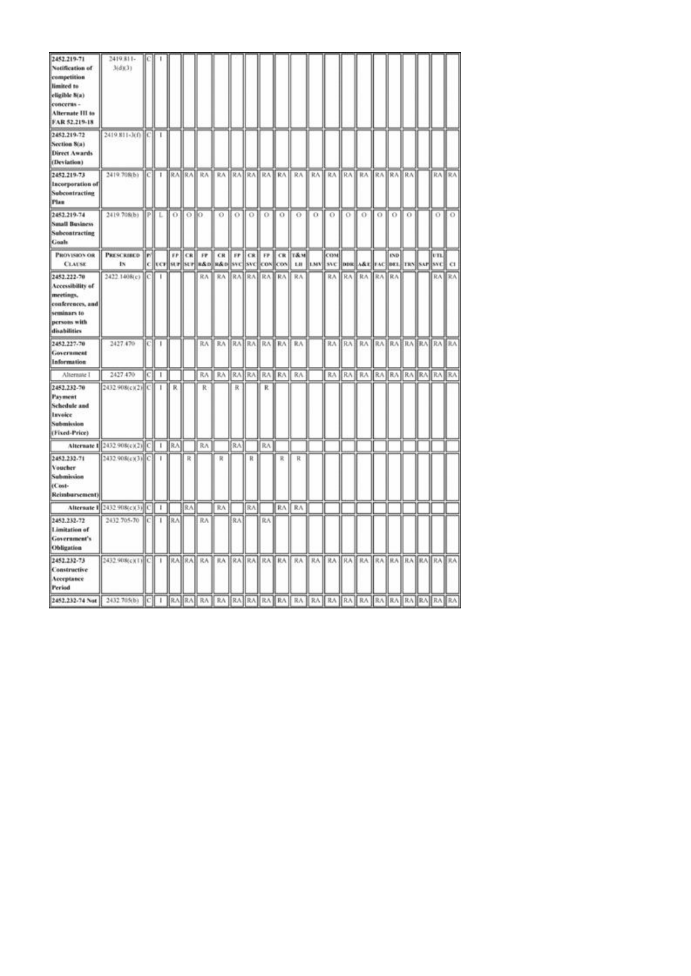| 2452.219-71<br>Notification of<br>competition<br>limited to<br>eligible 8(a)<br>concerns -<br>Alternate III to<br>FAR 52.219-18 | 2419.811-<br>3(d)(3)                  |      |            |            |           |                            |                                  |    |     |             |   |                                                                                                                               |                      |                               |     |                            |     |            |          |     |       |
|---------------------------------------------------------------------------------------------------------------------------------|---------------------------------------|------|------------|------------|-----------|----------------------------|----------------------------------|----|-----|-------------|---|-------------------------------------------------------------------------------------------------------------------------------|----------------------|-------------------------------|-----|----------------------------|-----|------------|----------|-----|-------|
| 2452.219-72<br>Section 8(a)<br><b>Direct Awards</b><br>(Deviation)                                                              | 2419.811-3(f) C 1                     |      |            |            |           |                            |                                  |    |     |             |   |                                                                                                                               |                      |                               |     |                            |     |            |          |     |       |
| 2452.219-73<br>Incorporation of<br>Subcontracting<br>Plan                                                                       | 2419.708(b)                           |      | $ C   + 1$ |            |           |                            |                                  |    |     |             |   | RA RA RA RA RA RA RA RA RA                                                                                                    | RA RA RA RA RA RA RA |                               |     |                            |     |            |          |     | RA RA |
| 2452.219-74<br><b>Small Business</b><br>Subcontracting<br>Goals                                                                 | 2419.708(b) PL                        |      |            | $\alpha$   | $0$   $0$ |                            | $\Omega$                         |    |     | 0 1 0 1 0 1 |   | - O                                                                                                                           | $\alpha$ 0           |                               | LO. | 0.                         | LO. | ю          | $\Omega$ | 0.  | LO.   |
| <b>PROVISION OR</b><br><b>CLAUSE</b>                                                                                            | <b>PRESCRIBED</b><br>IN.              | le/l |            |            |           | FP CR FP                   |                                  |    |     |             |   | CR FF CR FF CR T&M<br> c  ver  str  str  s&o  s&o  svc  svc  cov  cov   Lu   tMV  svc  dos  A&t  rAc  det  TRS  svr  svc   Cl |                      | COM                           |     |                            |     | <b>IND</b> |          | vn. |       |
| 2452.222-70<br>Accessibility of<br>meetings.<br>conferences, and<br>seminars to<br>persons with<br>disabilities                 | 2422.1408(c)                          | IС   | п          |            |           | RA                         | RA RAIRA RAIRA                   |    |     |             |   | RA                                                                                                                            |                      | RA                            | RA  | RA                         | RA  | RA         |          |     | RA RA |
| 2452.227-70<br>Government<br>Information                                                                                        | 2427.470                              | ЮJ   | -          |            |           |                            | RA   RA   RA   RA   RA   RA   RA |    |     |             |   |                                                                                                                               |                      |                               |     | RA RA RA RA RA RA RA RA RA |     |            |          |     |       |
| Alternate 1                                                                                                                     | 2427,470                              | C)   | т          |            |           |                            | RA RA RATRATRATRAT               |    |     |             |   | RA.                                                                                                                           |                      |                               |     | RA RA RA RA RA RA RA RA RA |     |            |          |     |       |
| 2452.232-70<br>Payment<br><b>Schedule</b> and<br>Invoice<br>Submission<br>(Fixed-Price)                                         | 2432.908(c)(2) C                      |      | -          | R          |           | R                          |                                  | R  |     | R.          |   |                                                                                                                               |                      |                               |     |                            |     |            |          |     |       |
|                                                                                                                                 | Alternate 1 2432 908(c)(2) C   1   RA |      |            |            |           | RA                         |                                  | RA |     | RA          |   |                                                                                                                               |                      |                               |     |                            |     |            |          |     |       |
| 2452.232-71<br>Voucher<br>Submission<br>(Cost-<br>Reimbursement)                                                                | 2432.908(c)(3) C                      |      | 1          |            | R         |                            | R                                |    | R   |             | R | R                                                                                                                             |                      |                               |     |                            |     |            |          |     |       |
|                                                                                                                                 | Alternate 1 2432 908(c)(3) C 1        |      |            |            | RA.       |                            | RA                               |    | RA. |             |   | RA RA                                                                                                                         |                      |                               |     |                            |     |            |          |     |       |
| 2452.232-72<br>Limitation of<br>Government's<br>Obligation                                                                      | 2432.705-70 [C]                       |      | 1          | <b>BRA</b> |           | RA                         |                                  | RA |     | RA          |   |                                                                                                                               |                      |                               |     |                            |     |            |          |     |       |
| 2452.232-73<br>Constructive<br>Acceptance<br><b>Period</b>                                                                      | 2432.908(c)(1) C 1                    |      |            |            |           | RA RA RA RA RA RA RA RA RA |                                  |    |     |             |   |                                                                                                                               |                      | RA RA RA RA RA RA RA RA RA RA |     |                            |     |            |          |     |       |
|                                                                                                                                 |                                       |      |            |            |           |                            |                                  |    |     |             |   |                                                                                                                               |                      |                               |     |                            |     |            |          |     |       |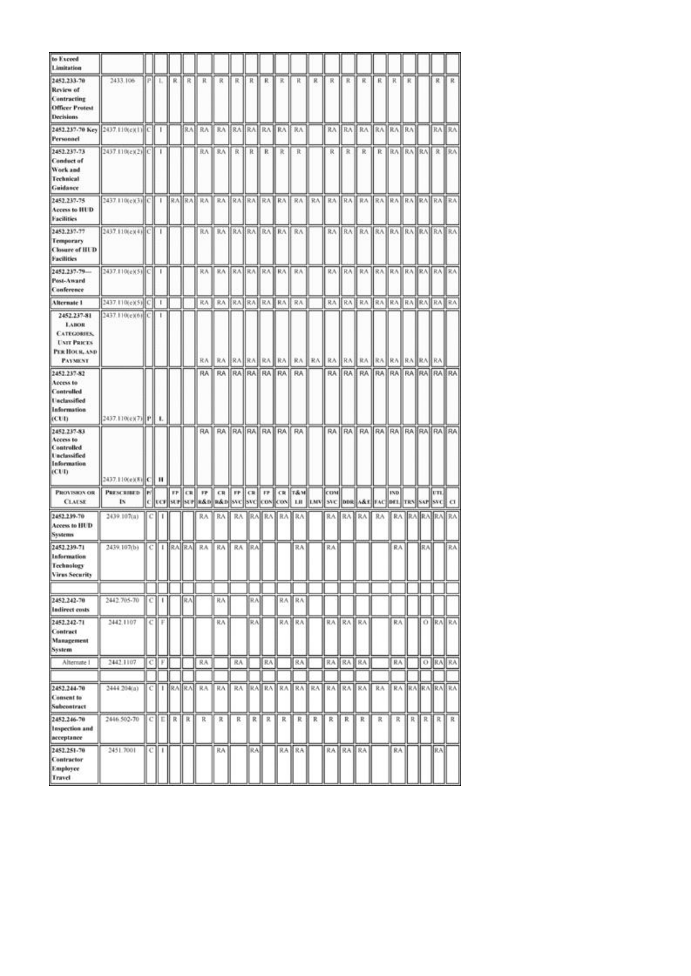| to Exceed<br>Limitation                                                                                   |                                 |   |              |                 |    |                  |                              |    |                 |    |                   |                                                                                                                                                 |       |            |                 |                                  |                 |            |       |     |           |                     |
|-----------------------------------------------------------------------------------------------------------|---------------------------------|---|--------------|-----------------|----|------------------|------------------------------|----|-----------------|----|-------------------|-------------------------------------------------------------------------------------------------------------------------------------------------|-------|------------|-----------------|----------------------------------|-----------------|------------|-------|-----|-----------|---------------------|
| 2452.233-70<br>Review of<br>Contracting<br><b>Officer Protest</b><br>Decisions                            | 2433.106                        |   | PIL          | R.I             | R  | К                | R                            |    | 民日氏             | R. | R                 | ĸ                                                                                                                                               | R.    | 求          | R               | R                                | К.              | К          | к     |     | я.        | R                   |
| 2452.237-70 Key 2437.110(e)(1) C 1<br>Personnel                                                           |                                 |   |              |                 |    | RAE RA           | RA ERA RAERA RAILRA          |    |                 |    |                   |                                                                                                                                                 |       |            |                 | RA RA RA RA RA RA                |                 |            |       |     |           | RA RAI              |
| 2452.237-73<br><b>Conduct of</b><br>Work and<br>Technical<br>Guidance                                     | 2437.110(e)(2) <sup>[C]</sup> 1 |   |              |                 |    |                  | RA    RA    R    R    R    R |    |                 |    |                   | R                                                                                                                                               |       |            | R R             | R R RAIRAIRA R RAI               |                 |            |       |     |           |                     |
| 2452.237-75<br>Access to HUD<br><b>Facilities</b>                                                         |                                 |   |              |                 |    |                  |                              |    |                 |    |                   |                                                                                                                                                 |       |            |                 |                                  |                 |            |       |     |           |                     |
| 2452.237-77<br>Temporary<br><b>Closure of HUD</b><br><b>Facilities</b>                                    | 2437.110(e)(4)(C) 1             |   |              |                 |    |                  | RA RA RAHRA RAHRA RA         |    |                 |    |                   |                                                                                                                                                 |       |            |                 | RA RA RA RA RA RA RA RAHRAHRA    |                 |            |       |     |           |                     |
| 2452.237-79-<br>Post-Award<br>Canference                                                                  | 2437.110(e)(5) C   1            |   |              |                 |    | 我永               | RABRARABRA RA RA             |    |                 |    |                   |                                                                                                                                                 |       |            |                 | RA RAIRA RAIRA RAIRA RAIRA       |                 |            |       |     |           |                     |
| Alternate 1                                                                                               | 2437.110(e)(5) C                |   | $\mathbf{I}$ |                 |    | RA               | RA BRA RA RA RA              |    |                 |    |                   | RA                                                                                                                                              |       |            |                 | RA KA KA KA KA KA KA KA KA KA    |                 |            |       |     |           |                     |
| 2452.237-81<br><b>LABOR</b><br><b>CATEGORIES</b><br><b>UNIT PRICES</b><br>PER HOUR, AND<br><b>PAYMENT</b> | 2437.110(e)(6) C                |   | -            |                 |    | RA <sub>I</sub>  | RA                           |    | <b>RAIRAIRA</b> |    | RA II             |                                                                                                                                                 | RA RA | RA         |                 | RA RA RA RA                      |                 |            | RA RA |     | <b>RA</b> |                     |
| 2452.237-82<br>Access to<br><b>Controlled</b><br><b>Unclassified</b><br>Information<br>(CUI)              | 2437.110(e)(7) P                |   | ۰.           |                 |    |                  |                              |    |                 |    |                   | RA   RA   RA   RA   RA   RA   RA                                                                                                                |       |            |                 | RA RA RA RA RA RA RA RA RA RA RA |                 |            |       |     |           |                     |
| 2452.237-83<br>Access to<br>Controlled<br><b>Unclassified</b><br>Information<br>(CUI)                     | 2437.110(e)(8) C H              |   |              |                 |    | RA               |                              |    |                 |    | RA RAIRAIRAIRA RA | RA <sub></sub>                                                                                                                                  |       |            |                 | RA RA RA RA RA RA RA RA RA RA RA |                 |            |       |     |           |                     |
| <b>PROVISION OR</b><br><b>CLAUSE</b>                                                                      | PRESCRIBED   P/<br><b>IN</b>    |   |              |                 |    |                  |                              |    |                 |    |                   | <b>FF CR FF CR FF CR FF CR T&amp;M</b><br>C [ UCF[ SUF  SUF  R&D  R&D  SVC  COS  COS  COS   LIE   LMV   SVC   DDR  A&E  FAC  DEL  TRN  SAF  SVC |       | <b>CON</b> |                 |                                  |                 | <b>IND</b> |       |     | UTL]      | $\alpha$            |
| 2452.239-70<br>Access to HUD<br><b>Systems</b>                                                            | 2439.107(a)                     |   |              |                 |    | RA               | RA                           |    |                 |    |                   | RA RA RA RA RA                                                                                                                                  |       |            |                 | RA RABRA RA                      |                 |            |       |     |           | RA RAJRAJRAJ RAJ    |
| 2452.239-71<br><b>Information</b><br>Technology<br><b>Virus Security</b>                                  | 2439.107(b)                     |   |              |                 |    | C   I  RA RA  RA | <b>RA</b> ■                  |    | RA JRA          |    |                   | RA                                                                                                                                              |       | RA:        |                 |                                  |                 | RA         |       | BAJ |           | RA.                 |
|                                                                                                           |                                 |   |              |                 |    |                  |                              |    |                 |    |                   |                                                                                                                                                 |       |            |                 |                                  |                 |            |       |     |           |                     |
| 2452.242-70<br>Indirect costs                                                                             | 2442.705-70                     | с | ı            |                 | RA |                  | 民汽                           |    | R.A             |    | RA.               | RA                                                                                                                                              |       |            |                 |                                  |                 |            |       |     |           |                     |
| 2452.242-71<br>Contract<br>Management<br>System                                                           | 2442.1107                       | с | F            |                 |    |                  | 抗凡                           |    | RΛ              |    |                   | RA IRA                                                                                                                                          |       |            | RA RA RA        |                                  |                 | RA:        |       |     |           | O RAIRA             |
| Alternate 1                                                                                               | 2442.1107                       | c | F.           |                 |    | RA               |                              | RA |                 | RA |                   | RA.                                                                                                                                             |       | RA         | ∦RA.            | <b>RA</b>                        |                 | RA         |       |     | O RAIRA   |                     |
| 2452.244-70                                                                                               | 2444 204(a)                     | с |              | $ $ $ RA$ $ RA$ |    | RA               | RA                           |    |                 |    |                   | RA RAIRA RAIRAIRA RAIRAIRA                                                                                                                      |       |            |                 |                                  | RA <sub>1</sub> |            |       |     |           | <b>RA RARARAIRA</b> |
| Consent to<br>Subcontract                                                                                 |                                 |   |              |                 |    |                  |                              |    |                 |    |                   |                                                                                                                                                 |       |            |                 |                                  |                 |            |       |     |           |                     |
| 2452.246-70<br>Inspection and<br>acceptance                                                               | 2446.502-70                     | с | Е            | R               | К  | R                | R                            | R  | R               | R  | R                 | R                                                                                                                                               | R     | R          | R               | R                                | R               | R          | R     | R   | R.        | R                   |
| 2452.251-70<br>Contractor<br>Employee<br><b>Travel</b>                                                    | 2451.7001                       | с | 1            |                 |    |                  | RA                           |    | ∥RA             |    |                   | RA RA                                                                                                                                           |       |            | <b>RABRABRA</b> |                                  |                 | RA:        |       |     | RA.       |                     |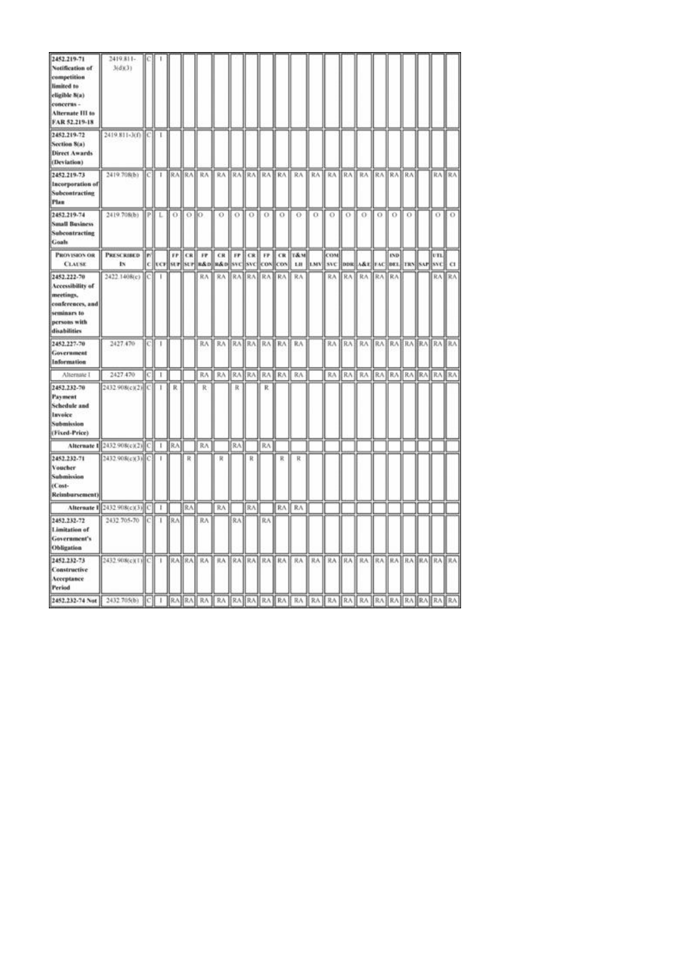| 2452.219-71<br>Notification of<br>competition<br>limited to<br>eligible 8(a)<br>concerns -<br>Alternate III to<br>FAR 52.219-18 | 2419.811-<br>3(d)(3)                  |      |            |            |           |                            |                                  |    |     |             |   |                                                                                                                               |                      |                               |     |                            |     |            |          |     |       |
|---------------------------------------------------------------------------------------------------------------------------------|---------------------------------------|------|------------|------------|-----------|----------------------------|----------------------------------|----|-----|-------------|---|-------------------------------------------------------------------------------------------------------------------------------|----------------------|-------------------------------|-----|----------------------------|-----|------------|----------|-----|-------|
| 2452.219-72<br>Section 8(a)<br><b>Direct Awards</b><br>(Deviation)                                                              | 2419.811-3(f) C 1                     |      |            |            |           |                            |                                  |    |     |             |   |                                                                                                                               |                      |                               |     |                            |     |            |          |     |       |
| 2452.219-73<br>Incorporation of<br>Subcontracting<br>Plan                                                                       | 2419.708(b)                           |      | $ C   + 1$ |            |           |                            |                                  |    |     |             |   | RA RA RA RA RA RA RA RA RA                                                                                                    | RA RA RA RA RA RA RA |                               |     |                            |     |            |          |     | RA RA |
| 2452.219-74<br><b>Small Business</b><br>Subcontracting<br>Goals                                                                 | 2419.708(b) PL                        |      |            | $\alpha$   | $0$   $0$ |                            | $\Omega$                         |    |     | 0 1 0 1 0 1 |   | - O                                                                                                                           | $\alpha$ 0           |                               | LO. | 0.                         | LO. | ю          | $\Omega$ | 0.  | LO.   |
| <b>PROVISION OR</b><br><b>CLAUSE</b>                                                                                            | <b>PRESCRIBED</b><br>IN.              | le/l |            |            |           | FP CR FP                   |                                  |    |     |             |   | CR FF CR FF CR T&M<br> c  ver  str  str  s&o  s&o  svc  svc  cov  cov   Lu   tMV  svc  dos  A&t  rAc  det  TRS  svr  svc   Cl |                      | COM                           |     |                            |     | <b>IND</b> |          | vn. |       |
| 2452.222-70<br>Accessibility of<br>meetings.<br>conferences, and<br>seminars to<br>persons with<br>disabilities                 | 2422.1408(c)                          | lС   | п          |            |           | RA                         | RA RAIRA RAIRA                   |    |     |             |   | RA                                                                                                                            |                      | RA                            | RA  | RA                         | RA  | RA         |          |     | RA RA |
| 2452.227-70<br>Government<br>Information                                                                                        | 2427.470                              | ЮJ   | -          |            |           |                            | RA   RA   RA   RA   RA   RA   RA |    |     |             |   |                                                                                                                               |                      |                               |     | RA RA RA RA RA RA RA RA RA |     |            |          |     |       |
| Alternate 1                                                                                                                     | 2427,470                              | C)   | т          |            |           |                            | RA RA RATRATRATRAT               |    |     |             |   | RA.                                                                                                                           |                      |                               |     | RA RA RA RA RA RA RA RA RA |     |            |          |     |       |
| 2452.232-70<br>Payment<br><b>Schedule</b> and<br>Invoice<br>Submission<br>(Fixed-Price)                                         | 2432.908(c)(2) C                      |      | -          | R          |           | R                          |                                  | R  |     | R.          |   |                                                                                                                               |                      |                               |     |                            |     |            |          |     |       |
|                                                                                                                                 | Alternate 1 2432 908(c)(2) C   1   RA |      |            |            |           | RA                         |                                  | RA |     | RA          |   |                                                                                                                               |                      |                               |     |                            |     |            |          |     |       |
| 2452.232-71<br>Voucher<br>Submission<br>(Cost-<br>Reimbursement)                                                                | 2432.908(c)(3) C                      |      | 1          |            | R         |                            | R                                |    | R   |             | R | R                                                                                                                             |                      |                               |     |                            |     |            |          |     |       |
|                                                                                                                                 | Alternate 1 2432 908(c)(3) C 1        |      |            |            | RA.       |                            | RA                               |    | RA. |             |   | RA RA                                                                                                                         |                      |                               |     |                            |     |            |          |     |       |
| 2452.232-72<br>Limitation of<br>Government's<br>Obligation                                                                      | 2432.705-70 [C]                       |      | 1          | <b>BRA</b> |           | RA                         |                                  | RA |     | RA          |   |                                                                                                                               |                      |                               |     |                            |     |            |          |     |       |
| 2452.232-73<br>Constructive<br>Acceptance<br><b>Period</b>                                                                      | 2432.908(c)(1) C 1                    |      |            |            |           | RA RA RA RA RA RA RA RA RA |                                  |    |     |             |   |                                                                                                                               |                      | RA RA RA RA RA RA RA RA RA RA |     |                            |     |            |          |     |       |
|                                                                                                                                 |                                       |      |            |            |           |                            |                                  |    |     |             |   |                                                                                                                               |                      |                               |     |                            |     |            |          |     |       |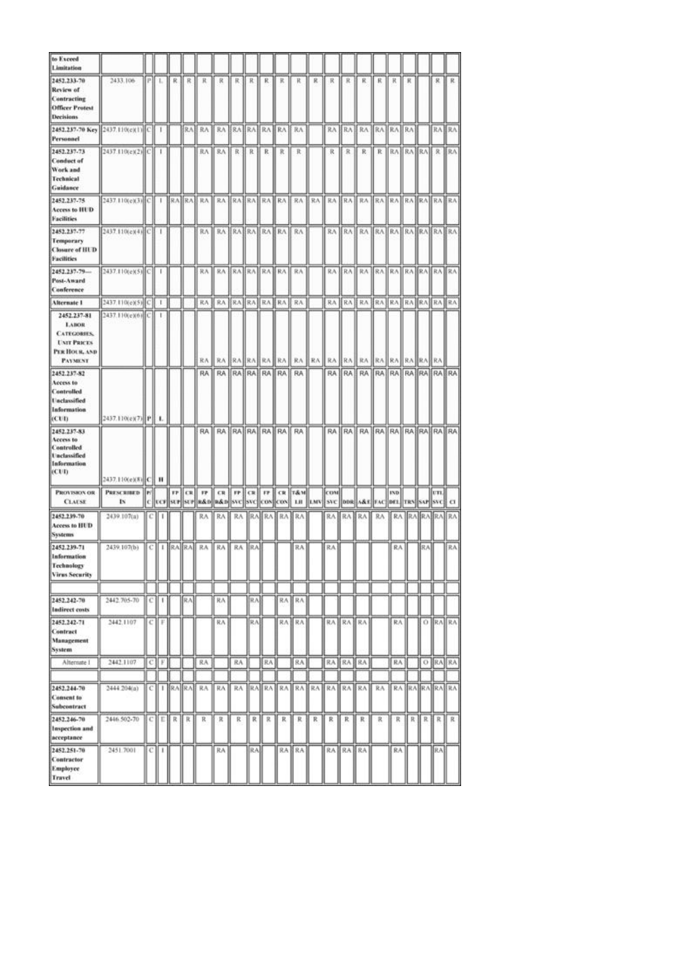| to Exceed<br>Limitation                                                                                   |                                 |   |              |                 |    |                  |                              |    |                 |    |                   |                                                                                                                                                 |       |            |                 |                                  |                 |            |       |     |           |                     |
|-----------------------------------------------------------------------------------------------------------|---------------------------------|---|--------------|-----------------|----|------------------|------------------------------|----|-----------------|----|-------------------|-------------------------------------------------------------------------------------------------------------------------------------------------|-------|------------|-----------------|----------------------------------|-----------------|------------|-------|-----|-----------|---------------------|
| 2452.233-70<br>Review of<br>Contracting<br><b>Officer Protest</b><br>Decisions                            | 2433.106                        |   | PIL          | R.I             | R  | К                | R                            |    | 民日氏             | R. | R                 | ĸ                                                                                                                                               | R.    | 求          | R               | R                                | К.              | К          | к     |     | я.        | R                   |
| 2452.237-70 Key 2437.110(e)(1) C 1<br>Personnel                                                           |                                 |   |              |                 |    | RAE RA           | RA ERA RAERA RAILRA          |    |                 |    |                   |                                                                                                                                                 |       |            |                 | RA RA RA RA RA RA                |                 |            |       |     |           | RA RAI              |
| 2452.237-73<br><b>Conduct of</b><br>Work and<br>Technical<br>Guidance                                     | 2437.110(e)(2) <sup>[C]</sup> 1 |   |              |                 |    |                  | RA    RA    R    R    R    R |    |                 |    |                   | R                                                                                                                                               |       |            | R R             | R R RAIRAIRA R RAI               |                 |            |       |     |           |                     |
| 2452.237-75<br>Access to HUD<br><b>Facilities</b>                                                         |                                 |   |              |                 |    |                  |                              |    |                 |    |                   |                                                                                                                                                 |       |            |                 |                                  |                 |            |       |     |           |                     |
| 2452.237-77<br>Temporary<br><b>Closure of HUD</b><br><b>Facilities</b>                                    | 2437.110(e)(4)(C) 1             |   |              |                 |    |                  | RA RA RAHRA RAHRA RA         |    |                 |    |                   |                                                                                                                                                 |       |            |                 | RA RA RA RA RA RA RA RAHRAHRA    |                 |            |       |     |           |                     |
| 2452.237-79-<br>Post-Award<br>Canference                                                                  | 2437.110(e)(5) C   1            |   |              |                 |    | 我永               | RABRARABRA RA RA             |    |                 |    |                   |                                                                                                                                                 |       |            |                 | RA RAIRA RAIRA RAIRA RAIRA       |                 |            |       |     |           |                     |
| Alternate 1                                                                                               | 2437.110(e)(5) C                |   | $\mathbf{I}$ |                 |    | RA               | RA BRA RA RA RA              |    |                 |    |                   | RA                                                                                                                                              |       |            |                 | RA KA KA KA KA KA KA KA KA KA    |                 |            |       |     |           |                     |
| 2452.237-81<br><b>LABOR</b><br><b>CATEGORIES</b><br><b>UNIT PRICES</b><br>PER HOUR, AND<br><b>PAYMENT</b> | 2437.110(e)(6) C                |   | -            |                 |    | RA <sub>I</sub>  | RA                           |    | <b>RAIRAIRA</b> |    | RA II             |                                                                                                                                                 | RA RA | RA         |                 | RA RA RA RA                      |                 |            | RA RA |     | <b>RA</b> |                     |
| 2452.237-82<br>Access to<br><b>Controlled</b><br><b>Unclassified</b><br>Information<br>(CUI)              | 2437.110(e)(7) P                |   | ۰.           |                 |    |                  |                              |    |                 |    |                   | RA   RA   RA   RA   RA   RA   RA                                                                                                                |       |            |                 | RA RA RA RA RA RA RA RA RA RA RA |                 |            |       |     |           |                     |
| 2452.237-83<br>Access to<br>Controlled<br><b>Unclassified</b><br>Information<br>(CUI)                     | 2437.110(e)(8) C H              |   |              |                 |    | RA               |                              |    |                 |    | RA RAIRAIRAIRA RA | RA <sub></sub>                                                                                                                                  |       |            |                 | RA RA RA RA RA RA RA RA RA RA RA |                 |            |       |     |           |                     |
| <b>PROVISION OR</b><br><b>CLAUSE</b>                                                                      | PRESCRIBED   P/<br><b>IN</b>    |   |              |                 |    |                  |                              |    |                 |    |                   | <b>FF CR FF CR FF CR FF CR T&amp;M</b><br>C [ UCF[ SUF  SUF  R&D  R&D  SVC  COS  COS  COS   LIE   LMV   SVC   DDR  A&E  FAC  DEL  TRN  SAF  SVC |       | <b>CON</b> |                 |                                  |                 | <b>IND</b> |       |     | UTL]      | $\alpha$            |
| 2452.239-70<br>Access to HUD<br><b>Systems</b>                                                            | 2439.107(a)                     |   |              |                 |    | RA               | RA                           |    |                 |    |                   | RA RA RA RA RA                                                                                                                                  |       |            |                 | RA RABRA RA                      |                 |            |       |     |           | RA RAJRAJRAJ RAJ    |
| 2452.239-71<br><b>Information</b><br>Technology<br><b>Virus Security</b>                                  | 2439.107(b)                     |   |              |                 |    | C   I  RA RA  RA | <b>RA</b> ■                  |    | RA JRA          |    |                   | RA                                                                                                                                              |       | RA:        |                 |                                  |                 | RA         |       | BAJ |           | RA.                 |
|                                                                                                           |                                 |   |              |                 |    |                  |                              |    |                 |    |                   |                                                                                                                                                 |       |            |                 |                                  |                 |            |       |     |           |                     |
| 2452.242-70<br>Indirect costs                                                                             | 2442.705-70                     | с | ı            |                 | RA |                  | 民汽                           |    | R.A             |    | RA.               | RA                                                                                                                                              |       |            |                 |                                  |                 |            |       |     |           |                     |
| 2452.242-71<br>Contract<br>Management<br>System                                                           | 2442.1107                       | с | F            |                 |    |                  | 抗凡                           |    | RΛ              |    |                   | RA IRA                                                                                                                                          |       |            | RA RA RA        |                                  |                 | RA:        |       |     |           | O RAIRA             |
| Alternate 1                                                                                               | 2442.1107                       | c | F.           |                 |    | RA               |                              | RA |                 | RA |                   | RA.                                                                                                                                             |       | RA         | ∦RA.            | <b>RA</b>                        |                 | RA         |       |     | O RAIRA   |                     |
| 2452.244-70                                                                                               | 2444 204(a)                     | с |              | $ $ $ RA$ $ RA$ |    | RA               | RA                           |    |                 |    |                   | RA RAIRA RAIRAIRA RAIRAIRA                                                                                                                      |       |            |                 |                                  | RA <sub>1</sub> |            |       |     |           | <b>RA RARARAIRA</b> |
| Consent to<br>Subcontract                                                                                 |                                 |   |              |                 |    |                  |                              |    |                 |    |                   |                                                                                                                                                 |       |            |                 |                                  |                 |            |       |     |           |                     |
| 2452.246-70<br>Inspection and<br>acceptance                                                               | 2446.502-70                     | с | Е            | R               | К  | R                | R                            | R  | R               | R  | R                 | R                                                                                                                                               | R     | R          | R               | R                                | R               | R          | R     | R   | R.        | R                   |
| 2452.251-70<br>Contractor<br>Employee<br><b>Travel</b>                                                    | 2451.7001                       | с | 1            |                 |    |                  | RA                           |    | ∥RA             |    |                   | RA RA                                                                                                                                           |       |            | <b>RABRABRA</b> |                                  |                 | RA:        |       |     | RA.       |                     |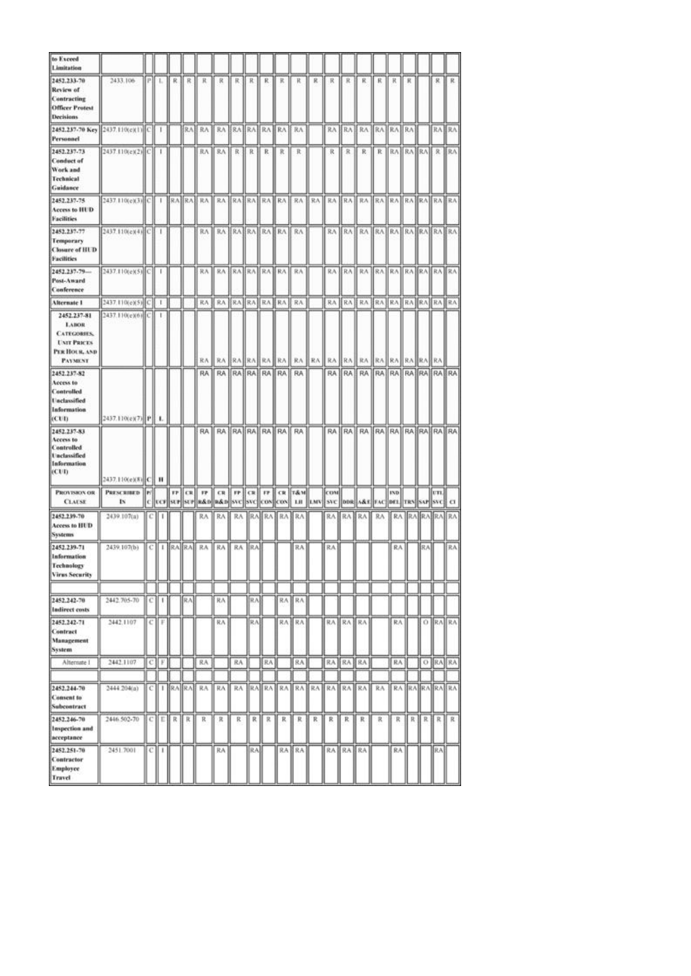| to Exceed<br>Limitation                                                                                   |                                 |   |              |                 |    |                  |                              |    |                 |    |                   |                                                                                                                                                 |       |            |                 |                                  |                 |            |       |     |           |                     |
|-----------------------------------------------------------------------------------------------------------|---------------------------------|---|--------------|-----------------|----|------------------|------------------------------|----|-----------------|----|-------------------|-------------------------------------------------------------------------------------------------------------------------------------------------|-------|------------|-----------------|----------------------------------|-----------------|------------|-------|-----|-----------|---------------------|
| 2452.233-70<br>Review of<br>Contracting<br><b>Officer Protest</b><br>Decisions                            | 2433.106                        |   | PIL          | R.I             | R  | К                | R                            |    | 民日氏             | R. | R                 | ĸ                                                                                                                                               | R.    | 求          | R               | R                                | К.              | К          | к     |     | я.        | R                   |
| 2452.237-70 Key 2437.110(e)(1) C 1<br>Personnel                                                           |                                 |   |              |                 |    | RAE RA           | RA ERA RAERA RAILRA          |    |                 |    |                   |                                                                                                                                                 |       |            |                 | RA RA RA RA RA RA                |                 |            |       |     |           | RA RAI              |
| 2452.237-73<br><b>Conduct of</b><br>Work and<br>Technical<br>Guidance                                     | 2437.110(e)(2) <sup>[C]</sup> 1 |   |              |                 |    |                  | RA    RA    R    R    R    R |    |                 |    |                   | R                                                                                                                                               |       |            | R R             | R R RAIRAIRA R RAI               |                 |            |       |     |           |                     |
| 2452.237-75<br>Access to HUD<br><b>Facilities</b>                                                         |                                 |   |              |                 |    |                  |                              |    |                 |    |                   |                                                                                                                                                 |       |            |                 |                                  |                 |            |       |     |           |                     |
| 2452.237-77<br>Temporary<br><b>Closure of HUD</b><br><b>Facilities</b>                                    | 2437.110(e)(4)(C) 1             |   |              |                 |    |                  | RA RA RAHRA RAHRA RA         |    |                 |    |                   |                                                                                                                                                 |       |            |                 | RA RA RA RA RA RA RA RAHRAHRA    |                 |            |       |     |           |                     |
| 2452.237-79-<br>Post-Award<br>Canference                                                                  | 2437.110(e)(5) C   1            |   |              |                 |    | 我永               | RABRARABRA RA RA             |    |                 |    |                   |                                                                                                                                                 |       |            |                 | RA RAIRA RAIRA RAIRA RAIRA       |                 |            |       |     |           |                     |
| Alternate 1                                                                                               | 2437.110(e)(5) C                |   | $\mathbf{I}$ |                 |    | RA               | RA BRA RA RA RA              |    |                 |    |                   | RA                                                                                                                                              |       |            |                 | RA KA KA KA KA KA KA KA KA KA    |                 |            |       |     |           |                     |
| 2452.237-81<br><b>LABOR</b><br><b>CATEGORIES</b><br><b>UNIT PRICES</b><br>PER HOUR, AND<br><b>PAYMENT</b> | 2437.110(e)(6) C                |   | -            |                 |    | RA <sub>I</sub>  | RA                           |    | <b>RAIRAIRA</b> |    | RA II             |                                                                                                                                                 | RA RA | RA         |                 | RA RA RA RA                      |                 |            | RA RA |     | <b>RA</b> |                     |
| 2452.237-82<br>Access to<br><b>Controlled</b><br><b>Unclassified</b><br>Information<br>(CUI)              | 2437.110(e)(7) P                |   | ۰.           |                 |    |                  |                              |    |                 |    |                   | RA   RA   RA   RA   RA   RA   RA                                                                                                                |       |            |                 | RA RA RA RA RA RA RA RA RA RA RA |                 |            |       |     |           |                     |
| 2452.237-83<br>Access to<br>Controlled<br><b>Unclassified</b><br>Information<br>(CUI)                     | 2437.110(e)(8) C H              |   |              |                 |    | RA               |                              |    |                 |    | RA RAIRAIRAIRA RA | RA <sub></sub>                                                                                                                                  |       |            |                 | RA RA RA RA RA RA RA RA RA RA RA |                 |            |       |     |           |                     |
| <b>PROVISION OR</b><br><b>CLAUSE</b>                                                                      | PRESCRIBED   P/<br>18           |   |              |                 |    |                  |                              |    |                 |    |                   | <b>FF CR FF CR FF CR FF CR T&amp;M</b><br>C [ UCF[ SUF  SUF  R&D  R&D  SVC  COS  COS  COS   LIE   LMV   SVC   DDR  A&E  FAC  DEL  TRN  SAF  SVC |       | <b>CON</b> |                 |                                  |                 | <b>IND</b> |       |     | UTL]      | $\alpha$            |
| 2452.239-70<br>Access to HUD<br><b>Systems</b>                                                            | 2439.107(a)                     |   |              |                 |    | RA               | RA                           |    |                 |    |                   | RA RA RA RA RA                                                                                                                                  |       |            |                 | RA RABRA RA                      |                 |            |       |     |           | RA RAJRAJRAJ RAJ    |
| 2452.239-71<br><b>Information</b><br>Technology<br><b>Virus Security</b>                                  | 2439.107(b)                     |   |              |                 |    | C   I  RA RA  RA | <b>RA</b> ■                  |    | RA JRA          |    |                   | RA                                                                                                                                              |       | RA:        |                 |                                  |                 | RA         |       | BAJ |           | RA.                 |
|                                                                                                           |                                 |   |              |                 |    |                  |                              |    |                 |    |                   |                                                                                                                                                 |       |            |                 |                                  |                 |            |       |     |           |                     |
| 2452.242-70<br>Indirect costs                                                                             | 2442.705-70                     | с | ı            |                 | RA |                  | 民汽                           |    | R.A             |    | RA.               | RA                                                                                                                                              |       |            |                 |                                  |                 |            |       |     |           |                     |
| 2452.242-71<br>Contract<br>Management<br>System                                                           | 2442.1107                       | с | F            |                 |    |                  | 抗凡                           |    | RΛ              |    |                   | RA IRA                                                                                                                                          |       |            | RA RAJ          | RA                               |                 | RA:        |       |     |           | O RAIRA             |
| Alternate 1                                                                                               | 2442.1107                       | c | F.           |                 |    | RA               |                              | RA |                 | RA |                   | RA.                                                                                                                                             |       | RA         | ∦RA.            | <b>RA</b>                        |                 | RA         |       |     | O RAIRA   |                     |
| 2452.244-70                                                                                               | 2444 204(a)                     | с |              | $ $ $ RA$ $ RA$ |    | RA               | RA                           |    |                 |    |                   | RA RAIRA RAIRAIRA RAIRAIRA                                                                                                                      |       |            |                 |                                  | RA <sub>1</sub> |            |       |     |           | <b>RA RARARAIRA</b> |
| Consent to<br>Subcontract                                                                                 |                                 |   |              |                 |    |                  |                              |    |                 |    |                   |                                                                                                                                                 |       |            |                 |                                  |                 |            |       |     |           |                     |
| 2452.246-70<br>Inspection and<br>acceptance                                                               | 2446.502-70                     | с | Е            | R               | К  | R                | R                            | R  | R               | R  | R                 | R                                                                                                                                               | R     | R          | R               | R                                | R               | R          | R     | R   | R.        | R                   |
| 2452.251-70<br>Contractor<br>Employee<br><b>Travel</b>                                                    | 2451.7001                       | с | 1            |                 |    |                  | RA                           |    | ∥RA             |    |                   | RA RA                                                                                                                                           |       |            | <b>RABRABRA</b> |                                  |                 | RA:        |       |     | RA.       |                     |